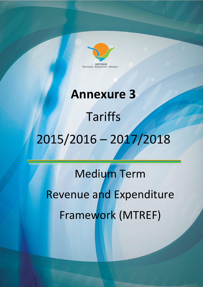

# **Annexure 3** Tariffs 2015/2016 – 2017/2018

Medium Term Revenue and Expenditure Framework (MTREF) Medium Term Revenue and Experience and Experience Frence and Experience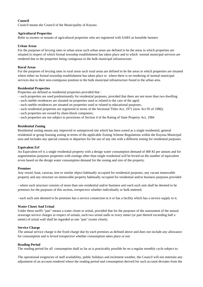#### **Council**

Council means the Council of the Municipality of Knysna

#### **Agricultural Properties**

Refer to owners or tenants of agricultural properties who are registered with SARS as bonafide farmers

#### **Urban Areas**

For the purposes of levying rates in urban areas such urban areas are defined to be the areas in which properties are situated in respect of which formal township establishment has taken place and to which normal municipal services are rendered due to the properties being contiguous to the bulk municipal infrastructure.

#### **Rural Areas**

For the purposes of levying rates in rural areas such rural areas are defined to be the areas in which properties are situated where either no formal township establishment has taken place or where there is no rendering of normal municipal services due to their non-contiguous position to the bulk municipal infrastructure found in the urban area.

#### **Residential Properties**

Properties are defined as residential properties provided that :

- such properties are used predominantly for residential purposes, provided that there are not more than two dwelling
- such rateble residences are situated on properties used or related to the care of the aged;
- such rateble residences are situated on properties used or related to educational purposes;
- such residential properties are registered in terms of the Sectional Titles Act, 1971 (now Act 95 of 1986);
- such properties are owned by share-block companies;
- such properties are not subject to provisions of Section 4 of the Rating of State Property Act, 1984

#### **Residential Zoning**

Residential zoning means any improved or unimproved site which has been zoned as a single residential, general residential or group housing zoning in terms of the applicable Zoning Scheme Regulations within the Knysna Municipal area and includes any special consent or departure for the use of any site with a different zoning for residential purposes.

#### **Equivalent Erf**

An Equivalent erf is a single residential property with a design water consumption demand of 400 Kl per annum and for augmentation purposes properties with zonings other than single residential will be levied on the number of equivalent erven based on the design water consumption demand for the zoning and size of the property.

#### **Premises**

Any vessel, boat, caravan, tent or similar object habitually occupied for residential purposes, any vacant immovable property and any structure on immovable property habitually occupied for residential and/or business purposes provided

- where such structure consists of more than one residential and/or business unit each such unit shall be deemed to be premises for the purposes of this section, irrespective whether individually or bulk metered.

- each such unit deemed to be premises has a service connection to it or has a facility which has a service supply to it.

#### **Water Closet And Urinal**

Under these tariffs "pan" means a water closet or urinal, provided that for the purposes of the assessment of the annual sewerage service charges in respect of urinals, each two urinal stalls or every meter (or part thereof exceeding half a meter) of urinal wall shall be regarded as one "pan" (water closet).

#### **Service Charge**

The annual service charge is the fixed charge due by each premises as defined above and does not include any allowance for consumption and is levied irrespective whether consumption takes place or not.

#### **Reading Period**

The reading period for all consumption shall as far as is practicably possible be on a regular monthly cycle subject to:

The operational exigencies of staff availability, public holidays and inclement weather, the Council will not entertain any adjustment of an account rendered where the reading period and consumption derived for such account deviates from the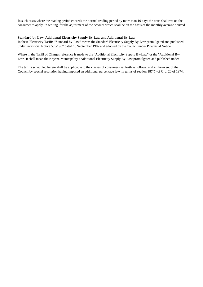In such cases where the reading period exceeds the normal reading period by more than 10 days the onus shall rest on the consumer to apply, in writing, for the adjustment of the account which shall be on the basis of the monthly average derived

#### **Standard-by-Law, Additional Electricity Supply By-Law and Additional By-Law**

In these Electricity Tariffs "Standard-by-Law" means the Standard Electricity Supply By-Law promulgated and published under Provincial Notice 535/1987 dated 18 September 1987 and adopted by the Council under Provincial Notice

Where in the Tariff of Charges reference is made to the "Additional Electricity Supply By-Law" or the "Additional By-Law" it shall mean the Knysna Municipality : Additional Electricity Supply By-Law promulgated and published under

The tariffs scheduled herein shall be applicable to the classes of consumers set forth as follows, and in the event of the Council by special resolution having imposed an additional percentage levy in terms of section 187(5) of Ord. 20 of 1974,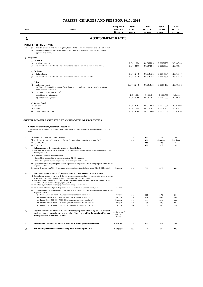| Item              | <b>Details</b>                                                                                                                                                                                                                                                                                                             | Frequency/<br>Measure/<br>Occasion          | Tariff<br>2014/15<br>(0% VAT) | Tariff<br>2015/16<br>(0% VAT) | Tariff<br>2016/17<br>(0% VAT) | Tariff<br>2017/18<br>(0% VAT) |
|-------------------|----------------------------------------------------------------------------------------------------------------------------------------------------------------------------------------------------------------------------------------------------------------------------------------------------------------------------|---------------------------------------------|-------------------------------|-------------------------------|-------------------------------|-------------------------------|
| 1                 | <b>ASSESSMENT RATES</b>                                                                                                                                                                                                                                                                                                    |                                             |                               |                               |                               |                               |
|                   | <b>1 POWER TO LEVY RATES</b>                                                                                                                                                                                                                                                                                               |                                             |                               |                               |                               |                               |
| (1)<br>(a)<br>(b) | Property Rates are set in terms of Chapter 2, Section 3 of the Municipal Property Rates Act, No 6 of 2004.<br>Property Rates to be levied in accordance with the 1 July 2012 General Valuation Roll and Councils<br>approved Rates Policy.                                                                                 |                                             |                               |                               |                               |                               |
| (2) Properties    |                                                                                                                                                                                                                                                                                                                            |                                             |                               |                               |                               |                               |
|                   | (a) Domestic                                                                                                                                                                                                                                                                                                               |                                             |                               |                               |                               |                               |
| (i)<br>(ii)       | Residential property<br>Accommodation Establishments where the number of lettable bedrooms is equal to or less than 8                                                                                                                                                                                                      |                                             | R 0.0061224<br>R 0.0068877    | R 0.0065816<br>R 0.0074043    | R 0.0070752<br>R 0.0079596    | R 0.0076058<br>R 0.0085566    |
|                   | (b) Business                                                                                                                                                                                                                                                                                                               |                                             |                               |                               |                               |                               |
| (i)               | <b>Business Property</b>                                                                                                                                                                                                                                                                                                   |                                             | R 0.0122448                   | R 0.0131632                   | R 0.0141504                   | R 0.0152117                   |
| (ii)              | Accommodation Establishments where the number of lettable bedrooms exceed 8                                                                                                                                                                                                                                                |                                             | R 0.0122448                   | R 0.0131632                   | R 0.0141504                   | R 0.0152117                   |
|                   | $(c)$ Other                                                                                                                                                                                                                                                                                                                |                                             |                               |                               |                               |                               |
| (i)               | Agricultural property<br>(a) This is only applicable to owners of agricultural properties who are registered with the Receiver o<br>Revenue as bona fide farmers                                                                                                                                                           |                                             | R 0.00122448                  | R 0.0013163                   | R 0.0014150                   | R 0.0015212                   |
|                   | (ii) Properties registered in the name of;                                                                                                                                                                                                                                                                                 |                                             |                               |                               |                               |                               |
|                   | (a) Public service infrastructure                                                                                                                                                                                                                                                                                          |                                             | R 0.001531                    | R 0.001645                    | R 0.001769                    | R 0.001901                    |
|                   | (b) Public benefit organisations                                                                                                                                                                                                                                                                                           |                                             | R 0.0015306                   | R 0.0016454                   | R 0.0017688                   | R 0.0019015                   |
|                   | $(d)$ Vacant Land:                                                                                                                                                                                                                                                                                                         |                                             |                               |                               |                               |                               |
|                   | (i) Domestic                                                                                                                                                                                                                                                                                                               |                                             | R 0.0110204                   | R 0.0118469                   | R 0.0127354                   | R 0.0136906                   |
|                   | (ii) Business<br>(iii) Domestic: Non-urban vacant                                                                                                                                                                                                                                                                          |                                             | R 0.0122448<br>R 0.0110204    | R 0.0131632<br>R 0.0118469    | R 0.0141504<br>R 0.0127354    | R 0.0152117<br>R 0.0136906    |
|                   | 2 RELIEF MEASURES RELATED TO CATEGORIES OF PROPERTIES<br>(1) Criteria for exemptions, rebates and reduction                                                                                                                                                                                                                |                                             |                               |                               |                               |                               |
| levied:           | 1 The following will be taken into consideration for the purpose of granting exemptions, rebates or reductions in rates                                                                                                                                                                                                    |                                             |                               |                               |                               |                               |
| (a)               | (i) Residential properties occupied/improved                                                                                                                                                                                                                                                                               |                                             | 15%                           | 15%                           | 15%                           | 15%                           |
|                   | (ii) Rural properties occupied/improved - total rebate (inclusive of the residential properties rebate)                                                                                                                                                                                                                    |                                             | 30%                           | 10%                           | phased-out                    | phased-out                    |
|                   | (iii) Non-Urban Vacant                                                                                                                                                                                                                                                                                                     |                                             | 20%                           | 15%                           | 15%                           | 15%                           |
| (b)               | (iv) Green rebate<br>Indigent status of the owner of a property - Social Rebate<br>(i) The obligation rests on owners to apply for this social rebate and may be granted to the owner in respect of on                                                                                                                     |                                             |                               | 10%                           | 10%                           | 10%                           |
|                   | dwelling unit only.<br>(ii) In respect of residential properties where;                                                                                                                                                                                                                                                    |                                             |                               |                               |                               |                               |
|                   | the combined income of the household is less than R 2 600 per month                                                                                                                                                                                                                                                        |                                             |                               |                               |                               |                               |
|                   | the rebate is granted only for one property which is occupied by the owner.                                                                                                                                                                                                                                                |                                             |                               |                               |                               |                               |
|                   | (iii) Upon submission of acceptable proof of these requirements, the persons in the income groups set out below will                                                                                                                                                                                                       |                                             |                               |                               |                               |                               |
|                   | be granted a rebate of :-<br>(iv) Income Group less than $\mathbb{R}$ 31 200 per annum an additional reduction of (Social rebate $\lbrack R2,600 X12$ months])                                                                                                                                                             | Max p.m.                                    | 85%                           | 85%                           | 85%                           | 85%                           |
| (c)               | Nature and source of income of the owner a property. (e.g. pensions & social grants)                                                                                                                                                                                                                                       |                                             |                               |                               |                               |                               |
|                   | (i) The obligation rests on owners to apply for this senior citizen rebate and may be granted to the owner in respect<br>of one dwelling unit only, used exclusively for residential purposes and provide<br>(ii) The owner submits acceptable proof that the combined gross monthly income of his and his spouse does not |                                             |                               |                               |                               |                               |
|                   | exceed the categories as set out in $(c)(v(g)$ to $(k)$ below,<br>(iii) The rebate is granted only for one property which is occupied by the owner.                                                                                                                                                                        |                                             |                               |                               |                               |                               |
|                   | (iv) The owner is older than 60 years of age or has been declared medically unfit for work, then                                                                                                                                                                                                                           | 60 Years                                    |                               |                               |                               |                               |
|                   | (v) Upon submission of acceptable proof of these requirements, the persons in the income groups set out below will                                                                                                                                                                                                         |                                             |                               |                               |                               |                               |
|                   | be granted a rebate of :-<br>(a) Income Group less than R 78 000 per annum an additional reduction of                                                                                                                                                                                                                      | Max p.m.                                    | 80%                           | 80%                           | 80%                           | 80%                           |
|                   | (b) Income Group R 78 001 - R 90 000 per annum an additional reduction of                                                                                                                                                                                                                                                  | Max p.m.                                    | 60%                           | 60%                           | 60%                           | 60%                           |
|                   | (c) Income Group R 90 001 - R 108 000 per annum an additional reduction of                                                                                                                                                                                                                                                 | Max p.m.                                    | 40%                           | 40%                           | 40%                           | 40%                           |
|                   | (d) Income Group R 108 001 - R 144 000 per annum an additional reduction of<br>(e) Income Group R 144 001 - R 180 000 per annum an additional reduction of                                                                                                                                                                 | Max p.m.<br>Max p.m.                        | 20%<br>5%                     | 20%<br>5%                     | 20%<br>5%                     | 20%<br>5%                     |
| (d)               | Social or economic conditions of the area where the property is situated e.g. an area declared<br>by the national or provincial government to be a disaster area within the meaning of Disaster<br>Management Act, 2002 (Act.57 of 2002)                                                                                   | On discretion of<br>the Director<br>Finance |                               |                               |                               |                               |
| (e)               | Retention and restoration of historical buildings or buildings of cultural interest.                                                                                                                                                                                                                                       | R1(2)(c)(ii)2                               | 20%                           | 20%                           | 20%                           | 20%                           |
| (f)               | The services provided to the community by public service organisations.                                                                                                                                                                                                                                                    | R1(2)(c)(ii)2                               | $0\%$                         | 0%                            | $0\%$                         | $0\%$                         |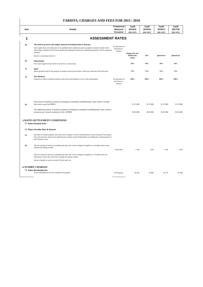$\overline{\phantom{a}}$ 

| Item | <b>Details</b>                                                                                                                                                                                                                                                                                    | Frequency/<br>Measure/<br>Occasion           | <b>Tariff</b><br>2014/15<br>(0% VAT)      | <b>Tariff</b><br>2015/16<br>(0% VAT) | <b>Tariff</b><br>2016/17<br>(0% VAT) | <b>Tariff</b><br>2017/18<br>(0% VAT) |
|------|---------------------------------------------------------------------------------------------------------------------------------------------------------------------------------------------------------------------------------------------------------------------------------------------------|----------------------------------------------|-------------------------------------------|--------------------------------------|--------------------------------------|--------------------------------------|
| 1    | <b>ASSESSMENT RATES</b>                                                                                                                                                                                                                                                                           |                                              |                                           |                                      |                                      |                                      |
|      |                                                                                                                                                                                                                                                                                                   |                                              |                                           |                                      |                                      |                                      |
| (g)  | The need to preserve the unique natural environment that is Knysna;<br>Upon application and submission of an auditable alien eradication plan to properties situated outside of the<br>urban edge as defined in the Knysna Spatial Development Framework. Qualifying properties will be inspected | On discretion of<br>the Director:            |                                           |                                      |                                      |                                      |
|      | annually<br>Receive a maximum rebate of:                                                                                                                                                                                                                                                          | Finance                                      | Replaced by the<br>biodiversity<br>rebate | 10%                                  | phased-out                           | phased-out                           |
| (h)  | <b>Educational</b><br>On Council approval and will be reviewed on a yearly basis.                                                                                                                                                                                                                 |                                              | 50%                                       | 50%                                  | 50%                                  | 50%                                  |
| (i)  | <b>Sport</b><br>Sports grounds used for the purpose of amateur and social activities, which are connected with such sport.                                                                                                                                                                        |                                              | 75%                                       | 75%                                  | 75%                                  | 75%                                  |
| (i)  | <b>New Business</b><br>Property on which a business operates where the owner/business is new to the municipality                                                                                                                                                                                  | On discretion of<br>the Director:<br>Finance | 100%                                      | 100%                                 | 100%                                 | 100%                                 |
| (k)  | The portion of domestic property (excluding accomodation establishments) value which is exempt<br>from rates as per the MPRA<br>The additional portion of domestic property (excluding accomodation establishments) value which is<br>exempt as per Council resolution for the MTREF              |                                              | R 15 000<br>R 85 000                      | R 15 000<br>R 85 000                 | R 15 000<br>R 85 000                 | R 15 000<br>R 85 000                 |
|      | <b>3 RATES SETTLEMENT CONDITIONS</b>                                                                                                                                                                                                                                                              |                                              |                                           |                                      |                                      |                                      |
|      | (1) Rates Payment Date                                                                                                                                                                                                                                                                            |                                              |                                           |                                      |                                      |                                      |
|      | (2) Rates Overdue Date & Interest                                                                                                                                                                                                                                                                 |                                              |                                           |                                      |                                      |                                      |
| (a)  | Due date for annual property rates and service charges is at the commencement of each Financial Year being 1<br>July and such rates and services shall become overdue on the 30 September succeeding the commencement of<br>each Financial Year.                                                  |                                              |                                           |                                      |                                      |                                      |
| (b)  | That the raising of interest on monthly paid rates and service charges be applied on a monthly basis on any<br>amounts becoming overdue.                                                                                                                                                          | Prime Rate                                   | $+1%$                                     | $+1%$                                | $+1%$                                | $+1%$                                |
|      | That the raising of interest on annually paid rates and service charges be applied on 1 October each year<br>following on such rates and service charges becoming overdue.                                                                                                                        |                                              |                                           |                                      |                                      |                                      |
|      | Interest charged on arrear accounts 30 days and over.                                                                                                                                                                                                                                             |                                              |                                           |                                      |                                      |                                      |
|      | <b>4 SUNDRY CHARGES</b>                                                                                                                                                                                                                                                                           |                                              |                                           |                                      |                                      |                                      |
|      | (1) Rates Revaluation fee<br>A non refundable fee for the revaluation of property                                                                                                                                                                                                                 | Per Property                                 | R 634                                     | R 682                                | R 733                                | R 788                                |
|      |                                                                                                                                                                                                                                                                                                   |                                              |                                           |                                      |                                      |                                      |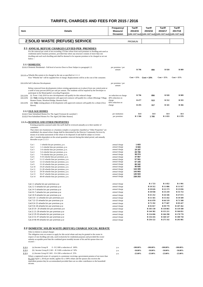|                        |                                                                                                                                                                                                                                                                         | Frequency/                                 | <b>Tariff</b>                       | <b>Tariff</b>                                               | <b>Tariff</b>                       | Tariff                              |
|------------------------|-------------------------------------------------------------------------------------------------------------------------------------------------------------------------------------------------------------------------------------------------------------------------|--------------------------------------------|-------------------------------------|-------------------------------------------------------------|-------------------------------------|-------------------------------------|
| Item                   | <b>Details</b>                                                                                                                                                                                                                                                          | Measure/                                   | 2014/15                             | 2015/16                                                     | 2016/17                             | 2017/18                             |
|                        |                                                                                                                                                                                                                                                                         | Occasion                                   |                                     | (14% VAT Incl) (14% VAT Incl) (14% VAT Incl) (14% VAT Incl) |                                     |                                     |
|                        |                                                                                                                                                                                                                                                                         |                                            |                                     |                                                             |                                     |                                     |
|                        | 2 SOLID WASTE (REFUSE) SERVICE                                                                                                                                                                                                                                          |                                            | <b>PROMUN</b>                       |                                                             |                                     |                                     |
|                        | <b>2.1 ANNUAL REFUSE CHARGES LEVIED PER PREMISES</b>                                                                                                                                                                                                                    |                                            |                                     |                                                             |                                     |                                     |
|                        | For the removal per week of not exceeding 170 litre refuse from each premises or dwelling unit used as                                                                                                                                                                  |                                            |                                     |                                                             |                                     |                                     |
|                        | residential and/or business premises, provided that where any structure consists of more than one<br>dwelling unit each such dwelling unit shall be deemed to be separate premises to be charged as set out<br>below :-                                                 |                                            |                                     |                                                             |                                     |                                     |
|                        | 2.1.1 DOMESTIC                                                                                                                                                                                                                                                          |                                            |                                     |                                                             |                                     |                                     |
|                        | 2.1.1.1 Domestic Residential - Full level of service Door to Door Subject to paragraph 2.2.                                                                                                                                                                             | per premises / per<br>annum                | R 796                               | 856                                                         | R 920                               | R 989                               |
|                        | 2.1.1.1 a Wheelie Bin system to be charged at the rate as specified in 2.1.1.1<br>First "Wheelie bin" will be supplied free of charge. Replacements will be at the cost of the consumer.                                                                                |                                            | $Cost + 15\%$                       | $Cost + 15%$                                                | $Cost + 15\%$                       | $Cost + 15\%$                       |
|                        |                                                                                                                                                                                                                                                                         |                                            |                                     |                                                             |                                     |                                     |
|                        | 2.1.1.1 b Self Collection Development                                                                                                                                                                                                                                   | per premises / per<br>annum                |                                     |                                                             |                                     |                                     |
|                        | Refuse removed from developments (where existing agreements are in place) from one central point at<br>a tariff of sixty percent (60%) per unit per annum. The residents will be required by the Developer to<br>participate in the Municipality's recycling Programme. |                                            |                                     |                                                             |                                     |                                     |
| 2.1.1.1 b<br>2.1.1.1 b | (i) From 1 July 2010 no new developments will qualify for this reduced charge<br>(ii) Only existing developments with approved contracts will qualify for a rebate (Montage Village,                                                                                    | no reduction on charge<br>40% reduction on | R 796                               | 856                                                         | R 920                               | R 989                               |
| 2.1.1.1 b              | Hunters Estate, Westford Bridge, Brenton Park)<br>(iii) Only existing phases of developments with approved contracts will qualify for a rebate (Own                                                                                                                     | charge<br>60% reduction on                 | R 477                               | 513                                                         | R 552                               | R 593                               |
|                        | Haven)                                                                                                                                                                                                                                                                  | charge                                     | R 295                               | 317                                                         | R 341                               | R 366                               |
|                        | <b>2.1.2 OLD AGE HOMES</b>                                                                                                                                                                                                                                              |                                            |                                     |                                                             |                                     |                                     |
|                        | 2.1.2.1 State Subsidised Homes For The Aged [Vermont & Loeriehof]<br>2.1.2.2 Non-Subsidised Homes For The Aged [All Other Homes]                                                                                                                                        | per institution<br>per premises            | R <sub>0</sub><br>R <sub>1586</sub> | $\mathbb{R} 0$<br>1705                                      | R <sub>0</sub><br>R <sub>1833</sub> | R <sub>0</sub><br>R <sub>1970</sub> |
|                        | 2.1.3 a BUSINESS AND OTHER PROPERTIES                                                                                                                                                                                                                                   |                                            |                                     |                                                             |                                     |                                     |
|                        | Existing properties assessed under this tariff shall be reviewed annually as to their number of                                                                                                                                                                         |                                            |                                     |                                                             |                                     |                                     |
|                        | containers                                                                                                                                                                                                                                                              |                                            |                                     |                                                             |                                     |                                     |
|                        | That where new businesses or a business complex or properties classified as "Other Properties" are                                                                                                                                                                      |                                            |                                     |                                                             |                                     |                                     |
|                        | established, the annual refuse charge shall be determined by the Director Community Services by                                                                                                                                                                         |                                            |                                     |                                                             |                                     |                                     |
|                        | means of an initial assessment of the refuse to be disposed of and shall be subject to review<br>after 3 months dependent on the actual quantities removed during this initial period, and annually                                                                     |                                            |                                     |                                                             |                                     |                                     |
|                        | thereafter as per 2.1.3.1                                                                                                                                                                                                                                               |                                            |                                     |                                                             |                                     |                                     |
|                        | Cat 1<br>1 wheelie bin per premises, p.w.                                                                                                                                                                                                                               | annual charge                              | 1603                                |                                                             |                                     |                                     |
|                        | Cat 2<br>1-2 wheelie bins per premises, p.w.                                                                                                                                                                                                                            | annual charge                              | 9593                                |                                                             |                                     |                                     |
|                        | Cat 3<br>3-4 wheelie bins per premises, p.w.                                                                                                                                                                                                                            | annual charge                              | 19 187                              |                                                             |                                     |                                     |
|                        | Cat 4<br>5-6 wheelie bins per premises, p.w.                                                                                                                                                                                                                            | annual charge<br>annual charge             | 28780                               |                                                             |                                     |                                     |
|                        | Cat 5<br>7-8 wheelie bins per premises, p.w.<br>Cat 6<br>9-10 wheelie bins per premises, p.w.                                                                                                                                                                           | annual charge                              | 38 374<br>47 967                    |                                                             |                                     |                                     |
|                        | Cat 7<br>11-12 wheelie bins per premises, p.w.                                                                                                                                                                                                                          | annual charge                              | 57 561                              |                                                             |                                     |                                     |
|                        | Cat 8<br>12-14 wheelie bins per premises, p.w.                                                                                                                                                                                                                          | annual charge                              | 67 155                              |                                                             |                                     |                                     |
|                        | Cat 9<br>15-18 wheelie bins per premises, p.w.                                                                                                                                                                                                                          | annual charge                              | 86 342                              |                                                             |                                     |                                     |
|                        | Cat 10<br>19-20 wheelie bins per premises, p.w.                                                                                                                                                                                                                         | annual charge                              | 95 935                              |                                                             |                                     |                                     |
|                        | Cat 11<br>21-28 wheelie bins per premises, p.w.                                                                                                                                                                                                                         | annual charge                              | 134 309                             |                                                             |                                     |                                     |
|                        | Cat 12<br>29-30 wheelie bins per premises, p.w.                                                                                                                                                                                                                         | annual charge<br>annual charge             | 143 903<br>145 503                  |                                                             |                                     |                                     |
|                        | Cat 13<br>30-47 wheelie bins per premises, p.w.<br>Cat 14<br>48-49 wheelie bins per premises, p.w.                                                                                                                                                                      | annual charge                              | 238 253                             |                                                             |                                     |                                     |
|                        | Cat.1 1 wheelie bin per premises p.w                                                                                                                                                                                                                                    | annual charge                              |                                     | R 1723                                                      | R <sub>1852</sub>                   | R <sub>1991</sub>                   |
|                        | Cat.2 2-3 wheelie bin per premises p.w                                                                                                                                                                                                                                  | annual charge                              |                                     | R 10 312                                                    | R 11 086                            | R 11 917                            |
|                        | Cat.3 4-5 wheelie bin per premises p.w                                                                                                                                                                                                                                  | annual charge                              |                                     | R 20 626                                                    | R 22 173                            | R 23 836                            |
|                        | Cat.4 6-7 wheelie bin per premises p.w                                                                                                                                                                                                                                  | annual charge                              |                                     | R 30 938                                                    | R 33 259                            | R 35 753                            |
|                        | Cat.5 8-9 wheelie bin per premises p.w                                                                                                                                                                                                                                  | annual charge                              |                                     | R 41 252                                                    | R 44 346                            | R 47 672                            |
|                        | Cat.6 10-11 wheelie bin per premises p.w                                                                                                                                                                                                                                | annual charge                              |                                     | R 51 565                                                    | R 55 432                            | R 59 589                            |
|                        | Cat.7 12-13 wheelie bin per premises p.w                                                                                                                                                                                                                                | annual charge                              |                                     | R 61878                                                     | R 66 519                            | R 71 508                            |
|                        | Cat.8 14-15 wheelie bin per premises p.w                                                                                                                                                                                                                                | annual charge                              |                                     | R 72 192                                                    | R 77 607                            | R 83 427                            |
|                        | Cat.9 16-18 wheelie bin per premises p.w                                                                                                                                                                                                                                | annual charge                              |                                     | R 92 817                                                    | R 99 779                            | R 107 262                           |
|                        | Cat.10 19-20 wheelie bin per premises p.w                                                                                                                                                                                                                               | annual charge                              |                                     | R 103 130                                                   | R 110 865                           | R 119 180                           |
|                        | Cat.11 21-28 wheelie bin per premises p.w                                                                                                                                                                                                                               | annual charge                              |                                     | R 144 382                                                   | R 155 211                           | R 166 851                           |
|                        | Cat.12 29-30 wheelie bin per premises p.w                                                                                                                                                                                                                               | annual charge                              |                                     | R 154 696                                                   | R 166 298                           | R 178 770                           |
|                        | Cat.13 31-47 wheelie bin per premises p.w                                                                                                                                                                                                                               | annual charge                              |                                     | R 156 416                                                   | R 168 147                           | R 180 758                           |
|                        | Cat.14 48-49 wheelie bin per premises p.w                                                                                                                                                                                                                               | annual charge                              |                                     | R 256 122                                                   | R 275 332                           | R 295 981                           |
|                        |                                                                                                                                                                                                                                                                         |                                            |                                     |                                                             |                                     |                                     |
|                        | <u> 2.2 DOMESTIC SOLID WASTE (REFUSE) CHARGE SOCIAL REBATE</u>                                                                                                                                                                                                          |                                            |                                     |                                                             |                                     |                                     |
|                        | Only in relation to annual charges                                                                                                                                                                                                                                      |                                            |                                     |                                                             |                                     |                                     |

Only in relation to annual charges<br>The obligation rests on owners to apply for this social rebate and may be granted to the owner in<br>respect of one dwelling unit only, used exclusively for residential purposes and provided

| 2.2.1 | (a) Income Group R $\qquad 0 - R$ 2 600 a reduction of 100%                                           | p.a. | $-100.00\%$ | $-100.00\%$ | $-100.00\%$ | $-100.00\%$ |
|-------|-------------------------------------------------------------------------------------------------------|------|-------------|-------------|-------------|-------------|
| 2.2.1 | (b) Income Group R $2601 - R$ 3 600 a reduction of 50%                                                | p.a. | $-50.00\%$  | -50.00%     | $-50.00\%$  | -50.00%     |
| 2.2.1 | (c) Income Group R $3601 - R$ 4 200 a reduction of 25%                                                | p.a. | $-25.00%$   | $-25.00\%$  | $-25.00%$   | $-25.00\%$  |
|       | Where a registered owner of a property is a pensioner receiving a government pension of not more than |      |             |             |             |             |

Where a registered owner of a property is a pensioner receiving a government pension of not more than  $R1.350$  [April 1, 2014] per month, applies for a 100% rebate and the spouse also receives the equivalent pension they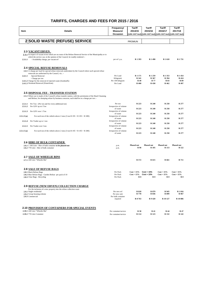|            |                                                                                                                                                                                                          | Frequency/                         | Tariff                      | Tariff                                                      | Tariff            | Tariff            |
|------------|----------------------------------------------------------------------------------------------------------------------------------------------------------------------------------------------------------|------------------------------------|-----------------------------|-------------------------------------------------------------|-------------------|-------------------|
| Item       | <b>Details</b>                                                                                                                                                                                           | Measure/                           | 2014/15                     | 2015/16                                                     | 2016/17           | 2017/18           |
|            |                                                                                                                                                                                                          | Occasion                           |                             | (14% VAT Incl) (14% VAT Incl) (14% VAT Incl) (14% VAT Incl) |                   |                   |
|            |                                                                                                                                                                                                          |                                    |                             |                                                             |                   |                   |
|            |                                                                                                                                                                                                          |                                    |                             |                                                             |                   |                   |
|            | 2 SOLID WASTE (REFUSE) SERVICE                                                                                                                                                                           |                                    | <b>PROMUN</b>               |                                                             |                   |                   |
|            |                                                                                                                                                                                                          |                                    |                             |                                                             |                   |                   |
|            |                                                                                                                                                                                                          |                                    |                             |                                                             |                   |                   |
|            | <b>2.3 VACANT ERVEN</b>                                                                                                                                                                                  |                                    |                             |                                                             |                   |                   |
|            | 2.3.1 In respect of vacant erven which are on route of the Refuse Removal Service of the Municipality or to                                                                                              |                                    |                             |                                                             |                   |                   |
|            | which the service can, in the opinion of the Council, be readily rendered :-                                                                                                                             |                                    |                             |                                                             |                   |                   |
| 2.3.1.1    | - Availability charge, per vacant erf                                                                                                                                                                    | per erf p.a.                       | R1393                       | R 1 498                                                     | R 1 610           | R <sub>1731</sub> |
|            |                                                                                                                                                                                                          |                                    |                             |                                                             |                   |                   |
|            | <b>2.4 SPECIAL REFUSE REMOVALS</b>                                                                                                                                                                       |                                    |                             |                                                             |                   |                   |
|            | 2.4.1 A charge per load for special refuse removals undertaken by the Council where such special refuse                                                                                                  |                                    |                             |                                                             |                   |                   |
|            | removals are authorised by the Council, viz. :-                                                                                                                                                          |                                    |                             |                                                             |                   |                   |
| 2.4.1.1    | -Special Removal                                                                                                                                                                                         | Per Load                           | R 1 171                     | R 1 259                                                     | R <sub>1353</sub> | R 1 454           |
|            | - Charge per ton                                                                                                                                                                                         | Kilogram)                          | R 341                       | R 367                                                       | R 394             | R 424             |
|            | 2.4.1.2 Charge for the removal of rejected waste (foodstuffs)<br>2.4.1.3 Weekend Removal (Waterfront)                                                                                                    | Per 100 kilogram<br>Per Load       | <b>R</b> 40<br><b>R</b> 400 | <b>R</b> 77<br>R 430                                        | R 83<br>R 462     | R 89<br>R 497     |
|            |                                                                                                                                                                                                          |                                    |                             |                                                             |                   |                   |
|            |                                                                                                                                                                                                          |                                    |                             |                                                             |                   |                   |
|            |                                                                                                                                                                                                          |                                    |                             |                                                             |                   |                   |
|            | <b>2.5 DISPOSAL FEE - TRANSFER STATION</b>                                                                                                                                                               |                                    |                             |                                                             |                   |                   |
|            | 2.5.1 Where use is made of the Council's refuse transfer station, with the permission of the Head Cleansing<br>and Refuse, for dumping refuse by business concerns, such shall be at a charge per ton :- |                                    |                             |                                                             |                   |                   |
|            |                                                                                                                                                                                                          |                                    |                             |                                                             |                   |                   |
| 2.5.1.1    | Per Ton - (Per ton and for every additional ton)                                                                                                                                                         | Per ton                            | R 223                       | R 240                                                       | R 258             | R 277             |
| 2.5.1.2    | Per LDV up to1 Ton                                                                                                                                                                                       | Irrespective of volume             |                             |                                                             |                   |                   |
|            |                                                                                                                                                                                                          | of waste                           | R 223                       | R 240                                                       | R 258             | R 277             |
| 2.5.1.3    | Per LDV over 1 Ton                                                                                                                                                                                       | Irrespective of volume             |                             |                                                             |                   |                   |
| 2.5.1.3(a) | For each ton of the vehicle above 2 tons $(3 \text{ ton } R\ 195 + R\ 195 = R\ 389)$                                                                                                                     | of waste<br>Irrespective of volume | R 223                       | R 240                                                       | R 258             | R 277             |
|            |                                                                                                                                                                                                          | of waste                           | R 223                       | R 240                                                       | R 258             | R 277             |
| 2.5.1.4    | Per Trailer up to 1 ton                                                                                                                                                                                  | Irrespective of volume             |                             |                                                             |                   |                   |
|            |                                                                                                                                                                                                          | of waste                           | R 223                       | R 240                                                       | R 258             | R 277             |
| 2.5.1.5    | Per Trailer over I ton                                                                                                                                                                                   | Irrespective of volume             |                             |                                                             |                   |                   |
| 2.5.1.5(a) | For each ton of the vehicle above 2 tons $(3 \text{ ton } R\ 195 + R\ 195 = R\ 389)$                                                                                                                     | of waste<br>Irrespective of volume | R 223                       | R 240                                                       | R 258             | R 277             |
|            |                                                                                                                                                                                                          | of waste                           | R 223                       | R 240                                                       | R 258             | R 277             |
|            |                                                                                                                                                                                                          |                                    |                             |                                                             |                   |                   |
|            |                                                                                                                                                                                                          |                                    |                             |                                                             |                   |                   |
|            | <b>2.6 HIRE OF BULK CONTAINER</b>                                                                                                                                                                        |                                    |                             |                                                             |                   |                   |
|            | 2.6.1 1 100 Litre - Hire of bulk container to be phased out                                                                                                                                              | p.m.                               | <b>Phased out</b>           | <b>Phased out</b>                                           | <b>Phased out</b> | <b>Phased out</b> |
|            | 2.6.2 770 Litre - Hire of bulk container                                                                                                                                                                 | p.m.                               | R 98                        | R 105                                                       | R 113             | R 122             |
|            |                                                                                                                                                                                                          |                                    |                             |                                                             |                   |                   |
|            |                                                                                                                                                                                                          |                                    |                             |                                                             |                   |                   |
|            | <b>2.7 SALE OF WHEELIE BINS</b>                                                                                                                                                                          |                                    |                             |                                                             |                   |                   |
|            | 2.7.1 240 Litre "Wheelie Bin"                                                                                                                                                                            |                                    | R 572                       | R 615                                                       | R 661             | R 711             |
|            |                                                                                                                                                                                                          |                                    |                             |                                                             |                   |                   |
|            |                                                                                                                                                                                                          |                                    |                             |                                                             |                   |                   |
|            | <b>2.8 SALE OF REFUSE BAGS</b>                                                                                                                                                                           |                                    |                             |                                                             |                   |                   |
|            | 2.8.1 Black Refuse Bags                                                                                                                                                                                  | Per Pack                           | $Cost + 15\%$               | $Cost + 15%$                                                | $Cost + 15\%$     | $Cost + 15%$      |
|            | 2.8.2 Blue Refuse Bags - Garden Refuse per pack of 10                                                                                                                                                    | Per Pack                           | $Cost + 15\%$               | $Cost + 15%$                                                | $Cost + 15\%$     | $Cost + 15\%$     |
|            | 2.8.3 Clear Bags - Recycling                                                                                                                                                                             | Per Pack                           | R <sub>0</sub>              | R <sub>0</sub>                                              | $\mathbb{R}^0$    | $\mathbb{R} 0$    |
|            |                                                                                                                                                                                                          |                                    |                             |                                                             |                   |                   |
|            |                                                                                                                                                                                                          |                                    |                             |                                                             |                   |                   |
|            | <b>2.9 REFUSE (NEW ERVEN) COLLECTION CHARGE</b>                                                                                                                                                          |                                    |                             |                                                             |                   |                   |
|            | For the inclusion of a new property into the refuse collection route                                                                                                                                     |                                    | <b>R818</b>                 | R 879                                                       | R 945             | R 1 016           |
|            | 2.9.1 Single residential<br>2.9.2 Group housing scheme                                                                                                                                                   | Per new erf<br>Per new unit        | R 778                       | R 836                                                       | R 899             | R 967             |
|            | 2.9.3 Commercial                                                                                                                                                                                         | Per bulk container                 |                             |                                                             |                   |                   |
|            |                                                                                                                                                                                                          | required                           | R 8 763                     | R 9 420                                                     | R 10 127          | R 10 886          |
|            |                                                                                                                                                                                                          |                                    |                             |                                                             |                   |                   |
|            |                                                                                                                                                                                                          |                                    |                             |                                                             |                   |                   |
|            | <b>2.10 PROVISION OF CONTAINERS FOR SPECIAL EVENTS</b>                                                                                                                                                   |                                    |                             |                                                             |                   |                   |
|            | 2.10.1 240 Litre "Wheelie Bin"                                                                                                                                                                           | Per container/service              | R 38                        | R 41                                                        | R 44              | R 47              |
|            | 2.10.2 770 Litre Container                                                                                                                                                                               | Per container/service              | R 114                       | R 123                                                       | R 132             | R 142             |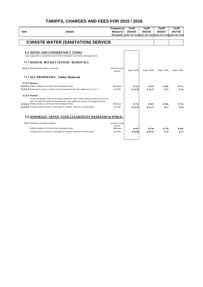|      |                                                                                                                                                         | Frequency/                  | Tariff       | <b>Tariff</b>                                                     | <b>Tariff</b> | <b>Tariff</b> |
|------|---------------------------------------------------------------------------------------------------------------------------------------------------------|-----------------------------|--------------|-------------------------------------------------------------------|---------------|---------------|
| Item | <b>Details</b>                                                                                                                                          | Measure/                    | 2014/15      | 2015/16                                                           | 2016/17       | 2017/18       |
|      |                                                                                                                                                         |                             |              | Occasion (14% VAT Incl)(14% VAT Incl)(14% VAT Incl)(14% VAT Incl) |               |               |
|      |                                                                                                                                                         |                             |              |                                                                   |               |               |
|      | 3 WASTE WATER (SANITATION) SERVICE                                                                                                                      |                             |              |                                                                   |               |               |
|      |                                                                                                                                                         |                             |              |                                                                   |               |               |
|      | <b>3.1 SEPTIC AND CONSERVANCY TANKS</b>                                                                                                                 |                             |              |                                                                   |               |               |
|      | 3.1a Applicable to properties not served by reticulated water borne sewerage system                                                                     |                             |              |                                                                   |               |               |
|      |                                                                                                                                                         |                             |              |                                                                   |               |               |
|      | 3.1.1 MANUAL BUCKET SYSTEM - REMOVALS                                                                                                                   |                             |              |                                                                   |               |               |
|      | 3.1.1.1 Manual bucket system - removals                                                                                                                 | per load or part<br>thereof | $Cost + 15%$ | $Cost + 15\%$                                                     | $Cost + 15\%$ | $Cost + 15\%$ |
|      | 3.1.2 ALL PROPERTIES - Tanker Removals                                                                                                                  |                             |              |                                                                   |               |               |
|      | <b>3.1.2.1 Business</b>                                                                                                                                 |                             |              |                                                                   |               |               |
|      | <b>3.1.2.1.1</b> Within a Radius of 10 Km of the Treatment Works                                                                                        | Minimum                     | R 572        | R 615                                                             | R 661         | R 711         |
|      | <b>3.1.2.1.2</b> Removals in excess of 10 Km of the Treatment Works and additional to 3.1.2.1.1                                                         | per KM                      | R 14.30      | R 15.37                                                           | <b>R</b> 17   | <b>R</b> 18   |
|      | 3.1.2.2 Domestic                                                                                                                                        |                             |              |                                                                   |               |               |
|      | To prevent misuse of this service due to transfer to Rates. Where there has been an excess of                                                           |                             |              |                                                                   |               |               |
|      | three (3) removals within the financial year, each additional removal be charged as below.<br>3.1.2.2.1 Within a Radius of 10 Km of the Treatment Works | Minimum                     |              |                                                                   |               |               |
|      | <b>3.1.2.2.2</b> Transport point of service: From plant to customer and back to nearest plant                                                           | per KM                      | R 572        | R 615                                                             | R 661         | <b>R711</b>   |
|      |                                                                                                                                                         |                             | R 14.30      | R 15.37                                                           | <b>R</b> 17   | <b>R18</b>    |
|      | 3.2 SEWERAGE / SEPTIC TANK CLEARANCES WEEKENDS & PUBLIC                                                                                                 |                             |              |                                                                   |               |               |
|      |                                                                                                                                                         |                             |              |                                                                   |               |               |
|      | <b>3.2.1</b> Weekends and public holidays                                                                                                               | per load or part            |              |                                                                   |               |               |
|      |                                                                                                                                                         | thereof                     |              |                                                                   |               |               |
|      | Within a Radius of 10 Km of the Treatment Works                                                                                                         | Minimum                     | R 657        | R 706                                                             | R 759         | R 816         |
|      | Transport point of service: From plant to customer and back to nearest plant                                                                            | per KM                      | R 28.00      | R 30.10                                                           | R 32          | R 35          |
|      |                                                                                                                                                         |                             |              |                                                                   |               |               |
|      |                                                                                                                                                         |                             |              |                                                                   |               |               |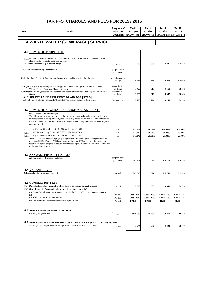| Item  | <b>Details</b>                                                                                                                                                                                                                                                                                                                                                                    | Frequency/<br>Measure/<br>Occasion | Tariff<br>2014/15           | Tariff<br>2015/16           | Tariff<br>2016/17<br>(14% VAT Incl) (14% VAT Incl) (14% VAT Incl) (14% VAT Incl) | Tariff<br>2017/18            |
|-------|-----------------------------------------------------------------------------------------------------------------------------------------------------------------------------------------------------------------------------------------------------------------------------------------------------------------------------------------------------------------------------------|------------------------------------|-----------------------------|-----------------------------|----------------------------------------------------------------------------------|------------------------------|
|       | 4 WASTE WATER (SEWERAGE) SERVICE                                                                                                                                                                                                                                                                                                                                                  |                                    |                             |                             |                                                                                  |                              |
|       |                                                                                                                                                                                                                                                                                                                                                                                   |                                    |                             |                             |                                                                                  |                              |
|       | <b>4.1 DOMESTIC PROPERTIES</b>                                                                                                                                                                                                                                                                                                                                                    |                                    |                             |                             |                                                                                  |                              |
|       | 4.1.1 Domestic properties shall be levied per residential unit irrespective of the number of water                                                                                                                                                                                                                                                                                |                                    |                             |                             |                                                                                  |                              |
|       | closets and be subject to paragraph 4.2 below<br>4.1.1a Domestic Sewerage Annual Charge                                                                                                                                                                                                                                                                                           | p.a                                | R 799                       | 859                         | R 936                                                                            | R 1 020                      |
|       |                                                                                                                                                                                                                                                                                                                                                                                   |                                    |                             |                             |                                                                                  |                              |
|       | 4.1.1b Self Maintaining Developments                                                                                                                                                                                                                                                                                                                                              | per premises /<br>per annum        |                             |                             |                                                                                  |                              |
|       | 4.1.1b (i) - From 1 July 2010 no new developments will qualify for this reduced charge                                                                                                                                                                                                                                                                                            | no reduction on<br>charge          | R 799                       | 859                         | R 936                                                                            | R 1 020                      |
|       | <b>4.1.1b (ii)</b> - Only existing developments with approved contracts will qualify for a rebate (Hunters                                                                                                                                                                                                                                                                        | 40% reduction                      |                             |                             |                                                                                  |                              |
|       | Village, Hunters Estate and Montage Village)<br>4.1.1b (iii) Only existing phases of developments with approved contracts will qualify for a rebate (Own                                                                                                                                                                                                                          | on charge<br>60% reduction         | R 479                       | 515                         | R 561                                                                            | R 612                        |
|       | Haven)<br><b>4.1.2 SEPTIC TANK EFFLUENT DRAINAGE [STED]</b>                                                                                                                                                                                                                                                                                                                       | on charge                          | R 296                       | 318                         | <b>R</b> 347                                                                     | R 378                        |
|       | 4.1.2a Sewerage Charge - Smutsville / Sizamile STED System (subject to 4.2.2 above)                                                                                                                                                                                                                                                                                               | Per unit, p.a.                     | <b>R</b> 206                | 221                         | R 241                                                                            | R 263                        |
|       | 4.2 DOMESTIC SEWERAGE CHARGE SOCIAL REBATE                                                                                                                                                                                                                                                                                                                                        |                                    |                             |                             |                                                                                  |                              |
|       | Only in relation to annual charges<br>The obligation rests on owners to apply for this social rebate and may be granted to the owner<br>in respect of one dwelling unit only, used exclusively for residential purposes and provided the<br>owner submits acceptable proof that the combined gross monthly income of his and his spouse<br>does not exceed :-                     |                                    |                             |                             |                                                                                  |                              |
| 4.2.1 | 0 - R 2 600 a reduction of 100%<br>(a) Income Group R                                                                                                                                                                                                                                                                                                                             | p.a.                               | $-100.00\%$                 | $-100.00\%$                 | $-100.00\%$                                                                      | $-100.00\%$                  |
| 4.2.1 | (b) Income Group R $2601 - R$ 3 600 a reduction of 50%                                                                                                                                                                                                                                                                                                                            | p.a.                               | $-50.00%$                   | $-50.00\%$                  | $-50.00\%$                                                                       | $-50.00%$                    |
| 4.2.1 | (c) Income Group R $3601 - R4200$ a reduction of $25%$<br>Where a registered owner of a property is a pensioner receiving a government pension of not<br>more than $R1,350$ [April 1, 2014] per month, applies for a 100% rebate and the spouse also<br>receives the equivalent pension they be accommodated provided there are no other contributors<br>to the household income. | p.a.                               | $-25.00%$                   | $-25.00\%$                  | $-25.00\%$                                                                       | $-25.00%$                    |
|       | <b>4.3 ANNUAL SERVICE CHARGES</b>                                                                                                                                                                                                                                                                                                                                                 |                                    |                             |                             |                                                                                  |                              |
|       | All properties not defined as residential                                                                                                                                                                                                                                                                                                                                         | per premises /<br>per annum        | R 3 223                     | 3465                        | R 3777                                                                           | R 4 116                      |
|       | <b>4.4 VACANT ERVEN</b>                                                                                                                                                                                                                                                                                                                                                           |                                    |                             |                             |                                                                                  |                              |
|       | 4.4.a Availability charge, per vacant erf                                                                                                                                                                                                                                                                                                                                         | per erf                            | R 2 3 4 5                   | 2521                        | R 2748                                                                           | R 2 995                      |
|       | <b>4.5 CONNECTION FEES</b>                                                                                                                                                                                                                                                                                                                                                        |                                    |                             |                             |                                                                                  |                              |
|       | 4.5.1 Domestic Properties (properties where there is an existing connection point)                                                                                                                                                                                                                                                                                                | Per unit                           | R 563                       | 605                         | <b>R</b> 660                                                                     | R 719                        |
|       | 4.5.2 Other Properties (properties where there is no connection point)<br>(a) Actual Cost plus percentage as determined by the Director Technical Services subject to                                                                                                                                                                                                             |                                    |                             |                             |                                                                                  |                              |
|       | (b)<br>(b) Minimum charge per development                                                                                                                                                                                                                                                                                                                                         | Per dev.                           | $Cost + 15\%$               | $Cost + 15\%$               | $Cost + 15\%$                                                                    | $Cost + 15\%$                |
|       | (c) All first dwelling houses smaller than 50 square meters.                                                                                                                                                                                                                                                                                                                      | Per dev.<br>Per unit               | $Cost + 15%$<br><b>FREE</b> | $Cost + 15%$<br><b>FREE</b> | $Cost + 15\%$<br><b>FREE</b>                                                     | $Cost + 15\%$<br><b>FREE</b> |
|       | <b>4.6 SEWERAGE AUGMENTATION</b><br>Sewerage Augmentation Fee                                                                                                                                                                                                                                                                                                                     | erf                                | R 26 685                    | 28 6 8 6                    | R 31 268                                                                         | R 34 082                     |
|       |                                                                                                                                                                                                                                                                                                                                                                                   |                                    |                             |                             |                                                                                  |                              |
|       | <b>4.7 SEWERAGE TANKER DISPOSAL FEE AT SEWERAGE DISPOSAL</b><br>Sewerage tanker disposal fee at sewerage treatment works for private contractors                                                                                                                                                                                                                                  | per load                           | R 344                       | 370                         | R 403                                                                            | R 439                        |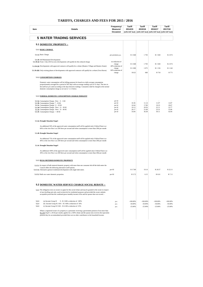|       |                                                                                                                                                                                                                                                                                                                                                                                 | Frequency/                           | Tariff                                                                 | Tariff         | Tariff         | Tariff         |
|-------|---------------------------------------------------------------------------------------------------------------------------------------------------------------------------------------------------------------------------------------------------------------------------------------------------------------------------------------------------------------------------------|--------------------------------------|------------------------------------------------------------------------|----------------|----------------|----------------|
| ltem  | <b>Details</b>                                                                                                                                                                                                                                                                                                                                                                  | Measure/<br>Occasion                 | 2014/15<br>(14% VAT Incl) (14% VAT Incl) (14% VAT Incl) (14% VAT Incl) | 2015/16        | 2016/17        | 2017/18        |
|       |                                                                                                                                                                                                                                                                                                                                                                                 |                                      |                                                                        |                |                |                |
|       | <b>5 WATER TRADING SERVICES</b>                                                                                                                                                                                                                                                                                                                                                 |                                      |                                                                        |                |                |                |
|       | <b>5.1 DOMESTIC PROPERTY:-</b>                                                                                                                                                                                                                                                                                                                                                  |                                      |                                                                        |                |                |                |
|       | 5.1.1 BASIC CHARGE                                                                                                                                                                                                                                                                                                                                                              |                                      |                                                                        |                |                |                |
|       | 5.1.1a Basic Charge                                                                                                                                                                                                                                                                                                                                                             | per premises p.a.                    | R 1 668                                                                | 1793           | R1928          | R 2 072        |
|       | 5.1.1b Self Maintained Developments<br>5.1.1b (i) From 1 July 2010 no new developments will qualify for this reduced charge                                                                                                                                                                                                                                                     | no reduction of                      | R 1 668                                                                | 1793           | R1928          | R 2072         |
|       | 5.1.1b (ii) Developments with approved contracts will qualify for a rebate (Hunters Village and Hunters Estate)                                                                                                                                                                                                                                                                 | charge<br>40% reduction of           | R 1 000                                                                | 1075           | R1156          | R1242          |
|       | 5.1.1b (iii) Only existing phases of developments with approved contracts will qualify for a rebate (Own Haven)                                                                                                                                                                                                                                                                 | charge<br>60% reduction of<br>charge | R 621                                                                  | 668            | R 718          | R 771          |
|       | 5.1.2 CONSUMPTION CHARGES                                                                                                                                                                                                                                                                                                                                                       |                                      |                                                                        |                |                |                |
|       | Domestic water consumption will for billing purposes be based on a daily average consumption<br>proportionately averaged for a period of 365 days with an average reading cycle of 31 days. The tiers in<br>the tariff are pro rated according to the days between readings. Consumers shall be charged at the normal<br>domestic consumption charge as set out in 5.1.3 below. |                                      |                                                                        |                |                |                |
|       | 5.1.3 NORMAL DOMESTIC CONSUMPTION CHARGE INDIGENT                                                                                                                                                                                                                                                                                                                               |                                      |                                                                        |                |                |                |
|       | 5.1.3a Consumption Charge: First 0 - 6 Kl<br>5.1.3b Consumption Charge: 7 - 10 Kl                                                                                                                                                                                                                                                                                               | per kl<br>per kl                     | 10.36                                                                  | 11.14          | 11.97          | 12.87          |
|       | 5.1.3c Consumption Charge: 11 - 20 Kl                                                                                                                                                                                                                                                                                                                                           | per kl                               | 16.64                                                                  | 17.89          | 19.23          | 20.67          |
|       | 5.1.3d Consumption Charge: Next 21 - 30 Kl<br>5.1.3e Consumption Charge : Next 31 - 40 Kl                                                                                                                                                                                                                                                                                       | per kl<br>per kl                     | 19.13<br>20.17                                                         | 20.56<br>21.68 | 22.11<br>23.31 | 23.77<br>25.06 |
|       | 5.1.3f. Consumption Charge : > 40 Kl                                                                                                                                                                                                                                                                                                                                            | per kl                               | 33.84                                                                  | 36.38          | 39.11          | 42.04          |
|       | 5.1.4a Drought Situation Stage1                                                                                                                                                                                                                                                                                                                                                 |                                      |                                                                        |                |                |                |
|       | An additional 50% of the approved water consumption tariff will be applied only if Akloof Dam is at<br>60% or the river flow is at 200 litres per second and when consumption is more than 20kl per month                                                                                                                                                                       |                                      |                                                                        |                |                |                |
|       | 5.1.4b Drought Situation Stage2                                                                                                                                                                                                                                                                                                                                                 |                                      |                                                                        |                |                |                |
|       | An additional 75% of the approved water consumption tariff will be applied only if Akloof Dam is at<br>40% or the river flow is at 200 litres per second and when consumption is more than 20kl per month                                                                                                                                                                       |                                      |                                                                        |                |                |                |
|       | 5.1.4c Drought Situation Stage3                                                                                                                                                                                                                                                                                                                                                 |                                      |                                                                        |                |                |                |
|       | An additional 100% of the approved water consumption tariff will be applied only if Akloof Dam is at<br>30% or the river flow is at 200 litres per second and when consumption is more than 20kl per month                                                                                                                                                                      |                                      |                                                                        |                |                |                |
|       | 5.1.5 BULK METERED DOMESTIC PROPERTY                                                                                                                                                                                                                                                                                                                                            |                                      |                                                                        |                |                |                |
|       | 5.1.5.1 In respect of bulk metered domestic property with more than one consumer fed off the bulk meter the                                                                                                                                                                                                                                                                     |                                      |                                                                        |                |                |                |
|       | Council offers the following alternative tariff options.<br>5.1.5.1a Alternative general residential development with single bulk meter.                                                                                                                                                                                                                                        | per Kl                               | R 17.80                                                                | 19.14          | R 20.57        | R 22.11        |
|       | 5.1.5.2 Bulk raw water domestic properties.                                                                                                                                                                                                                                                                                                                                     | per Kl                               | R 5.72                                                                 | 6.15           | R 6.61         | R 7.11         |
|       |                                                                                                                                                                                                                                                                                                                                                                                 |                                      |                                                                        |                |                |                |
|       | <b>5.2 DOMESTIC WATER SERVICE CHARGE SOCIAL REBATE:-</b>                                                                                                                                                                                                                                                                                                                        |                                      |                                                                        |                |                |                |
|       | 5.2.1 The obligation rests on owners to apply for this social rebate and may be granted to the owner in respect<br>of one dwelling unit only, used exclusively for residential purposes and provided the owner submits<br>acceptable proof that the combined gross monthly income of his and his spouse does not exceed :-                                                      |                                      |                                                                        |                |                |                |
| 5.2.1 | (a) Income Group R<br>0 - R 2 600 a reduction of 100%                                                                                                                                                                                                                                                                                                                           | p.a.                                 | $-100.00%$                                                             | $-100.00%$     | $-100.00%$     | $-100.00%$     |
| 5.2.1 | (b) Income Group R $2601 - R3600$ a reduction of $50\%$                                                                                                                                                                                                                                                                                                                         | p.a.                                 | $-50.00%$                                                              | $-50.00%$      | $-50.00%$      | $-50.00%$      |
| 5.2.1 | (c) Income Group R $3601 - R4200$ a reduction of $25%$                                                                                                                                                                                                                                                                                                                          | p.a.                                 | $-25.00%$                                                              | $-25.00%$      | $-25.00%$      | $-25.00%$      |
|       | Where a registered owner of a property is a pensioner receiving a government pension of not more than<br>R1,350 [April 1, 2014] per month, applies for a 100% rebate and the spouse also receives the equivalent<br>pension they be accommodated provided there are no other contributors to the household income.                                                              |                                      |                                                                        |                |                |                |
|       |                                                                                                                                                                                                                                                                                                                                                                                 |                                      |                                                                        |                |                |                |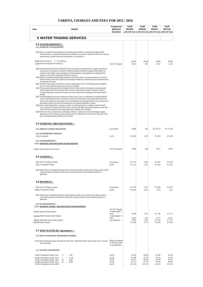| Item | Details                                                                                                                                                                                                                                                                                                                                                                                                                                                                                                                                                                                                                                                                                                                                                                                                                                                                                                                                                                                                                                                                                                                                                                                                                                                                                                                                                                                                                                                                                                                                                                                                                                                                                                                                                                                                                                                                                                                                                                                                                                                                                                                                                                                                                        | Frequency/<br>Measure/<br>Occasion                           | Tariff<br>2014/15           | Tariff<br>2015/16           | Tariff<br>2016/17<br>(14% VAT Incl) (14% VAT Incl) (14% VAT Incl) (14% VAT Incl) | Tariff<br>2017/18           |
|------|--------------------------------------------------------------------------------------------------------------------------------------------------------------------------------------------------------------------------------------------------------------------------------------------------------------------------------------------------------------------------------------------------------------------------------------------------------------------------------------------------------------------------------------------------------------------------------------------------------------------------------------------------------------------------------------------------------------------------------------------------------------------------------------------------------------------------------------------------------------------------------------------------------------------------------------------------------------------------------------------------------------------------------------------------------------------------------------------------------------------------------------------------------------------------------------------------------------------------------------------------------------------------------------------------------------------------------------------------------------------------------------------------------------------------------------------------------------------------------------------------------------------------------------------------------------------------------------------------------------------------------------------------------------------------------------------------------------------------------------------------------------------------------------------------------------------------------------------------------------------------------------------------------------------------------------------------------------------------------------------------------------------------------------------------------------------------------------------------------------------------------------------------------------------------------------------------------------------------------|--------------------------------------------------------------|-----------------------------|-----------------------------|----------------------------------------------------------------------------------|-----------------------------|
|      | <b>5 WATER TRADING SERVICES</b>                                                                                                                                                                                                                                                                                                                                                                                                                                                                                                                                                                                                                                                                                                                                                                                                                                                                                                                                                                                                                                                                                                                                                                                                                                                                                                                                                                                                                                                                                                                                                                                                                                                                                                                                                                                                                                                                                                                                                                                                                                                                                                                                                                                                |                                                              |                             |                             |                                                                                  |                             |
|      |                                                                                                                                                                                                                                                                                                                                                                                                                                                                                                                                                                                                                                                                                                                                                                                                                                                                                                                                                                                                                                                                                                                                                                                                                                                                                                                                                                                                                                                                                                                                                                                                                                                                                                                                                                                                                                                                                                                                                                                                                                                                                                                                                                                                                                |                                                              |                             |                             |                                                                                  |                             |
|      | <b>5.3 WATER DEPOSITS :-</b><br>5.3.1 DOMESTIC WATER DEPOSIT                                                                                                                                                                                                                                                                                                                                                                                                                                                                                                                                                                                                                                                                                                                                                                                                                                                                                                                                                                                                                                                                                                                                                                                                                                                                                                                                                                                                                                                                                                                                                                                                                                                                                                                                                                                                                                                                                                                                                                                                                                                                                                                                                                   |                                                              |                             |                             |                                                                                  |                             |
|      | 5.3.2 Prior to a standard metered supply of water being made available a consumer must lodge with the<br>Director Finance a cash deposit determined by taking into account the combined income of the consumer<br>and his spouse, proof of which must be provided, as set out below :-                                                                                                                                                                                                                                                                                                                                                                                                                                                                                                                                                                                                                                                                                                                                                                                                                                                                                                                                                                                                                                                                                                                                                                                                                                                                                                                                                                                                                                                                                                                                                                                                                                                                                                                                                                                                                                                                                                                                         |                                                              |                             |                             |                                                                                  |                             |
|      | 5.3.2a Income Group R 0 - R 4,200 p.m.<br>5.3.2b Income Group above R 4,200 p.m.                                                                                                                                                                                                                                                                                                                                                                                                                                                                                                                                                                                                                                                                                                                                                                                                                                                                                                                                                                                                                                                                                                                                                                                                                                                                                                                                                                                                                                                                                                                                                                                                                                                                                                                                                                                                                                                                                                                                                                                                                                                                                                                                               | No VAT Charged                                               | R 0.00<br>R 913             | R 0.00<br>981               | R 0.00<br>1055                                                                   | R 0.00<br>1 1 3 4           |
|      | 5.4.3 Determined by the Director Technical Services on receipt of an application for a supply connection or<br>reconnection to a property to be used for industrial purposes wherein the applicant shall indicate an<br>estimate of the monthly water consumption. The initial deposit or bank guarantee so lodged shall be<br>subject to review after 3 months by the Director Finance.<br>5.3.4 Despite a consumer having lodged a deposit in terms of the scale of consumers deposits as set out the<br>Director Finance shall review and increase the deposit should the consumer have to be disconnected for<br>non-payment of account.<br>5.3.5 That the Council agrees to the Director Finance conducting a review of all bank guarantees lodged in<br>lieu of a water consumer deposit every two years in August.<br>5.3.6 The increased water guarantee to be lodged with the Council shall be the equivalent amount payable<br>under the applicable water tariff which the consumer, in the Director Finance's opinion, is likely to<br>consume during three consecutive months and is to be based on the consumption over the previous 6<br>months.<br>5.3.7 Notwithstanding the provision the Director Finance may, in lieu of a cash deposit exceeding R500.00,<br>accept a bank guarantee from a consumer as security for the payment of any account that may become<br>due by such consumer for the supply of water, provided that such guarantee shall be for an amount to be<br>determined in terms of the above provisions and is in a format acceptable to Council.<br>5.3.8 Any security deposited by a customer in cash or as a bank guarantee for a supply of electricity shall<br>cover a supply of 3 months and shall be held as security to be offset against the customers account only<br>in the event of termination of the supply agreement or default of the consumer.<br>5.3.9 In the event that a customer has not claimed a refund of a cash deposit, after terminating the supply<br>agreement or has for whatever reason ceased to receive a supply for one year, then on the expiry of one<br>year such deposit shall be forfeited to the Council.<br><b>5.4 SPORTING ORGANISATIONS :-</b> |                                                              |                             |                             |                                                                                  |                             |
|      | 5.4.1 SERVICE CHARGE PER ANNUM                                                                                                                                                                                                                                                                                                                                                                                                                                                                                                                                                                                                                                                                                                                                                                                                                                                                                                                                                                                                                                                                                                                                                                                                                                                                                                                                                                                                                                                                                                                                                                                                                                                                                                                                                                                                                                                                                                                                                                                                                                                                                                                                                                                                 | per premises                                                 | R 898                       | 965                         | R 1 037.75                                                                       | R1115.58                    |
|      | 5.4.2 CONSUMPTION CHARGES                                                                                                                                                                                                                                                                                                                                                                                                                                                                                                                                                                                                                                                                                                                                                                                                                                                                                                                                                                                                                                                                                                                                                                                                                                                                                                                                                                                                                                                                                                                                                                                                                                                                                                                                                                                                                                                                                                                                                                                                                                                                                                                                                                                                      |                                                              | R 10.30                     | 11.07                       | R 11.90                                                                          | R 12.80                     |
|      | 5.4.1 Consumption<br>5.4.3 WATER DEPOSITS :-                                                                                                                                                                                                                                                                                                                                                                                                                                                                                                                                                                                                                                                                                                                                                                                                                                                                                                                                                                                                                                                                                                                                                                                                                                                                                                                                                                                                                                                                                                                                                                                                                                                                                                                                                                                                                                                                                                                                                                                                                                                                                                                                                                                   | per Kl                                                       |                             |                             |                                                                                  |                             |
|      | 5.4.3.1 SPORTING ORGANISATIONS WATER DEPOSIT                                                                                                                                                                                                                                                                                                                                                                                                                                                                                                                                                                                                                                                                                                                                                                                                                                                                                                                                                                                                                                                                                                                                                                                                                                                                                                                                                                                                                                                                                                                                                                                                                                                                                                                                                                                                                                                                                                                                                                                                                                                                                                                                                                                   |                                                              |                             |                             |                                                                                  |                             |
|      | 5.4.3.1a Sports Bodies Water Deposit                                                                                                                                                                                                                                                                                                                                                                                                                                                                                                                                                                                                                                                                                                                                                                                                                                                                                                                                                                                                                                                                                                                                                                                                                                                                                                                                                                                                                                                                                                                                                                                                                                                                                                                                                                                                                                                                                                                                                                                                                                                                                                                                                                                           | No VAT Charged                                               | R 408                       | 439                         | R 471                                                                            | R 507                       |
|      | <b>5.5 SCHOOLS:</b>                                                                                                                                                                                                                                                                                                                                                                                                                                                                                                                                                                                                                                                                                                                                                                                                                                                                                                                                                                                                                                                                                                                                                                                                                                                                                                                                                                                                                                                                                                                                                                                                                                                                                                                                                                                                                                                                                                                                                                                                                                                                                                                                                                                                            |                                                              |                             |                             |                                                                                  |                             |
|      | 5.5.1 Service Charge per annum<br>5.5.2 Consumption Charge                                                                                                                                                                                                                                                                                                                                                                                                                                                                                                                                                                                                                                                                                                                                                                                                                                                                                                                                                                                                                                                                                                                                                                                                                                                                                                                                                                                                                                                                                                                                                                                                                                                                                                                                                                                                                                                                                                                                                                                                                                                                                                                                                                     | per premises<br>per Kl                                       | R 2 775<br>R 11.47          | 2983<br>12.33               | R 3 207<br>R 13.26                                                               | R 3 447<br>R 14.25          |
|      | 5.5.3 Where there are residential premises on the school property and a unique service charge is paid on each<br>of these premises an allowance of 6Kl of free water per month for each residential premises is<br>applicable.                                                                                                                                                                                                                                                                                                                                                                                                                                                                                                                                                                                                                                                                                                                                                                                                                                                                                                                                                                                                                                                                                                                                                                                                                                                                                                                                                                                                                                                                                                                                                                                                                                                                                                                                                                                                                                                                                                                                                                                                 |                                                              |                             |                             |                                                                                  |                             |
|      | 5.6 BUSINESS :-                                                                                                                                                                                                                                                                                                                                                                                                                                                                                                                                                                                                                                                                                                                                                                                                                                                                                                                                                                                                                                                                                                                                                                                                                                                                                                                                                                                                                                                                                                                                                                                                                                                                                                                                                                                                                                                                                                                                                                                                                                                                                                                                                                                                                |                                                              |                             |                             |                                                                                  |                             |
|      | 5.6.1 Service Charge per annum<br>5.6.1a Consumption Charge                                                                                                                                                                                                                                                                                                                                                                                                                                                                                                                                                                                                                                                                                                                                                                                                                                                                                                                                                                                                                                                                                                                                                                                                                                                                                                                                                                                                                                                                                                                                                                                                                                                                                                                                                                                                                                                                                                                                                                                                                                                                                                                                                                    | per premises<br>per Kl                                       | R 3 370<br>R 19.94          | 3623<br>21.44               | R 3 894<br>R 23                                                                  | R4187<br>R 25               |
|      | 5.6.2 Where there are residential premises on the business property and a unique service charge is paid on<br>each of these premises an allowance of 6Kl of free water per month for each residential premises is<br>applicable.                                                                                                                                                                                                                                                                                                                                                                                                                                                                                                                                                                                                                                                                                                                                                                                                                                                                                                                                                                                                                                                                                                                                                                                                                                                                                                                                                                                                                                                                                                                                                                                                                                                                                                                                                                                                                                                                                                                                                                                               |                                                              |                             |                             |                                                                                  |                             |
|      | 5.6.3 WATER DEPOSITS :-<br>5.6.3.1 BUSINESS / OTHER - ORGANISATIONS WATER DEPOSIT                                                                                                                                                                                                                                                                                                                                                                                                                                                                                                                                                                                                                                                                                                                                                                                                                                                                                                                                                                                                                                                                                                                                                                                                                                                                                                                                                                                                                                                                                                                                                                                                                                                                                                                                                                                                                                                                                                                                                                                                                                                                                                                                              |                                                              |                             |                             |                                                                                  |                             |
|      | 5.6.3.1a Business Water Deposit                                                                                                                                                                                                                                                                                                                                                                                                                                                                                                                                                                                                                                                                                                                                                                                                                                                                                                                                                                                                                                                                                                                                                                                                                                                                                                                                                                                                                                                                                                                                                                                                                                                                                                                                                                                                                                                                                                                                                                                                                                                                                                                                                                                                | No VAT Charged<br>3 month supply $+/$<br>61KI                | R 944                       | 1015                        | R1106                                                                            | R 1 173                     |
|      | 5.6.3.1b Other Properties Water Deposit                                                                                                                                                                                                                                                                                                                                                                                                                                                                                                                                                                                                                                                                                                                                                                                                                                                                                                                                                                                                                                                                                                                                                                                                                                                                                                                                                                                                                                                                                                                                                                                                                                                                                                                                                                                                                                                                                                                                                                                                                                                                                                                                                                                        | 3 month supply $+/-$<br>61KI                                 | R 492                       | 529                         | R 577                                                                            | R 611                       |
|      | 5.6.3.1c Industrial Concerns Water Deposit<br>5.6.3.1.d School Deposit                                                                                                                                                                                                                                                                                                                                                                                                                                                                                                                                                                                                                                                                                                                                                                                                                                                                                                                                                                                                                                                                                                                                                                                                                                                                                                                                                                                                                                                                                                                                                                                                                                                                                                                                                                                                                                                                                                                                                                                                                                                                                                                                                         | On Application                                               | R 944<br>R 2 580            | 1015<br>2 7 7 4             | R 1 106<br>R 3 023                                                               | R1173<br>R 3 205            |
|      | 5.7 <u>RAW WATER (By Agreement)</u> : -                                                                                                                                                                                                                                                                                                                                                                                                                                                                                                                                                                                                                                                                                                                                                                                                                                                                                                                                                                                                                                                                                                                                                                                                                                                                                                                                                                                                                                                                                                                                                                                                                                                                                                                                                                                                                                                                                                                                                                                                                                                                                                                                                                                        |                                                              |                             |                             |                                                                                  |                             |
|      | 5.7.1 RAW WATER BASIC OR MINIMUM CHARGE                                                                                                                                                                                                                                                                                                                                                                                                                                                                                                                                                                                                                                                                                                                                                                                                                                                                                                                                                                                                                                                                                                                                                                                                                                                                                                                                                                                                                                                                                                                                                                                                                                                                                                                                                                                                                                                                                                                                                                                                                                                                                                                                                                                        |                                                              |                             |                             |                                                                                  |                             |
|      | 5.7.1a Water Minimum Charge: Sparrebosch Golf Course - Bigai Stream Raw Water Supply Line (Currently<br>not in operation)                                                                                                                                                                                                                                                                                                                                                                                                                                                                                                                                                                                                                                                                                                                                                                                                                                                                                                                                                                                                                                                                                                                                                                                                                                                                                                                                                                                                                                                                                                                                                                                                                                                                                                                                                                                                                                                                                                                                                                                                                                                                                                      | Based on minimum<br>of 50 Kl per month<br>at rate applicable |                             |                             |                                                                                  |                             |
|      | 5.7.2 WATER CONSUMPTION                                                                                                                                                                                                                                                                                                                                                                                                                                                                                                                                                                                                                                                                                                                                                                                                                                                                                                                                                                                                                                                                                                                                                                                                                                                                                                                                                                                                                                                                                                                                                                                                                                                                                                                                                                                                                                                                                                                                                                                                                                                                                                                                                                                                        |                                                              |                             |                             |                                                                                  |                             |
|      | 5.7.2a Consumption Charge : First<br>6 Kl<br>$\mathbf{0}$<br>$\overline{\phantom{a}}$<br>7<br>15 KI                                                                                                                                                                                                                                                                                                                                                                                                                                                                                                                                                                                                                                                                                                                                                                                                                                                                                                                                                                                                                                                                                                                                                                                                                                                                                                                                                                                                                                                                                                                                                                                                                                                                                                                                                                                                                                                                                                                                                                                                                                                                                                                            | per Kl<br>per Kl                                             | R 0.00<br>R 2.88            | R 0.00<br>R 3.10            | R 0.00<br>R 3.33                                                                 | R 0.00<br>R 3.58            |
|      | 5.7.2b Consumption Charge: Next<br>5.7.2c Consumption Charge: Next<br>30 Kl<br>16<br>5.7.2d Consumption Charge: Next<br>31<br>60 Kl<br>×.<br>5.7.2e Consumption excess of 60 kl                                                                                                                                                                                                                                                                                                                                                                                                                                                                                                                                                                                                                                                                                                                                                                                                                                                                                                                                                                                                                                                                                                                                                                                                                                                                                                                                                                                                                                                                                                                                                                                                                                                                                                                                                                                                                                                                                                                                                                                                                                                | per Kl<br>per Kl<br>per Kl                                   | R 4.32<br>R 7.21<br>R 11.53 | R 4.64<br>R 7.75<br>R 12.39 | R 4.99<br>R 8.33<br>R 13.32                                                      | R 5.37<br>R 8.96<br>R 14.32 |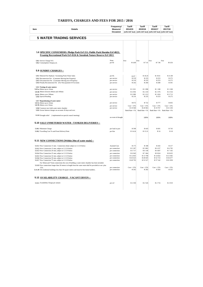| Item | <b>Details</b>                                                                                                           | Frequency/<br>Measure/<br>Occasion | <b>Tariff</b><br>2014/15<br>(14% VAT Incl) (14% VAT Incl) (14% VAT Incl) (14% VAT Incl) | <b>Tariff</b><br>2015/16 | <b>Tariff</b><br>2016/17 | <b>Tariff</b><br>2017/18 |
|------|--------------------------------------------------------------------------------------------------------------------------|------------------------------------|-----------------------------------------------------------------------------------------|--------------------------|--------------------------|--------------------------|
|      | <b>5 WATER TRADING SERVICES</b>                                                                                          |                                    |                                                                                         |                          |                          |                          |
|      |                                                                                                                          |                                    |                                                                                         |                          |                          |                          |
|      |                                                                                                                          |                                    |                                                                                         |                          |                          |                          |
|      |                                                                                                                          |                                    |                                                                                         |                          |                          |                          |
|      | 5.8 SPECIFIC CONSUMERS: Pledge Park Erf 211; Public Park Hornlee Erf 4822;                                               |                                    |                                                                                         |                          |                          |                          |
|      | Fraaisig Recreational Park Erf 4526 & Steenbok Nature Reserve Erf 2813                                                   |                                    |                                                                                         |                          |                          |                          |
|      | 5.8.1 Service Charge N/A                                                                                                 | None                               | Free                                                                                    | Free                     | Free                     | Free                     |
|      | 5.8.2 Consumption Charge p.m.                                                                                            | per Kl                             | R 6.89                                                                                  | R 7.41                   | R 7.96                   | R 8.56                   |
|      |                                                                                                                          |                                    |                                                                                         |                          |                          |                          |
|      | 5.9 SUNDRY CHARGES :-                                                                                                    |                                    |                                                                                         |                          |                          |                          |
|      | 5.9.1 Metered Fire Hydrant / Swimming Pools Water Sales                                                                  | per Kl.                            | 16.97                                                                                   | R 18.24                  | R 19.61                  | R 21.08                  |
|      | 5.9.2 Reconnection Fee (Consumer Moving Into Property)                                                                   | per service                        | R 219<br>R 219                                                                          | R 235<br>R 235           | R 253<br>R 253           | R 272<br>R 272           |
|      | 5.9.3 Disconnection Fee (Consumer Moving out of Property)<br>5.9.4 Penalty Reconnection Fee (For Non-payment Of Account) | per service<br>per service         | R 242                                                                                   | R 260                    | R 280                    | R 301                    |
|      |                                                                                                                          |                                    |                                                                                         |                          |                          |                          |
|      | 5.9.5 Testing of water meters<br>5.9.5.a Meters up to 32mm                                                               | per service                        | R 1 021                                                                                 | R <sub>1</sub> 098       | R 1 180                  | R <sub>1</sub> 268       |
|      | 5.9.5b Meters between 40mm and 100mm                                                                                     | per service                        | R 2 0 5 6                                                                               | R 2.210                  | R 2 376                  | R 2.554                  |
|      | 5.9.5c Meters over 100mm                                                                                                 | per service                        | R 2 989                                                                                 | R 3 213                  | R 3 454                  | R 3 713                  |
|      | 5.9.6 Special Reading                                                                                                    | per service                        | R 219                                                                                   | R 235                    | R 253                    | R 272                    |
|      | 5.9.7 Repositioning of water meter                                                                                       |                                    |                                                                                         |                          |                          |                          |
|      | 5.9.7a Meters up to 32mm<br>5.9.7b Meters over 32mm                                                                      | per service                        | R 672                                                                                   | R 722                    | R 777                    | R 835                    |
|      |                                                                                                                          | per service                        | $Cost + 15%$<br>R 19 500                                                                | $Cost + 15%$<br>R 20 963 | $Cost + 15%$<br>R 19767  | $Cost + 15%$<br>R 21 250 |
|      | 5.9.8 Construct new bulk water meter chamber<br>5.9.9 Arrear Interest charges on accounts 30 days and over.              | per service                        | Bank Rate +1%                                                                           | Bank Rate +1%            | Bank Rate $+1\%$         | Bank Rate $+1$ %         |
|      |                                                                                                                          |                                    |                                                                                         |                          |                          |                          |
|      | 5.9.10 Drought relief (implemented on special council meeting)                                                           | on event of drought                |                                                                                         | 100%                     | 100%                     | 100%                     |
|      | <b>5.10 SALE UNMETERED WATER: TANKER DELIVERIES:-</b>                                                                    |                                    |                                                                                         |                          |                          |                          |
|      |                                                                                                                          |                                    |                                                                                         |                          |                          |                          |
|      | 5.10.1 Minimum Charge                                                                                                    | per load or part                   | R 598                                                                                   | R 643                    | R 691                    | R 743                    |
|      | 5.10.2 Travelling Cost To and From Delivery Point                                                                        | per Km                             | R 14.24                                                                                 | R 15.31                  | R 16                     | R 18                     |
|      |                                                                                                                          |                                    |                                                                                         |                          |                          |                          |
|      | 5.11 NEW CONNECTIONS [Within 20m of water main] :-                                                                       |                                    |                                                                                         |                          |                          |                          |
|      | 5.11.1 New Connection 15 mm - Connection rebate subject to 5.13.9 below                                                  | <b>Assisted Cost</b>               | R 175                                                                                   | R 188                    | R 202                    | R 217                    |
|      | 5.11.2 New Connection 15 mm, subject to 5.13.9 below                                                                     | per connection                     | R 5 397                                                                                 | R 5 802                  | R 6 237                  | R 6 705                  |
|      | 5.11.3 New Connection 20 mm, subject to 5.13.9 below                                                                     | per connection                     | R 5 717                                                                                 | R 6 146                  | R 6 607                  | R 7 102                  |
|      | 5.11.4 New Connection 25 mm, subject to 5.13.9 below                                                                     | per connection                     | R 6 943                                                                                 | R 7 4 6 4                | R 8 024                  | R 8 625                  |
|      | 5.11.5 New Connection 32 mm, subject to 5.13.9 below                                                                     | per connection                     | R 12 835                                                                                | R 13798                  | R 14 832                 | R 15 945                 |
|      | 5.11.6 New Connection 50 mm, subject to 5.13.9 below<br>5.11.7 New Connection 75 mm, subject to 5.13.9 below             | per connection<br>per connection   | R 45 623<br>R 49 793                                                                    | R 49 045<br>R 53 527     | R 52 723<br>R 57 542     | R 56 677<br>R 61 858     |
|      | For 50mm and 75mm connections the cost of building a water meter chamber has been included.                              |                                    |                                                                                         |                          |                          |                          |
|      | 5.11.9 New connections longer than 20 meters in length from the water main shall be provided at cost plus                |                                    |                                                                                         |                          |                          |                          |
|      | 15%                                                                                                                      | per connection                     | $Cost + 15%$                                                                            | $Cost + 15%$             | $Cost + 15%$             | $Cost + 15%$             |
|      | 5.11.10 All residential buildings less than 50 square meters and must be first home builders.                            | per connection                     | R 262                                                                                   | R 282                    | R 303                    | R 325                    |
|      | 5.12 AVAILABILITY CHARGE - VACANT ERVEN :-                                                                               |                                    |                                                                                         |                          |                          |                          |
|      | 5.12.1 Availability Charge per annum                                                                                     | per erf                            | R 2 350                                                                                 | R 2 5 2 6                | R 2716                   | R 2 9 1 9                |
|      |                                                                                                                          |                                    |                                                                                         |                          |                          |                          |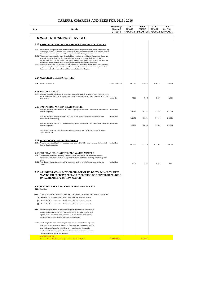| Item          | <b>Details</b>                                                                                                                                                                                                                      | Frequency/<br>Measure/ | Tariff<br>2014/15 | Tariff<br>2015/16                                           | Tariff<br>2016/17 | Tariff<br>2017/18 |
|---------------|-------------------------------------------------------------------------------------------------------------------------------------------------------------------------------------------------------------------------------------|------------------------|-------------------|-------------------------------------------------------------|-------------------|-------------------|
|               |                                                                                                                                                                                                                                     | Occasion               |                   | (14% VAT Incl) (14% VAT Incl) (14% VAT Incl) (14% VAT Incl) |                   |                   |
|               | <b>5 WATER TRADING SERVICES</b>                                                                                                                                                                                                     |                        |                   |                                                             |                   |                   |
|               |                                                                                                                                                                                                                                     |                        |                   |                                                             |                   |                   |
|               | 5.13 PROVISIONS APPLICABLE TO PAYMENT OF ACCOUNTS :-                                                                                                                                                                                |                        |                   |                                                             |                   |                   |
|               | 5.13.1 The consumer shall pay the above-mentioned monthly accounts provided that if the consumer fails to pay<br>such charges after the Council has taken such steps as it may consider reasonable to collect such charges,         |                        |                   |                                                             |                   |                   |
|               | the owner of the premises shall be liable to pay on demand such charges as remain.<br>5.13.2 All accounts become payable when dispatched from the offices of the Director Finance, and should any                                   |                        |                   |                                                             |                   |                   |
|               | amount remain unpaid after the date reflected on the account, the Council shall have the right to<br>disconnect the service to which the account relates without further notice. The due date reflected on the                      |                        |                   |                                                             |                   |                   |
|               | account shall not be less than ten calendar days from the date of dispatch of the account.<br>5.13.3 An error or omission in any account or failure to render an account shall not relieve the consumer of his                      |                        |                   |                                                             |                   |                   |
|               | obligation to pay the correct amount due, and the onus shall be on the consumer to satisfy himself that<br>the account rendered is in accordance with the prescribed tariff of charges.                                             |                        |                   |                                                             |                   |                   |
|               |                                                                                                                                                                                                                                     |                        |                   |                                                             |                   |                   |
|               | <b>5.14 WATER AUGMENTATION FEE</b>                                                                                                                                                                                                  |                        |                   |                                                             |                   |                   |
|               | 5.14.1 Water Augmentation                                                                                                                                                                                                           | Per equivalent erf     | R 46 918          | R 50 437                                                    | R 54 220          | R 58 286          |
|               |                                                                                                                                                                                                                                     |                        |                   |                                                             |                   |                   |
|               | <b>5.15 SERVICE CALLS</b>                                                                                                                                                                                                           |                        |                   |                                                             |                   |                   |
|               | 5.15.1 When the Council is called upon by a consumer to attend to any fault or failure of supply at his premises<br>and such fault or failure is not attributed to the Council's staff or equipment, the fee for such service shall |                        |                   |                                                             |                   |                   |
|               | be as follows :-                                                                                                                                                                                                                    | per service            | R 321             | R 345                                                       | R 371             | R 399             |
|               |                                                                                                                                                                                                                                     |                        |                   |                                                             |                   |                   |
|               | 5.16 TAMPERING WITH PREPAID METERS<br>A service charge for the first incident of a meter tampering will be billed to the customer who benefited per incident                                                                        |                        |                   |                                                             |                   |                   |
|               | from the tampering.                                                                                                                                                                                                                 |                        | R 1 1 1 5         | R 1 199                                                     | R1289             | R1385             |
|               | A service charge for the second incident of a meter tampering will be billed to the customer who<br>benefited from the tampering.                                                                                                   | per incident           | R <sub>1650</sub> | R 1 774                                                     | R1907             | R 2 050           |
|               | A service charge for the third incident of a meter tampering will be billed to the customer who benefited per incident                                                                                                              |                        |                   |                                                             |                   |                   |
|               | from the tampering.                                                                                                                                                                                                                 |                        | R 2 201           | R 2 3 6 6                                                   | R 2 544           | R 2 7 3 4         |
|               | After the 4th tamper the meter shall be removed and a new connection fee shall be payable before<br>supply is re-instated.                                                                                                          |                        |                   |                                                             |                   |                   |
|               |                                                                                                                                                                                                                                     |                        |                   |                                                             |                   |                   |
|               | <b>5.17 ILLEGAL WATER CONNECTIONS</b>                                                                                                                                                                                               |                        |                   |                                                             |                   |                   |
|               | 5.17.1 A fine for connecting illegally to a municipal water main will be billed to the customer who benefited<br>from the illegal connection                                                                                        | per incident           | R 10 435          | R 11 218                                                    | R 12 059          | R 12 963          |
|               |                                                                                                                                                                                                                                     |                        |                   |                                                             |                   |                   |
|               | <b>5.18 SURCHARGE: INACCESSIBLE WATER METERS</b>                                                                                                                                                                                    |                        |                   |                                                             |                   |                   |
|               | 5.18.1 Customers will be notified in writing whenever a water meter has for whatever reason become<br>inaccessible. Consumers will have 14 days from the date of notification to arrange for a reading to be<br>taken               |                        |                   |                                                             |                   |                   |
|               | 5.18.2 A surcharge will thereafter be levied if no response is received on or before the notice period has<br>expired.                                                                                                              | per incident           | R 379             | R 407                                                       | R 438             | R 471             |
|               |                                                                                                                                                                                                                                     |                        |                   |                                                             |                   |                   |
|               | 5.19 A PUNITIVE CONSUMPTION CHARGE OF UP TO 25% ON ALL TARIFFS                                                                                                                                                                      |                        |                   |                                                             |                   |                   |
|               | MAY BE IMPOSED BY SPECIAL RESOLUTION OF COUNCIL DEPENDING<br>ON AVAILABILITY OF RAW WATER                                                                                                                                           |                        |                   |                                                             |                   |                   |
|               |                                                                                                                                                                                                                                     |                        |                   |                                                             |                   |                   |
|               | <b>5.20 WATER LEAKS RESULTING FROM PIPE BURSTS</b>                                                                                                                                                                                  |                        |                   |                                                             |                   |                   |
|               | 5.20.1 Conditions                                                                                                                                                                                                                   |                        |                   |                                                             |                   |                   |
|               | 5.20.1.1 Domestic and Business: In terms of water leaks the following Council Policy will apply [CR 28/11/96]                                                                                                                       |                        |                   |                                                             |                   |                   |
| (i)           | Relief of 70% on excess water within 30 days of the first excessive account                                                                                                                                                         |                        |                   |                                                             |                   |                   |
| (ii)<br>(iii) | Relief of 50% on excess water within 60 days of the first excessive account<br>Relief of 30% on excess water within 90 days of the first excessive account                                                                          |                        |                   |                                                             |                   |                   |
|               |                                                                                                                                                                                                                                     |                        |                   |                                                             |                   |                   |
|               | 5.20.1.2 Relief will only be granted on production of a plumber's certificate, verified by the<br>Town -Engineer, or an on-site inspection carried out by the Town Engineer, and                                                    |                        |                   |                                                             |                   |                   |
|               | reported on and recommended for assistance. A sworn affadavit in the case of a                                                                                                                                                      |                        |                   |                                                             |                   |                   |
|               | private individual having repaired the leak is also acceptable.                                                                                                                                                                     |                        |                   |                                                             |                   |                   |
|               | 5.20.2 Rebate recipients: In the case of indigent recipients, and senior citizens (age 60 or                                                                                                                                        |                        |                   |                                                             |                   |                   |
|               | older) a six months average supply prior to the water leak will be made applicable<br>upon production of a plumber's certificate or sworn affidavit in the case of a                                                                |                        |                   |                                                             |                   |                   |
|               | private individual having repaired the leak. The excessive consumption above the                                                                                                                                                    |                        |                   |                                                             |                   |                   |
|               | six monthly average applied, to be waived.<br><b>WATER WASTAGE</b>                                                                                                                                                                  |                        |                   |                                                             |                   |                   |
|               | A fine will be issed for Water Wastage in terms of the Water by law                                                                                                                                                                 | per incident           |                   | 1000.00                                                     |                   |                   |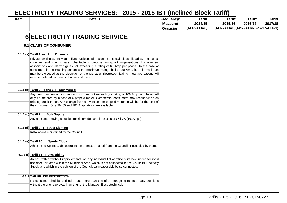|             | ELECTRICITY TRADING SERVICES: 2015 - 2016 IBT (Inclined Block Tariff)                                                                                                                                                                                                                                                                                                                                                                                                                                                             |                                           |                                            |                                                                          |                          |                          |
|-------------|-----------------------------------------------------------------------------------------------------------------------------------------------------------------------------------------------------------------------------------------------------------------------------------------------------------------------------------------------------------------------------------------------------------------------------------------------------------------------------------------------------------------------------------|-------------------------------------------|--------------------------------------------|--------------------------------------------------------------------------|--------------------------|--------------------------|
| <b>Item</b> | <b>Details</b>                                                                                                                                                                                                                                                                                                                                                                                                                                                                                                                    | Frequency/<br>Measure/<br><b>Occasion</b> | <b>Tariff</b><br>2014/15<br>(14% VAT Incl) | <b>Tariff</b><br>2015/16<br>(14% VAT Incl) (14% VAT Incl) (14% VAT Incl) | <b>Tariff</b><br>2016/17 | <b>Tariff</b><br>2017/18 |
|             | <b>6 ELECTRICITY TRADING SERVICE</b>                                                                                                                                                                                                                                                                                                                                                                                                                                                                                              |                                           |                                            |                                                                          |                          |                          |
|             | 6.1 CLASS OF CONSUMER                                                                                                                                                                                                                                                                                                                                                                                                                                                                                                             |                                           |                                            |                                                                          |                          |                          |
|             | 6.1.1 (a) Tariff 1 and 2 : Domestic                                                                                                                                                                                                                                                                                                                                                                                                                                                                                               |                                           |                                            |                                                                          |                          |                          |
|             | Private dwellings, individual flats, unlicensed residential, social clubs, libraries, museums,<br>churches and church halls, charitable institutions, non-profit organisations, homeowners<br>associations and electric gates not exceeding a rating of 60 Amp per phase. In the case of<br>consumers in the Housing Schemes the maximum rating shall be 20 Amp, but this maximum<br>may be exceeded at the discretion of the Manager Electrotechnical. All new applications will<br>only be metered by means of a prepaid meter. |                                           |                                            |                                                                          |                          |                          |
|             | 6.1.1 (b) Tariff $3:4$ and $5:$ Commercial                                                                                                                                                                                                                                                                                                                                                                                                                                                                                        |                                           |                                            |                                                                          |                          |                          |
|             | Any new commercial or industrial consumer not exceeding a rating of 100 Amp per phase, will<br>only be metered by means of a prepaid meter. Commercial consumers may reconnect on an<br>existing credit meter. Any change from conventional to prepaid metering will be for the cost of<br>the consumer. Only 30; 60 and 100 Amp ratings are available.                                                                                                                                                                           |                                           |                                            |                                                                          |                          |                          |
|             | 6.1.1 (c) Tariff $7 :$ Bulk Supply                                                                                                                                                                                                                                                                                                                                                                                                                                                                                                |                                           |                                            |                                                                          |                          |                          |
|             | Any consumer having a notified maximum demand in excess of 66 kVA (101Amps).                                                                                                                                                                                                                                                                                                                                                                                                                                                      |                                           |                                            |                                                                          |                          |                          |
|             | 6.1.1 (d) Tariff 9 : Street Lighting<br>Installations maintained by the Council.                                                                                                                                                                                                                                                                                                                                                                                                                                                  |                                           |                                            |                                                                          |                          |                          |
|             | 6.1.1 (e) Tariff 10 : Sports Clubs                                                                                                                                                                                                                                                                                                                                                                                                                                                                                                |                                           |                                            |                                                                          |                          |                          |
|             | Athletic and Sports Clubs operating on premises leased from the Council or occupied by them.                                                                                                                                                                                                                                                                                                                                                                                                                                      |                                           |                                            |                                                                          |                          |                          |
|             | 6.1.1 (f) Tariff 11 : Availability                                                                                                                                                                                                                                                                                                                                                                                                                                                                                                |                                           |                                            |                                                                          |                          |                          |
|             | An erf, with or without improvements, or, any individual flat or office suite held under sectional<br>title deed, situated within the Municipal Area, which is not connected to the Council's Electricity<br>Supply and which in the opinion of the Council, can reasonably be so connected.                                                                                                                                                                                                                                      |                                           |                                            |                                                                          |                          |                          |
|             | 6.1.2 TARIFF USE RESTRICTION                                                                                                                                                                                                                                                                                                                                                                                                                                                                                                      |                                           |                                            |                                                                          |                          |                          |
|             | No consumer shall be entitled to use more than one of the foregoing tariffs on any premises<br>without the prior approval, in writing, of the Manager Electrotechnical.                                                                                                                                                                                                                                                                                                                                                           |                                           |                                            |                                                                          |                          |                          |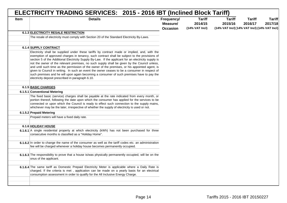|      | ELECTRICITY TRADING SERVICES: 2015 - 2016 IBT (Inclined Block Tariff)                                                                                                                                                                                                                                                                                                                                                                                                                                                                                                                                                                                                                                                                                      |                                           |                                            |                                                                          |                          |                          |
|------|------------------------------------------------------------------------------------------------------------------------------------------------------------------------------------------------------------------------------------------------------------------------------------------------------------------------------------------------------------------------------------------------------------------------------------------------------------------------------------------------------------------------------------------------------------------------------------------------------------------------------------------------------------------------------------------------------------------------------------------------------------|-------------------------------------------|--------------------------------------------|--------------------------------------------------------------------------|--------------------------|--------------------------|
| Item | <b>Details</b>                                                                                                                                                                                                                                                                                                                                                                                                                                                                                                                                                                                                                                                                                                                                             | Frequency/<br>Measure/<br><b>Occasion</b> | <b>Tariff</b><br>2014/15<br>(14% VAT Incl) | <b>Tariff</b><br>2015/16<br>(14% VAT Incl) (14% VAT Incl) (14% VAT Incl) | <b>Tariff</b><br>2016/17 | <b>Tariff</b><br>2017/18 |
|      | 6.1.3 ELECTRICITY RESALE RESTRICTION                                                                                                                                                                                                                                                                                                                                                                                                                                                                                                                                                                                                                                                                                                                       |                                           |                                            |                                                                          |                          |                          |
|      | The resale of electricity must comply with Section 20 of the Standard Electricity By-Laws.                                                                                                                                                                                                                                                                                                                                                                                                                                                                                                                                                                                                                                                                 |                                           |                                            |                                                                          |                          |                          |
|      |                                                                                                                                                                                                                                                                                                                                                                                                                                                                                                                                                                                                                                                                                                                                                            |                                           |                                            |                                                                          |                          |                          |
|      | 6.1.4 SUPPLY CONTRACT                                                                                                                                                                                                                                                                                                                                                                                                                                                                                                                                                                                                                                                                                                                                      |                                           |                                            |                                                                          |                          |                          |
|      | Electricity shall be supplied under these tariffs by contract made or implied, and, with the<br>exemption of approved charges in tenancy, such contract shall be subject to the provisions of<br>section 5 of the Additional Electricity Supply By-Law. If the applicant for an electricity supply is<br>not the owner of the relevant premises, no such supply shall be given by the Council unless,<br>and until such time as the permission of the owner of the premises, or his appointed agent, is<br>given to Council in writing. In such an event the owner ceases to be a consumer in respect of<br>such premises and he will upon again becoming a consumer of such premises have to pay the<br>electricity deposit prescribed in paragraph 6.10. |                                           |                                            |                                                                          |                          |                          |
|      | 6.1.5 BASIC CHARGES                                                                                                                                                                                                                                                                                                                                                                                                                                                                                                                                                                                                                                                                                                                                        |                                           |                                            |                                                                          |                          |                          |
|      | 6.1.5.1 Conventional Metering                                                                                                                                                                                                                                                                                                                                                                                                                                                                                                                                                                                                                                                                                                                              |                                           |                                            |                                                                          |                          |                          |
|      | The fixed basic (service) charges shall be payable at the rate indicated from every month, or<br>portion thereof, following the date upon which the consumer has applied for the services to be<br>connected or upon which the Council is ready to effect such connection to the supply mains,<br>whichever may be the later, irrespective of whether the supply of electricity is used or not.                                                                                                                                                                                                                                                                                                                                                            |                                           |                                            |                                                                          |                          |                          |
|      | 6.1.5.2 Prepaid Metering                                                                                                                                                                                                                                                                                                                                                                                                                                                                                                                                                                                                                                                                                                                                   |                                           |                                            |                                                                          |                          |                          |
|      | Prepaid meters will have a fixed daily rate.                                                                                                                                                                                                                                                                                                                                                                                                                                                                                                                                                                                                                                                                                                               |                                           |                                            |                                                                          |                          |                          |
|      | 6.1.6 HOLIDAY HOUSE                                                                                                                                                                                                                                                                                                                                                                                                                                                                                                                                                                                                                                                                                                                                        |                                           |                                            |                                                                          |                          |                          |
|      | 6.1.6.1 A single residential property at which electricity (kWh) has not been purchased for three<br>consecutive months is classified as a "Holiday Home".                                                                                                                                                                                                                                                                                                                                                                                                                                                                                                                                                                                                 |                                           |                                            |                                                                          |                          |                          |
|      | 6.1.6.2 In order to change the name of the consumer as well as the tariff codes etc. an administration<br>fee will be charged whenever a holiday house becomes permanently occupied.                                                                                                                                                                                                                                                                                                                                                                                                                                                                                                                                                                       |                                           |                                            |                                                                          |                          |                          |
|      | 6.1.6.3 The responsibility to prove that a house is/was physically permanently occupied, will be on the<br>onus of the applicant.                                                                                                                                                                                                                                                                                                                                                                                                                                                                                                                                                                                                                          |                                           |                                            |                                                                          |                          |                          |
|      | 6.1.6.4 The same tariff as Domestic Prepaid Electricity Meter is applicable where a Daily Rate is<br>charged. If the criteria is met, application can be made on a yearly basis for an electrical<br>consumption assessment in order to qualify for the All Inclusive Energy Charge.                                                                                                                                                                                                                                                                                                                                                                                                                                                                       |                                           |                                            |                                                                          |                          |                          |
|      |                                                                                                                                                                                                                                                                                                                                                                                                                                                                                                                                                                                                                                                                                                                                                            |                                           |                                            |                                                                          |                          |                          |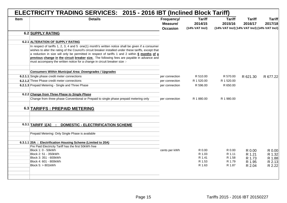|             | ELECTRICITY TRADING SERVICES: 2015 - 2016 IBT (Inclined Block Tariff)                                                                                                                                                                                                                                                                                                                                                                                                                   |                                           |                                            |                                                                          |                          |                          |
|-------------|-----------------------------------------------------------------------------------------------------------------------------------------------------------------------------------------------------------------------------------------------------------------------------------------------------------------------------------------------------------------------------------------------------------------------------------------------------------------------------------------|-------------------------------------------|--------------------------------------------|--------------------------------------------------------------------------|--------------------------|--------------------------|
| <b>Item</b> | <b>Details</b>                                                                                                                                                                                                                                                                                                                                                                                                                                                                          | Frequency/<br>Measure/<br><b>Occasion</b> | <b>Tariff</b><br>2014/15<br>(14% VAT Incl) | <b>Tariff</b><br>2015/16<br>(14% VAT Incl) (14% VAT Incl) (14% VAT Incl) | <b>Tariff</b><br>2016/17 | <b>Tariff</b><br>2017/18 |
|             | 6.2 SUPPLY RATING                                                                                                                                                                                                                                                                                                                                                                                                                                                                       |                                           |                                            |                                                                          |                          |                          |
|             |                                                                                                                                                                                                                                                                                                                                                                                                                                                                                         |                                           |                                            |                                                                          |                          |                          |
|             | 6.2.1 ALTERATION OF SUPPLY RATING                                                                                                                                                                                                                                                                                                                                                                                                                                                       |                                           |                                            |                                                                          |                          |                          |
|             | In respect of tariffs 1, 2, 3, 4 and 5 one(1) month's written notice shall be given if a consumer<br>wishes to alter the rating of the Council's circuit breaker installed under these tariffs, except that<br>a reduction in size will only be permitted in respect of tariffs 1 and 2 within 6 months of a<br>previous change in the circuit breaker size. The following fees are payable in advance and<br>must accompany the written notice for a change in circuit breaker size :- |                                           |                                            |                                                                          |                          |                          |
|             | <b>Consumers Within Municipal Area: Downgrades / Upgrades</b>                                                                                                                                                                                                                                                                                                                                                                                                                           |                                           |                                            |                                                                          |                          |                          |
|             | <b>6.2.1.1</b> Single phase credit meter connections                                                                                                                                                                                                                                                                                                                                                                                                                                    | per connection                            | R 510.00                                   | R 570.00                                                                 | R 621.30                 | R 677.22                 |
|             | 6.2.1.2 Three Phase credit meter connections                                                                                                                                                                                                                                                                                                                                                                                                                                            | per connection                            | R 1 520.00                                 | R 1 520.00                                                               |                          |                          |
|             | 6.2.1.3 Prepaid Metering - Single and Three Phase                                                                                                                                                                                                                                                                                                                                                                                                                                       | per connection                            | R 596.00                                   | R 650.00                                                                 |                          |                          |
|             |                                                                                                                                                                                                                                                                                                                                                                                                                                                                                         |                                           |                                            |                                                                          |                          |                          |
|             | 6.2.2 Change from Three Phase to Single Phase                                                                                                                                                                                                                                                                                                                                                                                                                                           |                                           |                                            |                                                                          |                          |                          |
|             | Change from three phase Conventional or Prepaid to single phase prepaid metering only                                                                                                                                                                                                                                                                                                                                                                                                   | per connection                            | R 1880.00                                  | R 1 980.00                                                               |                          |                          |
|             | 6.3 TARIFFS : PREPAID METERING                                                                                                                                                                                                                                                                                                                                                                                                                                                          |                                           |                                            |                                                                          |                          |                          |
|             | <b>DOMESTIC - ELECTRIFICATION SCHEME</b><br>6.3.1 TARIFF $1[A]$ :                                                                                                                                                                                                                                                                                                                                                                                                                       |                                           |                                            |                                                                          |                          |                          |
|             | Prepaid Metering: Only Single Phase is available                                                                                                                                                                                                                                                                                                                                                                                                                                        |                                           |                                            |                                                                          |                          |                          |
|             | 6.3.1.1 20A : Electrification Housing Scheme (Limited to 20A)                                                                                                                                                                                                                                                                                                                                                                                                                           |                                           |                                            |                                                                          |                          |                          |
|             | Pre Paid Electricity Tariff has the first 50kWh free                                                                                                                                                                                                                                                                                                                                                                                                                                    |                                           |                                            |                                                                          |                          |                          |
|             | Block 1: 0 - 50kWh                                                                                                                                                                                                                                                                                                                                                                                                                                                                      | cents per kWh                             | R 0.00                                     | R 0.00                                                                   | R 0.00                   | R 0.00                   |
|             | Block 2: 51 - 350kWh<br>Block 3: 351 - 600kWh                                                                                                                                                                                                                                                                                                                                                                                                                                           |                                           | R 1.03<br>R 1.41                           | R 1.11<br>R 1.58                                                         | R 1.21<br>R 1.73         | R 1.32<br>R 1.88         |
|             | Block 4: 601 - 800kWh                                                                                                                                                                                                                                                                                                                                                                                                                                                                   |                                           | R 1.53                                     | R 1.79                                                                   | R 1.95                   | R 2.13                   |
|             | Block 5: > 801kWh                                                                                                                                                                                                                                                                                                                                                                                                                                                                       |                                           | R 1.63                                     | R 1.87                                                                   | R 2.04                   | R 2.22                   |
|             |                                                                                                                                                                                                                                                                                                                                                                                                                                                                                         |                                           |                                            |                                                                          |                          |                          |
|             |                                                                                                                                                                                                                                                                                                                                                                                                                                                                                         |                                           |                                            |                                                                          |                          |                          |
|             |                                                                                                                                                                                                                                                                                                                                                                                                                                                                                         |                                           |                                            |                                                                          |                          |                          |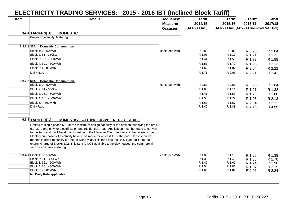|             | <b>Details</b>                                                                                                                                                                                                                                                                                                                                                                                                                                                                                                                                                                                                                                 | ELECTRICITY TRADING SERVICES: 2015 - 2016 IBT (Inclined Block Tariff)<br>Frequency/ | <b>Tariff</b>             | <b>Tariff</b>                                           | <b>Tariff</b>    | <b>Tariff</b>    |
|-------------|------------------------------------------------------------------------------------------------------------------------------------------------------------------------------------------------------------------------------------------------------------------------------------------------------------------------------------------------------------------------------------------------------------------------------------------------------------------------------------------------------------------------------------------------------------------------------------------------------------------------------------------------|-------------------------------------------------------------------------------------|---------------------------|---------------------------------------------------------|------------------|------------------|
| <b>Item</b> |                                                                                                                                                                                                                                                                                                                                                                                                                                                                                                                                                                                                                                                | Measure/<br><b>Occasion</b>                                                         | 2014/15<br>(14% VAT Incl) | 2015/16<br>(14% VAT Incl) [14% VAT Incl) (14% VAT Incl) | 2016/17          | 2017/18          |
|             | 6.3.2 TARIFF 1[B] : DOMESTIC                                                                                                                                                                                                                                                                                                                                                                                                                                                                                                                                                                                                                   |                                                                                     |                           |                                                         |                  |                  |
|             | Prepaid Electricity Metering                                                                                                                                                                                                                                                                                                                                                                                                                                                                                                                                                                                                                   |                                                                                     |                           |                                                         |                  |                  |
|             | 6.3.2.1 30A : Domestic Consumption                                                                                                                                                                                                                                                                                                                                                                                                                                                                                                                                                                                                             |                                                                                     |                           |                                                         |                  |                  |
|             | Block 1: 0 - 50kWh                                                                                                                                                                                                                                                                                                                                                                                                                                                                                                                                                                                                                             | cents per kWh                                                                       | R 0.83                    | R 0.88                                                  | R 0.96           | R 1.04           |
|             | Block 2: 51 - 350kWh                                                                                                                                                                                                                                                                                                                                                                                                                                                                                                                                                                                                                           |                                                                                     | R 1.03                    | R 1.11                                                  | R 1.21           | R 1.32           |
|             | Block 3: 351 - 600kWh                                                                                                                                                                                                                                                                                                                                                                                                                                                                                                                                                                                                                          |                                                                                     | R 1.41                    | R 1.58                                                  | R 1.73           | R 1.88           |
|             | Block 4: 601 - 800kWh                                                                                                                                                                                                                                                                                                                                                                                                                                                                                                                                                                                                                          |                                                                                     | R 1.53                    | R 1.79                                                  | R 1.95           | R 2.13           |
|             | Block 5: > 801kWh                                                                                                                                                                                                                                                                                                                                                                                                                                                                                                                                                                                                                              |                                                                                     | R 1.63                    | R 1.87                                                  | R 2.04           | R 2.22           |
|             | Daily Rate                                                                                                                                                                                                                                                                                                                                                                                                                                                                                                                                                                                                                                     |                                                                                     | R 1.71                    | R 2.03                                                  | R 2.21           | R 2.41           |
|             | 6.3.2.2 60A : Domestic Consumption                                                                                                                                                                                                                                                                                                                                                                                                                                                                                                                                                                                                             |                                                                                     |                           |                                                         |                  |                  |
|             | Block 1: 0 - 50kWh                                                                                                                                                                                                                                                                                                                                                                                                                                                                                                                                                                                                                             | cents per kWh                                                                       | R 0.83                    | R 0.88                                                  | R 0.96           | R 1.04           |
|             | Block 2: 51 - 350kWh                                                                                                                                                                                                                                                                                                                                                                                                                                                                                                                                                                                                                           |                                                                                     | R 1.03                    | R 1.11                                                  | R 1.21           | R 1.32           |
|             | Block 3: 351 - 600kWh                                                                                                                                                                                                                                                                                                                                                                                                                                                                                                                                                                                                                          |                                                                                     | R 1.41                    | R 1.58                                                  | R 1.73           | R 1.88           |
|             | Block 4: 601 - 800kWh                                                                                                                                                                                                                                                                                                                                                                                                                                                                                                                                                                                                                          |                                                                                     | R 1.53                    | R 1.79                                                  | R 1.95           | R 2.13           |
|             | Block 5: > 801kWh                                                                                                                                                                                                                                                                                                                                                                                                                                                                                                                                                                                                                              |                                                                                     | R 1.63                    | R 1.87                                                  | R 2.04           | R 2.22           |
|             | Daily Rate                                                                                                                                                                                                                                                                                                                                                                                                                                                                                                                                                                                                                                     |                                                                                     | R 3.42                    | R 3.83                                                  | R 4.18           | R 4.55           |
|             | 6.3.4 TARIFF 1[C] : DOMESTIC - ALL INCLUSIVE ENERGY TARIFF                                                                                                                                                                                                                                                                                                                                                                                                                                                                                                                                                                                     |                                                                                     |                           |                                                         |                  |                  |
|             |                                                                                                                                                                                                                                                                                                                                                                                                                                                                                                                                                                                                                                                |                                                                                     |                           |                                                         |                  |                  |
|             | Limited to single phase 60A or the maximum design capacity of the network supplying the area,<br>e.g. 30A, and only for electrification and residential areas. Application must be made to convert<br>to this tariff and it will be at the discretion of the Manager Electrotechnical if the criteria is met.<br>Monthly purchases of electricity have to be made for at least 11 of the prior 12 consecutive<br>months in order to qualify for the following year. This tariff has the Daily Rate built into the<br>energy charge of Blocks 1&2. This tariff is NOT available to holiday houses, the commercial<br>sector or 3Phase metering. |                                                                                     |                           |                                                         |                  |                  |
|             | 6.3.4.1 Block 1: 0 - 50 kWh                                                                                                                                                                                                                                                                                                                                                                                                                                                                                                                                                                                                                    | cents per kWh                                                                       | R 1.09                    | R 1.16                                                  | R 1.26           | R 1.38           |
|             | Block 2: 51 - 350kWh                                                                                                                                                                                                                                                                                                                                                                                                                                                                                                                                                                                                                           |                                                                                     | R 1.33                    | R 1.43                                                  | R 1.56           |                  |
|             | Block 3: 351 - 600kWh                                                                                                                                                                                                                                                                                                                                                                                                                                                                                                                                                                                                                          |                                                                                     | R 1.42                    | R 1.60                                                  | R 1.74           | R 1.70<br>R 1.90 |
|             | Block 4: 601 - 800kWh<br>Block 5: > 801kWh                                                                                                                                                                                                                                                                                                                                                                                                                                                                                                                                                                                                     |                                                                                     | R 1.54<br>R 1.65          | R 1.81<br>R 1.89                                        | R 1.97<br>R 2.06 | R 2.15<br>R 2.24 |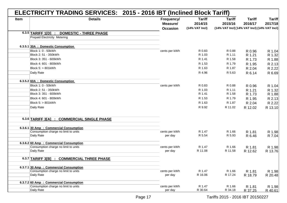|             | ELECTRICITY TRADING SERVICES: 2015 - 2016 IBT (Inclined Block Tariff) |                                           |                                              |                                                                          |                          |                          |
|-------------|-----------------------------------------------------------------------|-------------------------------------------|----------------------------------------------|--------------------------------------------------------------------------|--------------------------|--------------------------|
| <b>Item</b> | <b>Details</b>                                                        | Frequency/<br>Measure/<br><b>Occasion</b> | <b>Tariff</b><br>2014/15<br>$(14%$ VAT Incl) | <b>Tariff</b><br>2015/16<br>(14% VAT Incl) (14% VAT Incl) (14% VAT Incl) | <b>Tariff</b><br>2016/17 | <b>Tariff</b><br>2017/18 |
|             | 6.3.5 TARIFF 1[D] : DOMESTIC - THREE PHASE                            |                                           |                                              |                                                                          |                          |                          |
|             | Prepaid Electricity Metering                                          |                                           |                                              |                                                                          |                          |                          |
|             | 6.3.5.1 30A : Domestic Consumption                                    |                                           |                                              |                                                                          |                          |                          |
|             | Block 1: 0 - 50kWh                                                    | cents per kWh                             | R 0.83                                       | R 0.88                                                                   | R 0.96                   | R 1.04                   |
|             | Block 2: 51 - 350kWh                                                  |                                           | R 1.03                                       | R 1.11                                                                   | R 1.21                   | R 1.32                   |
|             | Block 3: 351 - 600kWh                                                 |                                           | R 1.41                                       | R 1.58                                                                   | R 1.73                   | R 1.88                   |
|             | Block 4: 601 - 800kWh                                                 |                                           | R 1.53                                       | R 1.79                                                                   | R 1.95                   | R 2.13                   |
|             | Block 5: > 801kWh                                                     |                                           | R 1.63                                       | R 1.87                                                                   | R 2.04                   | R 2.22                   |
|             | Daily Rate                                                            |                                           | R 4.96                                       | R 5.63                                                                   | R 6.14                   | R 6.69                   |
|             | 6.3.5.2 60A : Domestic Consumption                                    |                                           |                                              |                                                                          |                          |                          |
|             | Block 1: 0 - 50kWh                                                    | cents per kWh                             | R 0.83                                       | R 0.88                                                                   | R 0.96                   | R 1.04                   |
|             | Block 2: 51 - 350kWh                                                  |                                           | R 1.03                                       | R 1.11                                                                   | R 1.21                   | R 1.32                   |
|             | Block 3: 351 - 600kWh                                                 |                                           | R 1.41                                       | R 1.58                                                                   | R 1.73                   | R 1.88                   |
|             | Block 4: 601 - 800kWh                                                 |                                           | R 1.53                                       | R 1.79                                                                   | R 1.95                   | R 2.13                   |
|             | Block 5: > 801kWh                                                     |                                           | R 1.63                                       | R 1.87                                                                   | R 2.04                   | R 2.22                   |
|             | Daily Rate                                                            |                                           | R 9.92                                       | R 11.02                                                                  | R 12.02                  | R 13.10                  |
|             | 6.3.6 TARIFF 3[A] : COMMERCIAL SINGLE PHASE                           |                                           |                                              |                                                                          |                          |                          |
|             |                                                                       |                                           |                                              |                                                                          |                          |                          |
|             | 6.3.6.1 30 Amp : Commercial Consumption                               |                                           |                                              |                                                                          |                          |                          |
|             | Consumption charge no limit to units                                  | cents per kWh                             | R 1.47                                       | R 1.66                                                                   | R 1.81                   | R 1.98                   |
|             | Daily Rate                                                            | per day                                   | R 5.54                                       | R 5.93                                                                   | R 6.46                   | R 7.04                   |
|             | 6.3.6.2 60 Amp : Commercial Consumption                               |                                           |                                              |                                                                          |                          |                          |
|             | Consumption charge no limit to units                                  | cents per kWh                             | R 1.47                                       | R 1.66                                                                   | R 1.81                   | R 1.98                   |
|             | Daily Rate                                                            | per day                                   | R 11.08                                      | R 11.58                                                                  | R 12.62                  | R 13.76                  |
|             | 6.3.7 TARIFF $3[B]$ :<br><b>COMMERCIAL THREE PHASE</b>                |                                           |                                              |                                                                          |                          |                          |
|             | 6.3.7.1 30 Amp : Commercial Consumption                               |                                           |                                              |                                                                          |                          |                          |
|             | Consumption charge no limit to units                                  | cents per kWh                             | R 1.47                                       | R 1.66                                                                   | R 1.81                   | R 1.98                   |
|             | Daily Rate                                                            | per day                                   | R 16.06                                      | R 17.24                                                                  | R 18.79                  | R 20.48                  |
|             | 6.3.7.2 60 Amp : Commercial Consumption                               |                                           |                                              |                                                                          |                          |                          |
|             | Consumption charge no limit to units                                  | cents per kWh                             | R 1.47                                       | R 1.66                                                                   | R 1.81                   | R 1.98                   |
|             | Daily Rate                                                            | per day                                   | R 30.64                                      | R 34.18                                                                  | R 37.25                  | R 40.61                  |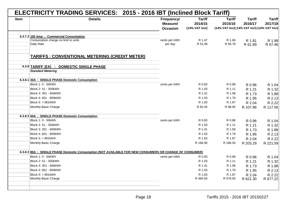|             | ELECTRICITY TRADING SERVICES: 2015 - 2016 IBT (Inclined Block Tariff)                                   |                                           |                                            |                                                                          |                          |                          |
|-------------|---------------------------------------------------------------------------------------------------------|-------------------------------------------|--------------------------------------------|--------------------------------------------------------------------------|--------------------------|--------------------------|
| <b>Item</b> | <b>Details</b>                                                                                          | Frequency/<br>Measure/<br><b>Occasion</b> | <b>Tariff</b><br>2014/15<br>(14% VAT Incl) | <b>Tariff</b><br>2015/16<br>(14% VAT Incl) (14% VAT Incl) (14% VAT Incl) | <b>Tariff</b><br>2016/17 | <b>Tariff</b><br>2017/18 |
|             | 6.3.7.3 100 Amp : Commercial Consumption                                                                |                                           |                                            |                                                                          |                          |                          |
|             | Consumption charge no limit to units                                                                    | cents per kWh                             | R 1.47                                     | R 1.66                                                                   | R 1.81                   | R 1.98                   |
|             | Daily Rate                                                                                              | per day                                   | R 51.08                                    | R 56.78                                                                  | R 61.89                  | R 67.46                  |
|             |                                                                                                         |                                           |                                            |                                                                          |                          |                          |
|             | <b>TARIFFS: CONVENTIONAL METERING (CREDIT METER)</b>                                                    |                                           |                                            |                                                                          |                          |                          |
|             | <b>DOMESTIC SINGLE PHASE</b><br>6.3.8 TARIFF 2[A] :                                                     |                                           |                                            |                                                                          |                          |                          |
|             | <b>Standard Metering</b>                                                                                |                                           |                                            |                                                                          |                          |                          |
|             |                                                                                                         |                                           |                                            |                                                                          |                          |                          |
|             | 6.3.8.1 30A : SINGLE PHASE Domestic Consumption                                                         |                                           |                                            |                                                                          |                          |                          |
|             | Block 1: 0 - 50kWh                                                                                      | cents per kWh                             | R 0.83                                     | R 0.88                                                                   | R 0.96                   | R 1.04                   |
|             | Block 2: 51 - 350kWh                                                                                    |                                           | R 1.03                                     | R 1.11                                                                   | R 1.21                   | R 1.32                   |
|             | Block 3: 351 - 600kWh                                                                                   |                                           | R 1.41                                     | R 1.58                                                                   | R 1.73                   | R 1.88                   |
|             | Block 4: 601 - 800kWh                                                                                   |                                           | R 1.53                                     | R 1.79                                                                   | R 1.95                   | R 2.13                   |
|             | Block 5: > 801kWh                                                                                       |                                           | R 1.63                                     | R 1.87                                                                   | R 2.04                   | R 2.22                   |
|             | Monthly Basic Charge                                                                                    |                                           | R 83.45                                    | R 98.95                                                                  | R 107.86                 | R 117.56                 |
|             | 6.3.8.2 60A : SINGLE PHASE Domestic Consumption                                                         |                                           |                                            |                                                                          |                          |                          |
|             | Block 1: 0 - 50kWh                                                                                      | cents per kWh                             | R 0.83                                     | R 0.88                                                                   | R 0.96                   | R 1.04                   |
|             | Block 2: 51 - 350kWh                                                                                    |                                           | R 1.03                                     | R 1.11                                                                   | R 1.21                   | R 1.32                   |
|             | Block 3: 351 - 600kWh                                                                                   |                                           | R 1.41                                     | R 1.58                                                                   | R 1.73                   | R 1.88                   |
|             | Block 4: 601 - 800kWh                                                                                   |                                           | R 1.53                                     | R 1.79                                                                   | R 1.95                   | R 2.13                   |
|             | Block 5: > 801kWh                                                                                       |                                           | R 1.63                                     | R 1.87                                                                   | R 2.04                   | R 2.22                   |
|             | Monthly Basic Charge                                                                                    |                                           | R 166.90                                   | R 186.50                                                                 | R 203.29                 | R 221.59                 |
|             |                                                                                                         |                                           |                                            |                                                                          |                          |                          |
|             | 6.3.8.3 80A : SINGLE PHASE Domestic Consumption (NOT AVAILABLE FOR NEW CONSUMERS OR CHANGE OF CONSUMER) |                                           |                                            |                                                                          |                          |                          |
|             | Block 1: 0 - 50kWh                                                                                      | cents per kWh                             | R 0.83                                     | R 0.88                                                                   | R 0.96                   | R 1.04                   |
|             | Block 2: 51 - 350kWh                                                                                    |                                           | R 1.03                                     | R 1.11                                                                   | R 1.21                   | R 1.32                   |
|             | Block 3: 351 - 600kWh                                                                                   |                                           | R 1.41                                     | R 1.58                                                                   | R 1.73                   | R 1.88                   |
|             | Block 4: 601 - 800kWh                                                                                   |                                           | R 1.53                                     | R 1.79                                                                   | R 1.95                   | R 2.13                   |
|             | Block 5: > 801kWh                                                                                       |                                           | R 1.63                                     | R 1.87                                                                   | R 2.04                   | R 2.22                   |
|             | Monthly Basic Charge                                                                                    |                                           | R 484.00                                   | R 570.00                                                                 | R 621.30                 | R 677.22                 |
|             |                                                                                                         |                                           |                                            |                                                                          |                          |                          |
|             |                                                                                                         |                                           |                                            |                                                                          |                          |                          |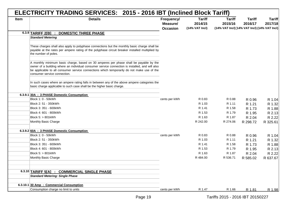|      | ELECTRICITY TRADING SERVICES: 2015 - 2016 IBT (Inclined Block Tariff)                                                                                                                                                                                                                                                  |                                           |                                            |                                                                          |                          |                          |
|------|------------------------------------------------------------------------------------------------------------------------------------------------------------------------------------------------------------------------------------------------------------------------------------------------------------------------|-------------------------------------------|--------------------------------------------|--------------------------------------------------------------------------|--------------------------|--------------------------|
| Item | <b>Details</b>                                                                                                                                                                                                                                                                                                         | Frequency/<br>Measure/<br><b>Occasion</b> | <b>Tariff</b><br>2014/15<br>(14% VAT Incl) | <b>Tariff</b><br>2015/16<br>(14% VAT Incl) (14% VAT Incl) (14% VAT Incl) | <b>Tariff</b><br>2016/17 | <b>Tariff</b><br>2017/18 |
|      | <b>DOMESTIC THREE PHASE</b><br>6.3.9 TARIFF 2[B] :                                                                                                                                                                                                                                                                     |                                           |                                            |                                                                          |                          |                          |
|      | <b>Standard Metering</b>                                                                                                                                                                                                                                                                                               |                                           |                                            |                                                                          |                          |                          |
|      | These charges shall also apply to polyphase connections but the monthly basic charge shall be<br>payable at the rates per ampere rating of the polyphase circuit breaker installed multiplied by<br>the number of poles.                                                                                               |                                           |                                            |                                                                          |                          |                          |
|      | A monthly minimum basic charge, based on 30 amperes per phase shall be payable by the<br>owner of a building where an individual consumer service connection is installed, and will also<br>be applicable to all consumer service connections which temporarily do not make use of the<br>consumer service connection. |                                           |                                            |                                                                          |                          |                          |
|      | In such cases where an ampere rating falls in between any of the above ampere categories the<br>basic charge applicable to such case shall be the higher basic charge.                                                                                                                                                 |                                           |                                            |                                                                          |                          |                          |
|      | 6.3.9.1 30A : 3 PHASE Domestic Consumption                                                                                                                                                                                                                                                                             |                                           |                                            |                                                                          |                          |                          |
|      | Block 1: 0 - 50kWh                                                                                                                                                                                                                                                                                                     | cents per kWh                             | R 0.83                                     | R 0.88                                                                   | R 0.96                   | R 1.04                   |
|      | Block 2: 51 - 350kWh                                                                                                                                                                                                                                                                                                   |                                           | R 1.03                                     | R 1.11                                                                   | R 1.21                   | R 1.32                   |
|      | Block 3: 351 - 600kWh                                                                                                                                                                                                                                                                                                  |                                           | R 1.41                                     | R 1.58                                                                   | R 1.73                   | R 1.88                   |
|      | Block 4: 601 - 800kWh                                                                                                                                                                                                                                                                                                  |                                           | R 1.53                                     | R 1.79                                                                   | R 1.95                   | R 2.13                   |
|      | Block 5: > 801kWh                                                                                                                                                                                                                                                                                                      |                                           | R 1.63                                     | R 1.87                                                                   | R 2.04                   | R 2.22                   |
|      | Monthly Basic Charge                                                                                                                                                                                                                                                                                                   |                                           | R 242.00                                   | R 274.06                                                                 | R 298.72                 | R 325.61                 |
|      | 6.3.9.2 60A : 3 PHASE Domestic Consumption                                                                                                                                                                                                                                                                             |                                           |                                            |                                                                          |                          |                          |
|      | Block 1: 0 - 50kWh                                                                                                                                                                                                                                                                                                     | cents per kWh                             | R 0.83                                     | R 0.88                                                                   | R 0.96                   | R 1.04                   |
|      | Block 2: 51 - 350kWh                                                                                                                                                                                                                                                                                                   |                                           | R 1.03                                     | R 1.11                                                                   | R 1.21                   | R 1.32                   |
|      | Block 3: 351 - 600kWh                                                                                                                                                                                                                                                                                                  |                                           | R 1.41                                     | R 1.58                                                                   | R 1.73                   | R 1.88                   |
|      | Block 4: 601 - 800kWh                                                                                                                                                                                                                                                                                                  |                                           | R 1.53                                     | R 1.79                                                                   | R 1.95                   | R 2.13                   |
|      | Block 5: > 801kWh                                                                                                                                                                                                                                                                                                      |                                           | R 1.63                                     | R 1.87                                                                   | R 2.04                   | R 2.22                   |
|      | Monthly Basic Charge                                                                                                                                                                                                                                                                                                   |                                           | R 484.00                                   | R 536.71                                                                 | R 585.02                 | R 637.67                 |
|      |                                                                                                                                                                                                                                                                                                                        |                                           |                                            |                                                                          |                          |                          |
|      | 6.3.10 TARIFF 5[A] :<br><b>COMMERCIAL SINGLE PHASE</b>                                                                                                                                                                                                                                                                 |                                           |                                            |                                                                          |                          |                          |
|      | <b>Standard Metering: Single Phase</b>                                                                                                                                                                                                                                                                                 |                                           |                                            |                                                                          |                          |                          |
|      | 6.3.10.1 30 Amp : Commercial Consumption                                                                                                                                                                                                                                                                               |                                           |                                            |                                                                          |                          |                          |
|      | Consumption charge no limit to units                                                                                                                                                                                                                                                                                   | cents per kWh                             | R 1.47                                     | R 1.66                                                                   | R 1.81                   | R 1.98                   |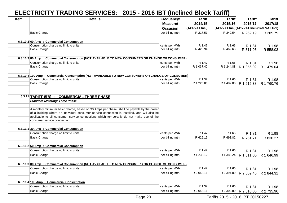|             | ELECTRICITY TRADING SERVICES: 2015 - 2016 IBT (Inclined Block Tariff)                            |                                           |                                            |                                                                          |                          |                          |
|-------------|--------------------------------------------------------------------------------------------------|-------------------------------------------|--------------------------------------------|--------------------------------------------------------------------------|--------------------------|--------------------------|
| <b>Item</b> | <b>Details</b>                                                                                   | Frequency/<br>Measure/<br><b>Occasion</b> | <b>Tariff</b><br>2014/15<br>(14% VAT Incl) | <b>Tariff</b><br>2015/16<br>(14% VAT Incl) (14% VAT Incl) (14% VAT Incl) | <b>Tariff</b><br>2016/17 | <b>Tariff</b><br>2017/18 |
|             | <b>Basic Charge</b>                                                                              | per billing mth                           | R 217.51                                   | R 240.54                                                                 | R 262.19                 | R 285.79                 |
|             |                                                                                                  |                                           |                                            |                                                                          |                          |                          |
|             | 6.3.10.2 60 Amp : Commercial Consumption                                                         |                                           |                                            |                                                                          |                          |                          |
|             | Consumption charge no limit to units<br><b>Basic Charge</b>                                      | cents per kWh                             | R 1.47<br>R 426.94                         | R 1.66<br>R 469.68                                                       | R 1.81                   | R 1.98                   |
|             |                                                                                                  | per billing mth                           |                                            |                                                                          | R 511.95                 | R 558.03                 |
|             | 6.3.10.3 80 Amp : Commercial Consumption (NOT AVAILABLE TO NEW CONSUMERS OR CHANGE OF CONSUMER)  |                                           |                                            |                                                                          |                          |                          |
|             | Consumption charge no limit to units                                                             | cents per kWh                             | R 1.47                                     | R 1.66                                                                   | R 1.81                   | R 1.98                   |
|             | <b>Basic Charge</b>                                                                              | per billing mth                           | R 1 037.40                                 | R 1 244.88                                                               | R 1 356.92               | R 1 479.04               |
|             | 6.3.10.4 100 Amp : Commercial Consumption (NOT AVAILABLE TO NEW CONSUMERS OR CHANGE OF CONSUMER) |                                           |                                            |                                                                          |                          |                          |
|             | Consumption charge no limit to units                                                             | cents per kWh                             | R 1.37                                     | R 1.66                                                                   | R 1.81                   | R 1.98                   |
|             | <b>Basic Charge</b>                                                                              | per billing mth                           | R 1 225.86                                 | R 1 482.00                                                               | R 1 615.38               | R 1 760.76               |
|             |                                                                                                  |                                           |                                            |                                                                          |                          |                          |
|             | 6.3.11 TARIFF 5[B] : COMMERCIAL THREE PHASE                                                      |                                           |                                            |                                                                          |                          |                          |
|             | <b>Standard Metering: Three Phase</b>                                                            |                                           |                                            |                                                                          |                          |                          |
|             |                                                                                                  |                                           |                                            |                                                                          |                          |                          |
|             | A monthly minimum basic charge, based on 30 Amps per phase, shall be payable by the owner        |                                           |                                            |                                                                          |                          |                          |
|             | of a building where an individual consumer service connection is installed, and will also be     |                                           |                                            |                                                                          |                          |                          |
|             | applicable to all consumer service connections which temporarily do not make use of the          |                                           |                                            |                                                                          |                          |                          |
|             | consumer service connection.                                                                     |                                           |                                            |                                                                          |                          |                          |
|             | 6.3.11.1 30 Amp : Commercial Consumption                                                         |                                           |                                            |                                                                          |                          |                          |
|             | Consumption charge no limit to units                                                             | cents per kWh                             | R 1.47                                     | R 1.66                                                                   | R 1.81                   | R 1.98                   |
|             | <b>Basic Charge</b>                                                                              | per billing mth                           | R 625.19                                   | R 698.82                                                                 | R 761.71                 | R 830.27                 |
|             | 6.3.11.2 60 Amp : Commercial Consumption                                                         |                                           |                                            |                                                                          |                          |                          |
|             | Consumption charge no limit to units                                                             | cents per kWh                             | R 1.47                                     | R 1.66                                                                   | R 1.81                   | R 1.98                   |
|             | <b>Basic Charge</b>                                                                              | per billing mth                           | R 1 238.12                                 | R 1 386.24                                                               | R 1 511.00               | R 1 646.99               |
|             |                                                                                                  |                                           |                                            |                                                                          |                          |                          |
|             | 6.3.11.3 80 Amp : Commercial Consumption (NOT AVAILABLE TO NEW CONSUMERS OR CHANGE OF CONSUMER)  |                                           |                                            |                                                                          |                          |                          |
|             | Consumption charge no limit to units                                                             | cents per kWh                             | R 1.47                                     | R 1.66                                                                   | R 1.81                   | R 1.98                   |
|             | Basic Charge                                                                                     | per billing mth                           | R 2 043.11                                 |                                                                          | R 2 394.00 R 2 609.46    | R 2 844.31               |
|             | 6.3.11.4 100 Amp : Commercial Consumption                                                        |                                           |                                            |                                                                          |                          |                          |
|             | Consumption charge no limit to units                                                             | cents per kWh                             | R 1.37                                     | R 1.66                                                                   | R 1.81                   | R 1.98                   |
|             | <b>Basic Charge</b>                                                                              | per billing mth                           | R 2 043.11                                 | R 2 302.80                                                               | R 2 510.05               | R 2 735.96               |
|             |                                                                                                  |                                           |                                            |                                                                          |                          |                          |

Page 20 Tariffs 2015 - 2016 IBT 20150227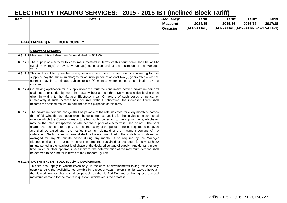| <b>Item</b> | <b>Details</b>                                                                                                                                                                                                                                                                                                                                                                                                                                                                                                                                                                                                                                                                                                                                                                                                                                                                                                                                                                                                                                                                                                                            | Frequency/<br>Measure/<br><b>Occasion</b> | <b>Tariff</b><br>2014/15<br>(14% VAT Incl) | <b>Tariff</b><br>2015/16<br>(14% VAT Incl) [14% VAT Incl) (14% VAT Incl) | <b>Tariff</b><br>2016/17 | <b>Tariff</b><br>2017/18 |
|-------------|-------------------------------------------------------------------------------------------------------------------------------------------------------------------------------------------------------------------------------------------------------------------------------------------------------------------------------------------------------------------------------------------------------------------------------------------------------------------------------------------------------------------------------------------------------------------------------------------------------------------------------------------------------------------------------------------------------------------------------------------------------------------------------------------------------------------------------------------------------------------------------------------------------------------------------------------------------------------------------------------------------------------------------------------------------------------------------------------------------------------------------------------|-------------------------------------------|--------------------------------------------|--------------------------------------------------------------------------|--------------------------|--------------------------|
|             |                                                                                                                                                                                                                                                                                                                                                                                                                                                                                                                                                                                                                                                                                                                                                                                                                                                                                                                                                                                                                                                                                                                                           |                                           |                                            |                                                                          |                          |                          |
|             | 6.3.12 TARIFF 7[A] : BULK SUPPLY                                                                                                                                                                                                                                                                                                                                                                                                                                                                                                                                                                                                                                                                                                                                                                                                                                                                                                                                                                                                                                                                                                          |                                           |                                            |                                                                          |                          |                          |
|             |                                                                                                                                                                                                                                                                                                                                                                                                                                                                                                                                                                                                                                                                                                                                                                                                                                                                                                                                                                                                                                                                                                                                           |                                           |                                            |                                                                          |                          |                          |
|             | <b>Conditions Of Supply</b><br>6.3.12.1 Minimum Notified Maximum Demand shall be 66 kVA                                                                                                                                                                                                                                                                                                                                                                                                                                                                                                                                                                                                                                                                                                                                                                                                                                                                                                                                                                                                                                                   |                                           |                                            |                                                                          |                          |                          |
|             | 6.3.12.2 The supply of electricity to consumers metered in terms of this tariff scale shall be at MV<br>(Medium Voltage) or LV (Low Voltage) connection and at the discretion of the Manager                                                                                                                                                                                                                                                                                                                                                                                                                                                                                                                                                                                                                                                                                                                                                                                                                                                                                                                                              |                                           |                                            |                                                                          |                          |                          |
|             | 6.3.12.3 This tariff shall be applicable to any service where the consumer contracts in writing to take<br>supply or pay the minimum charges for an initial period of at least two (2) years after which the<br>contract may be terminated subject to six (6) months written notice of termination by the<br>concumar                                                                                                                                                                                                                                                                                                                                                                                                                                                                                                                                                                                                                                                                                                                                                                                                                     |                                           |                                            |                                                                          |                          |                          |
|             | 6.3.12.4 On making application for a supply under this tariff the consumer's notified maximum demand<br>shall not be exceeded by more than 25% without at least three (3) months notice having been<br>given in writing to the Manager Electrotechnical. On expiry of such period of notice, or<br>immediately if such increase has occurred without notification, the increased figure shall<br>become the notified maximum demand for the purposes of this tariff.                                                                                                                                                                                                                                                                                                                                                                                                                                                                                                                                                                                                                                                                      |                                           |                                            |                                                                          |                          |                          |
|             | 6.3.12.5 The maximum demand charge shall be payable at the rate indicated for every month or portion<br>thereof following the date upon which the consumer has applied for the service to be connected<br>or upon which the Council is ready to effect such connection to the supply mains, whichever<br>may be the later, irrespective of whether the supply of electricity is used or not. The said<br>charge shall continue to be payable until the expiry of the period of notice required to be given<br>and shall be based upon the notified maximum demand or the maximum demand of the<br>installation. Such maximum demand shall be the maximum load of that installation sustained or<br>averaged for any 30 minute period during any month. If so required by the Manager<br>Electrotechnical, the maximum current in amperes sustained or averaged for any such 30<br>minute period in the heaviest load phase at the declared voltage of supply. Any demand meter,<br>time switch or other apparatus necessary for the determination of the maximum demand shall<br>be deemed to be a meter in terms of the Standard By-Law. |                                           |                                            |                                                                          |                          |                          |
|             | 6.3.12.6 VACENT ERVEN - BULK Supply to Developments<br>This fee shall apply to vacant erven only. In the case of developments taking the electricity<br>supply at bulk, the availability fee payable in respect of vacant erven shall be waived however<br>the Network Access charge shall be payable on the Notified Demand or the highest recorded                                                                                                                                                                                                                                                                                                                                                                                                                                                                                                                                                                                                                                                                                                                                                                                      |                                           |                                            |                                                                          |                          |                          |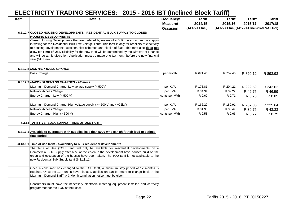|             | ELECTRICITY TRADING SERVICES: 2015 - 2016 IBT (Inclined Block Tariff)                                                                                                                                                                                                                                                                                                                                                                                                                                                               |                                           |                                            |                                                                          |                          |                          |
|-------------|-------------------------------------------------------------------------------------------------------------------------------------------------------------------------------------------------------------------------------------------------------------------------------------------------------------------------------------------------------------------------------------------------------------------------------------------------------------------------------------------------------------------------------------|-------------------------------------------|--------------------------------------------|--------------------------------------------------------------------------|--------------------------|--------------------------|
| <b>Item</b> | <b>Details</b>                                                                                                                                                                                                                                                                                                                                                                                                                                                                                                                      | Frequency/<br>Measure/<br><b>Occasion</b> | <b>Tariff</b><br>2014/15<br>(14% VAT Incl) | <b>Tariff</b><br>2015/16<br>(14% VAT Incl) [14% VAT Incl) (14% VAT Incl) | <b>Tariff</b><br>2016/17 | <b>Tariff</b><br>2017/18 |
|             | 6.3.12.7 CLOSED HOUSING DEVELOPMENTS - RESIDENTIAL BULK SUPPLY TO CLOSED<br><b>HOUSING DEVELOPMENTS</b>                                                                                                                                                                                                                                                                                                                                                                                                                             |                                           |                                            |                                                                          |                          |                          |
|             | Closed Housing Developments that are metered by means of a Bulk meter can annually apply<br>in writing for the Residential Bulk Low Volatge Tariff. This tariff is only for resellers of electricity<br>to housing developments, scetional title schemes and blocks of flats. This tariff also does not<br>allow for Time of Use. Eligibility for the new tariff will be determined by the Director of Finance<br>and will be at his discretion. Application must be made one (1) month before the new financial<br>year (01 June). |                                           |                                            |                                                                          |                          |                          |
|             | 6.3.12.8 MONTHLY BASIC CHARGE                                                                                                                                                                                                                                                                                                                                                                                                                                                                                                       |                                           |                                            |                                                                          |                          |                          |
|             | <b>Basic Charge</b>                                                                                                                                                                                                                                                                                                                                                                                                                                                                                                                 | per month                                 | R 671.46                                   | R 752.40                                                                 | R 820.12                 | R 893.93                 |
|             | 6.3.12.9 MAXIMUM DEMAND CHARGES - All areas                                                                                                                                                                                                                                                                                                                                                                                                                                                                                         |                                           |                                            |                                                                          |                          |                          |
|             | Maximum Demand Charge: Low voltage supply (< 500V)                                                                                                                                                                                                                                                                                                                                                                                                                                                                                  | per KVA                                   | R 178.81                                   | R 204.21                                                                 | R 222.59                 | R 242.62                 |
|             | Network Access Charge                                                                                                                                                                                                                                                                                                                                                                                                                                                                                                               | per KVA                                   | R 34.34                                    | R 39.22                                                                  | R 42.75                  | R 46.59                  |
|             | Energy Charge - Low (< 500 V)                                                                                                                                                                                                                                                                                                                                                                                                                                                                                                       | cents per kWh                             | R 0.62                                     | R 0.71                                                                   | R 0.78                   | R 0.85                   |
|             | Maximum Demand Charge: High voltage supply (>= 500 V and <+22kV)                                                                                                                                                                                                                                                                                                                                                                                                                                                                    | per KVA                                   | R 166.29                                   | R 189.91                                                                 | R 207.00                 | R 225.64                 |
|             | Network Access Charge                                                                                                                                                                                                                                                                                                                                                                                                                                                                                                               | per KVA                                   | R 31.93                                    | R 36.47                                                                  | R 39.75                  | R 43.33                  |
|             | Energy Charge - High (> 500 V)                                                                                                                                                                                                                                                                                                                                                                                                                                                                                                      | cents per kWh                             | R 0.58                                     | R 0.66                                                                   | R 0.72                   | R 0.79                   |
|             | 6.3.13 TARIFF 7B: BULK SUPPLY - TIME OF USE TARIFF                                                                                                                                                                                                                                                                                                                                                                                                                                                                                  |                                           |                                            |                                                                          |                          |                          |
|             | 6.3.13.1 Available to customers with supplies less than 500V who can shift their load to defined<br>time period                                                                                                                                                                                                                                                                                                                                                                                                                     |                                           |                                            |                                                                          |                          |                          |
|             | 6.3.13.1.1 Time of use tariff - Availability to bulk residential developments                                                                                                                                                                                                                                                                                                                                                                                                                                                       |                                           |                                            |                                                                          |                          |                          |
|             | The Time of Use (TOU) tariff will only be available for residential developments on a<br>Commercial Bulk Supply after 60% of the erven in the development have houses build on the<br>erven and occupation of the houses have been taken. The TOU tariff is not applicable to the<br>new Residential Bulk Supply tariff (6.3.13.11)                                                                                                                                                                                                 |                                           |                                            |                                                                          |                          |                          |
|             | Once a consumer has changed to the TOU tariff, a minimum stay period of 12 months is<br>required. Once the 12 months have elapsed, application can be made to change back to the<br>Maximum Demand Tariff. A 3 Month termination notice must be given.                                                                                                                                                                                                                                                                              |                                           |                                            |                                                                          |                          |                          |
|             | Consumers must have the necessary electronic metering equipment installed and correctly<br>programmed for the TOU at their cost.                                                                                                                                                                                                                                                                                                                                                                                                    |                                           |                                            |                                                                          |                          |                          |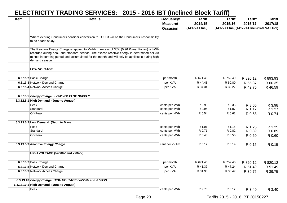|             | ELECTRICITY TRADING SERVICES: 2015 - 2016 IBT (Inclined Block Tariff)                                                                                                                                                                                                                                          |                                           |                                            |                                                                          |                          |                          |
|-------------|----------------------------------------------------------------------------------------------------------------------------------------------------------------------------------------------------------------------------------------------------------------------------------------------------------------|-------------------------------------------|--------------------------------------------|--------------------------------------------------------------------------|--------------------------|--------------------------|
| <b>Item</b> | <b>Details</b>                                                                                                                                                                                                                                                                                                 | Frequency/<br>Measure/<br><b>Occasion</b> | <b>Tariff</b><br>2014/15<br>(14% VAT Incl) | <b>Tariff</b><br>2015/16<br>(14% VAT Incl) [14% VAT Incl) (14% VAT Incl) | <b>Tariff</b><br>2016/17 | <b>Tariff</b><br>2017/18 |
|             | Where existing Consumers consider conversion to TOU, it will be the Consumers' responsibility<br>to do a tariff study.                                                                                                                                                                                         |                                           |                                            |                                                                          |                          |                          |
|             |                                                                                                                                                                                                                                                                                                                |                                           |                                            |                                                                          |                          |                          |
|             | The Reactive Energy Charge is applied to kVArh in excess of 30% (0,96 Power Factor) of kWh<br>recorded during peak and standard periods. The excess reactive energy is determined per 30<br>minute integrating period and accumulated for the month and will only be applicable during high-<br>demand season. |                                           |                                            |                                                                          |                          |                          |
|             | <b>LOW VOLTAGE</b>                                                                                                                                                                                                                                                                                             |                                           |                                            |                                                                          |                          |                          |
|             | 6.3.13.2 Basic Charge                                                                                                                                                                                                                                                                                          | per month                                 | R 671.46                                   | R 752.40                                                                 | R 820.12                 | R 893.93                 |
|             | 6.3.13.3 Network Demand Charge                                                                                                                                                                                                                                                                                 | per KVA                                   | R 44.48                                    | R 50.80                                                                  | R 55.37                  | R 60.35                  |
|             | 6.3.13.4 Network Access Charge                                                                                                                                                                                                                                                                                 | per KVA                                   | R 34.34                                    | R 39.22                                                                  | R 42.75                  | R 46.59                  |
|             | 6.3.13.5 Energy Charge: LOW VOLTAGE SUPPLY                                                                                                                                                                                                                                                                     |                                           |                                            |                                                                          |                          |                          |
|             | 6.3.12.5.1 High Demand (June to August)                                                                                                                                                                                                                                                                        |                                           |                                            |                                                                          |                          |                          |
|             | Peak                                                                                                                                                                                                                                                                                                           | cents per kWh                             | R 2.93                                     | R 3.35                                                                   | R 3.65                   | R 3.98                   |
|             | Standard                                                                                                                                                                                                                                                                                                       | cents per kWh                             | R 0.94                                     | R 1.07                                                                   | R 1.17                   | R 1.27                   |
|             | Off-Peak                                                                                                                                                                                                                                                                                                       | cents per kWh                             | R 0.54                                     | R 0.62                                                                   | R 0.68                   | R 0.74                   |
|             | 6.3.13.5.2 Low Demand (Sept. to May)                                                                                                                                                                                                                                                                           |                                           |                                            |                                                                          |                          |                          |
|             | Peak                                                                                                                                                                                                                                                                                                           | cents per kWh                             | R 1.01                                     | R 1.15                                                                   | R 1.25                   | R 1.25                   |
|             | Standard                                                                                                                                                                                                                                                                                                       | cents per kWh                             | R 0.71                                     | R 0.82                                                                   | R 0.89                   | R 0.89                   |
|             | Off-Peak                                                                                                                                                                                                                                                                                                       | cents per kWh                             | R 0.48                                     | R 0.55                                                                   | R 0.60                   | R 0.60                   |
|             | 6.3.13.5.3 Reactive Energy Charge                                                                                                                                                                                                                                                                              | cent per kVArh                            | R 0.12                                     | R 0.14                                                                   | R 0.15                   | R 0.15                   |
|             | HIGH VOLTAGE (>=500V and < 66kV)                                                                                                                                                                                                                                                                               |                                           |                                            |                                                                          |                          |                          |
|             | 6.3.13.7 Basic Charge                                                                                                                                                                                                                                                                                          | per month                                 | R 671.46                                   | R 752.40                                                                 | R 820.12                 | R 820.12                 |
|             | 6.3.13.8 Network Demand Charge                                                                                                                                                                                                                                                                                 | per KVA                                   | R 41.37                                    | R 47.24                                                                  | R 51.49                  | R 51.49                  |
|             | 6.3.13.9 Network Access Charge                                                                                                                                                                                                                                                                                 | per KVA                                   | R 31.93                                    | R 36.47                                                                  | R 39.75                  | R 39.75                  |
|             | 6.3.13.10 Energy Charge: HIGH VOLTAGE (>=500V and < 66kV)                                                                                                                                                                                                                                                      |                                           |                                            |                                                                          |                          |                          |
|             | 6.3.13.10.1 High Demand (June to August)                                                                                                                                                                                                                                                                       |                                           |                                            |                                                                          |                          |                          |
|             | Peak                                                                                                                                                                                                                                                                                                           | cents per kWh                             | R 2.73                                     | R 3.12                                                                   | R 3.40                   | R 3.40                   |
|             |                                                                                                                                                                                                                                                                                                                |                                           |                                            |                                                                          |                          |                          |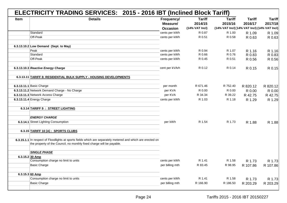|      | ELECTRICITY TRADING SERVICES: 2015 - 2016 IBT (Inclined Block Tariff)                                       |                 |                  |                                              |               |               |
|------|-------------------------------------------------------------------------------------------------------------|-----------------|------------------|----------------------------------------------|---------------|---------------|
| Item | <b>Details</b>                                                                                              | Frequency/      | <b>Tariff</b>    | <b>Tariff</b>                                | <b>Tariff</b> | <b>Tariff</b> |
|      |                                                                                                             | Measure/        | 2014/15          | 2015/16                                      | 2016/17       | 2017/18       |
|      |                                                                                                             | <b>Occasion</b> | $(14%$ VAT Incl) | (14% VAT Incl) (14% VAT Incl) (14% VAT Incl) |               |               |
|      | Standard                                                                                                    | cents per kWh   | R 0.87           | R 1.00                                       | R 1.09        | R 1.09        |
|      | Off-Peak                                                                                                    | cents per kWh   | R 0.51           | R 0.58                                       | R 0.63        | R 0.63        |
|      |                                                                                                             |                 |                  |                                              |               |               |
|      | 6.3.13.10.2 Low Demand (Sept. to May)                                                                       |                 |                  |                                              |               |               |
|      | Peak                                                                                                        | cents per kWh   | R 0.94           | R 1.07                                       | R 1.16        | R 1.16        |
|      | Standard                                                                                                    | cents per kWh   | R 0.66           | R 0.76                                       | R 0.83        | R 0.83        |
|      | Off-Peak                                                                                                    | cents per kWh   | R 0.45           | R 0.51                                       | R 0.56        | R 0.56        |
|      |                                                                                                             |                 |                  |                                              |               |               |
|      | 6.3.13.10.3 Reactive Energy Charge                                                                          | cent per kVArh  | R 0.12           | R 0.14                                       | R 0.15        | R 0.15        |
|      |                                                                                                             |                 |                  |                                              |               |               |
|      | 6.3.13.11 TARIFF 8: RESIDENTIAL BULK SUPPLY - HOUSING DEVELOPMENTS                                          |                 |                  |                                              |               |               |
|      | 6.3.13.11.1 Basic Charge                                                                                    | per month       | R 671.46         | R 752.40                                     | R 820.12      | R 820.12      |
|      | 6.3.13.11.2 Network Demand Charge - No Charge                                                               | per KVA         | R 0.00           | R 0.00                                       | R 0.00        | R 0.00        |
|      | 6.3.13.11.3 Network Access Charge                                                                           | per KVA         | R 34.34          | R 39.22                                      | R 42.75       | R 42.75       |
|      | 6.3.13.11.4 Energy Charge                                                                                   | cents per kWh   | R 1.03           | R 1.18                                       | R 1.29        | R 1.29        |
|      |                                                                                                             |                 |                  |                                              |               |               |
|      | 6.3.14 TARIFF 9 : STREET LIGHTING                                                                           |                 |                  |                                              |               |               |
|      | <b>ENERGY CHARGE</b>                                                                                        |                 |                  |                                              |               |               |
|      | 6.3.14.1 Street Lighting Consumption                                                                        | per kWh         | R 1.54           | R 1.73                                       | R 1.88        | R 1.88        |
|      |                                                                                                             |                 |                  |                                              |               |               |
|      | 6.3.15 TARIFF 10 [A] : SPORTS CLUBS                                                                         |                 |                  |                                              |               |               |
|      |                                                                                                             |                 |                  |                                              |               |               |
|      | 6.3.15.1.1 In respect of Floodlights at sports fields which are separately metered and which are erected on |                 |                  |                                              |               |               |
|      | the property of the Council, no monthly fixed charge will be payable.                                       |                 |                  |                                              |               |               |
|      |                                                                                                             |                 |                  |                                              |               |               |
|      | <b>SINGLE PHASE</b>                                                                                         |                 |                  |                                              |               |               |
|      | 6.3.15.2 30 Amp                                                                                             |                 |                  |                                              |               |               |
|      | Consumption charge no limit to units                                                                        | cents per kWh   | R 1.41           | R 1.58                                       | R 1.73        | R 1.73        |
|      | <b>Basic Charge</b>                                                                                         | per billing mth | R 83.45          | R 98.95                                      | R 107.86      | R 107.86      |
|      | 6.3.15.3 60 Amp                                                                                             |                 |                  |                                              |               |               |
|      | Consumption charge no limit to units                                                                        | cents per kWh   | R 1.41           | R 1.58                                       | R 1.73        | R 1.73        |
|      | <b>Basic Charge</b>                                                                                         | per billing mth | R 166.90         | R 186.50                                     | R 203.29      | R 203.29      |
|      |                                                                                                             |                 |                  |                                              |               |               |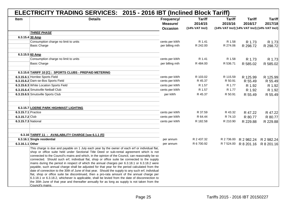|                     | ELECTRICITY TRADING SERVICES: 2015 - 2016 IBT (Inclined Block Tariff)                                                                                                                                                                                                                                                                                                                                                                                                                                                                                                                                                                                                                                                                                                                                                                                                                                                                                                                                                            |                                           |                                            |                                                                          |                          |                                  |
|---------------------|----------------------------------------------------------------------------------------------------------------------------------------------------------------------------------------------------------------------------------------------------------------------------------------------------------------------------------------------------------------------------------------------------------------------------------------------------------------------------------------------------------------------------------------------------------------------------------------------------------------------------------------------------------------------------------------------------------------------------------------------------------------------------------------------------------------------------------------------------------------------------------------------------------------------------------------------------------------------------------------------------------------------------------|-------------------------------------------|--------------------------------------------|--------------------------------------------------------------------------|--------------------------|----------------------------------|
| <b>Item</b>         | <b>Details</b>                                                                                                                                                                                                                                                                                                                                                                                                                                                                                                                                                                                                                                                                                                                                                                                                                                                                                                                                                                                                                   | Frequency/<br>Measure/<br><b>Occasion</b> | <b>Tariff</b><br>2014/15<br>(14% VAT Incl) | <b>Tariff</b><br>2015/16<br>(14% VAT Incl) (14% VAT Incl) (14% VAT Incl) | <b>Tariff</b><br>2016/17 | <b>Tariff</b><br>2017/18         |
|                     | <b>THREE PHASE</b>                                                                                                                                                                                                                                                                                                                                                                                                                                                                                                                                                                                                                                                                                                                                                                                                                                                                                                                                                                                                               |                                           |                                            |                                                                          |                          |                                  |
|                     | 6.3.15.4 30 Amp                                                                                                                                                                                                                                                                                                                                                                                                                                                                                                                                                                                                                                                                                                                                                                                                                                                                                                                                                                                                                  |                                           |                                            |                                                                          |                          |                                  |
|                     | Consumption charge no limit to units<br><b>Basic Charge</b>                                                                                                                                                                                                                                                                                                                                                                                                                                                                                                                                                                                                                                                                                                                                                                                                                                                                                                                                                                      | cents per kWh<br>per billing mth          | R 1.41<br>R 242.00                         | R 1.58<br>R 274.06                                                       | R 1.73<br>R 298.72       | R 1.73<br>R 298.72               |
|                     | 6.3.15.5 60 Amp                                                                                                                                                                                                                                                                                                                                                                                                                                                                                                                                                                                                                                                                                                                                                                                                                                                                                                                                                                                                                  |                                           |                                            |                                                                          |                          |                                  |
|                     | Consumption charge no limit to units                                                                                                                                                                                                                                                                                                                                                                                                                                                                                                                                                                                                                                                                                                                                                                                                                                                                                                                                                                                             | cents per kWh                             | R 1.41                                     | R 1.58                                                                   | R 1.73                   | R 1.73                           |
|                     | <b>Basic Charge</b>                                                                                                                                                                                                                                                                                                                                                                                                                                                                                                                                                                                                                                                                                                                                                                                                                                                                                                                                                                                                              | per billing mth                           | R484.00                                    | R 536.71                                                                 | R 585.02                 | R 585.02                         |
|                     | 6.3.15.6 TARIFF 10 [C] : SPORTS CLUBS - PREPAID METERING                                                                                                                                                                                                                                                                                                                                                                                                                                                                                                                                                                                                                                                                                                                                                                                                                                                                                                                                                                         |                                           |                                            |                                                                          |                          |                                  |
|                     | 6.3.15.6.1 Hornlee Sports Field                                                                                                                                                                                                                                                                                                                                                                                                                                                                                                                                                                                                                                                                                                                                                                                                                                                                                                                                                                                                  | cents per kWh                             | R 103.02                                   | R 115.59                                                                 | R 125.99                 | R 125.99                         |
|                     | 6.3.15.6.2 Dam-se-Bos Sports Field                                                                                                                                                                                                                                                                                                                                                                                                                                                                                                                                                                                                                                                                                                                                                                                                                                                                                                                                                                                               | cents per kWh                             | R 45.37                                    | R 50.91                                                                  | R 55.49                  | R 55.49                          |
|                     | 6.3.15.6.3 White Location Sports Field                                                                                                                                                                                                                                                                                                                                                                                                                                                                                                                                                                                                                                                                                                                                                                                                                                                                                                                                                                                           | cents per kWh                             | R 1.57                                     | R 1.77                                                                   | R 1.92                   | R 1.92                           |
|                     | 6.3.15.6.4 Smutsville Netball Club                                                                                                                                                                                                                                                                                                                                                                                                                                                                                                                                                                                                                                                                                                                                                                                                                                                                                                                                                                                               | cents per kWh                             | R 1.57                                     | R 1.77                                                                   | R 1.92                   | R 1.92                           |
|                     | 6.3.15.6.5 Smutsville Sports Club                                                                                                                                                                                                                                                                                                                                                                                                                                                                                                                                                                                                                                                                                                                                                                                                                                                                                                                                                                                                | per kWh                                   | R 45.37                                    | R 50.91                                                                  | R 55.49                  | R 55.49                          |
|                     | 6.3.15.7 LOERIE PARK HIGHMAST LIGHTING                                                                                                                                                                                                                                                                                                                                                                                                                                                                                                                                                                                                                                                                                                                                                                                                                                                                                                                                                                                           |                                           |                                            |                                                                          |                          |                                  |
| 6.3.15.7.1 Practice |                                                                                                                                                                                                                                                                                                                                                                                                                                                                                                                                                                                                                                                                                                                                                                                                                                                                                                                                                                                                                                  | cents per kWh                             | R 37.59                                    | R 43.32                                                                  | R 47.22                  | R 47.22                          |
| 6.3.15.7.2 Club     |                                                                                                                                                                                                                                                                                                                                                                                                                                                                                                                                                                                                                                                                                                                                                                                                                                                                                                                                                                                                                                  | cents per kWh                             | R 64.44                                    | R 74.10                                                                  | R 80.77                  | R 80.77                          |
| 6.3.15.7.3 National |                                                                                                                                                                                                                                                                                                                                                                                                                                                                                                                                                                                                                                                                                                                                                                                                                                                                                                                                                                                                                                  | cents per kWh                             | R 182.58                                   | R 210.90                                                                 | R 229.88                 | R 229.88                         |
|                     | 6.3.16 TARIFF 11 : AVAILABILITY CHARGE [see 6.1.1 (f)]                                                                                                                                                                                                                                                                                                                                                                                                                                                                                                                                                                                                                                                                                                                                                                                                                                                                                                                                                                           |                                           |                                            |                                                                          |                          |                                  |
|                     | 6.3.16.1 Single residential                                                                                                                                                                                                                                                                                                                                                                                                                                                                                                                                                                                                                                                                                                                                                                                                                                                                                                                                                                                                      | per annum                                 | R 2 437.32                                 |                                                                          | R 2 736.00 R 2 982.24    | R 2 982.24                       |
| 6.3.16.1.1 Other    |                                                                                                                                                                                                                                                                                                                                                                                                                                                                                                                                                                                                                                                                                                                                                                                                                                                                                                                                                                                                                                  | per annum                                 | R 6 700.92                                 |                                                                          |                          | R 7 524.00 R 8 201.16 R 8 201.16 |
|                     | This charge is due and payable on 1 July each year by the owner of each erf or individual flat,<br>shop or office suite held under Sectional Title Deed or sub-rental agreement which is not<br>connected to the Council's mains and which, in the opinion of the Council, can reasonably be so<br>connected. Should such erf, individual flat, shop or office suite be connected to the supply<br>mains during the period in respect of which the annual charges per 6.3.18.1 or 6.3.18.2 were<br>payable, such annual charge shall be adjusted for that year for the period calculated from the<br>date of connection to the 30th of June of that year. Should the supply to any such erf, individual<br>flat, shop or office suite be discontinued, then a pro-rata amount of the annual charge per<br>6.3.18.1 or 6.3.18.2, whichever is applicable, shall be levied from the date of disconnection to<br>the 30th June of that year and thereafter annually for as long as supply is not taken from the<br>Council's mains. |                                           |                                            |                                                                          |                          |                                  |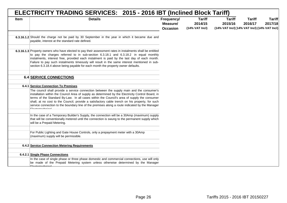| ELECTRICITY TRADING SERVICES: 2015 - 2016 IBT (Inclined Block Tariff) |                                                                                                                                                                                                                                                                                                                                                                                                                                                                                                                          |                                           |                                            |                                                                          |                          |                          |  |  |  |
|-----------------------------------------------------------------------|--------------------------------------------------------------------------------------------------------------------------------------------------------------------------------------------------------------------------------------------------------------------------------------------------------------------------------------------------------------------------------------------------------------------------------------------------------------------------------------------------------------------------|-------------------------------------------|--------------------------------------------|--------------------------------------------------------------------------|--------------------------|--------------------------|--|--|--|
| <b>Item</b>                                                           | <b>Details</b>                                                                                                                                                                                                                                                                                                                                                                                                                                                                                                           | Frequency/<br>Measure/<br><b>Occasion</b> | <b>Tariff</b><br>2014/15<br>(14% VAT Incl) | <b>Tariff</b><br>2015/16<br>(14% VAT Incl) (14% VAT Incl) (14% VAT Incl) | <b>Tariff</b><br>2016/17 | <b>Tariff</b><br>2017/18 |  |  |  |
|                                                                       | 6.3.16.1.2 Should the charge not be paid by 30 September in the year in which it became due and<br>payable, interest at the standard rate defined.                                                                                                                                                                                                                                                                                                                                                                       |                                           |                                            |                                                                          |                          |                          |  |  |  |
|                                                                       | 6.3.16.1.3 Property owners who have elected to pay their assessment rates in instalments shall be entitled<br>to pay the charges referred to in sub-section 6.3.18.1 and 6.3.18.2 in equal monthly<br>instalments, interest free, provided each instalment is paid by the last day of each month.<br>Failure to pay such instalments timeously will result in the same interest mentioned in sub-<br>section 6.3.18.4 above being payable for each month the property owner defaults.                                    |                                           |                                            |                                                                          |                          |                          |  |  |  |
|                                                                       | <b>6.4 SERVICE CONNECTIONS</b>                                                                                                                                                                                                                                                                                                                                                                                                                                                                                           |                                           |                                            |                                                                          |                          |                          |  |  |  |
|                                                                       | 6.4.1 Service Connection To Premises                                                                                                                                                                                                                                                                                                                                                                                                                                                                                     |                                           |                                            |                                                                          |                          |                          |  |  |  |
|                                                                       | The council shall provide a service connection between the supply main and the consumer's<br>installation within the Council Area of supply as determined by the Electricity Control Board, in<br>terms of the Standard By-Law. In all cases within the Council's area of supply the consumer<br>shall, at no cost to the Council, provide a satisfactory cable trench on his property, for such<br>service connection to the boundary line of the premises along a route indicated by the Manager<br>$F$ laatrataabniaa |                                           |                                            |                                                                          |                          |                          |  |  |  |
|                                                                       | In the case of a Temporary Builder's Supply, the connection will be a 30Amp (maximum) supply<br>that will be conventionally metered until the connection is swung to the permanent supply which<br>will be a Prepaid Metering.                                                                                                                                                                                                                                                                                           |                                           |                                            |                                                                          |                          |                          |  |  |  |
|                                                                       | For Public Lighting and Gate House Controls, only a prepayment meter with a 30Amp<br>(maximum) supply will be permissible.                                                                                                                                                                                                                                                                                                                                                                                               |                                           |                                            |                                                                          |                          |                          |  |  |  |
|                                                                       | <b>6.4.2 Service Connection Metering Requirements</b>                                                                                                                                                                                                                                                                                                                                                                                                                                                                    |                                           |                                            |                                                                          |                          |                          |  |  |  |
|                                                                       |                                                                                                                                                                                                                                                                                                                                                                                                                                                                                                                          |                                           |                                            |                                                                          |                          |                          |  |  |  |
|                                                                       | 6.4.2.1 Single Phase Connections<br>In the case of single phase or three phase domestic and commercial connections, use will only                                                                                                                                                                                                                                                                                                                                                                                        |                                           |                                            |                                                                          |                          |                          |  |  |  |
|                                                                       | be made of the Prepaid Metering system unless otherwise determined by the Manager                                                                                                                                                                                                                                                                                                                                                                                                                                        |                                           |                                            |                                                                          |                          |                          |  |  |  |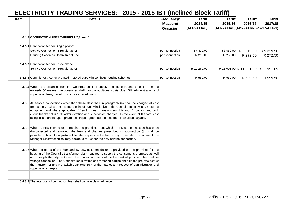|             | ELECTRICITY TRADING SERVICES: 2015 - 2016 IBT (Inclined Block Tariff)                                                                                                                                                                                                                                                                                                                                                                                                                                                        |                                           |                                            |                                                                          |                          |                                     |  |  |  |  |
|-------------|------------------------------------------------------------------------------------------------------------------------------------------------------------------------------------------------------------------------------------------------------------------------------------------------------------------------------------------------------------------------------------------------------------------------------------------------------------------------------------------------------------------------------|-------------------------------------------|--------------------------------------------|--------------------------------------------------------------------------|--------------------------|-------------------------------------|--|--|--|--|
| <b>Item</b> | <b>Details</b>                                                                                                                                                                                                                                                                                                                                                                                                                                                                                                               | Frequency/<br>Measure/<br><b>Occasion</b> | <b>Tariff</b><br>2014/15<br>(14% VAT Incl) | <b>Tariff</b><br>2015/16<br>(14% VAT Incl) (14% VAT Incl) (14% VAT Incl) | <b>Tariff</b><br>2016/17 | <b>Tariff</b><br>2017/18            |  |  |  |  |
|             |                                                                                                                                                                                                                                                                                                                                                                                                                                                                                                                              |                                           |                                            |                                                                          |                          |                                     |  |  |  |  |
|             | 6.4.3 CONNECTION FEES TARIFFS 1,2,3 and 5                                                                                                                                                                                                                                                                                                                                                                                                                                                                                    |                                           |                                            |                                                                          |                          |                                     |  |  |  |  |
|             | 6.4.3.1 Connection fee for Single phase:                                                                                                                                                                                                                                                                                                                                                                                                                                                                                     |                                           |                                            |                                                                          |                          |                                     |  |  |  |  |
|             | Service Connection: Prepaid Meter                                                                                                                                                                                                                                                                                                                                                                                                                                                                                            | per connection                            | R 7 410.00                                 |                                                                          | R 8 550.00 R 9 319.50    | R 9 319.50                          |  |  |  |  |
|             | Housing Schemes Commitment Fee                                                                                                                                                                                                                                                                                                                                                                                                                                                                                               | per connection                            | R 250.00                                   | R 250.00                                                                 | R 272.50                 | R 272.50                            |  |  |  |  |
|             |                                                                                                                                                                                                                                                                                                                                                                                                                                                                                                                              |                                           |                                            |                                                                          |                          |                                     |  |  |  |  |
|             | 6.4.3.2 Connection fee for Three phase:                                                                                                                                                                                                                                                                                                                                                                                                                                                                                      |                                           |                                            |                                                                          |                          |                                     |  |  |  |  |
|             | Service Connection: Prepaid Meter                                                                                                                                                                                                                                                                                                                                                                                                                                                                                            | per connection                            | R 10 260.00                                |                                                                          |                          | R 11 001.00 R 11 991.09 R 11 991.09 |  |  |  |  |
|             |                                                                                                                                                                                                                                                                                                                                                                                                                                                                                                                              |                                           |                                            |                                                                          |                          |                                     |  |  |  |  |
|             | 6.4.3.3 Commitment fee for pre-paid metered supply in self-help housing schemes                                                                                                                                                                                                                                                                                                                                                                                                                                              | per connection                            | R 550.00                                   | R 550.00                                                                 | R 599.50                 | R 599.50                            |  |  |  |  |
|             |                                                                                                                                                                                                                                                                                                                                                                                                                                                                                                                              |                                           |                                            |                                                                          |                          |                                     |  |  |  |  |
|             | 6.4.3.4 Where the distance from the Council's point of supply and the consumers point of control<br>exceeds 50 meters, the consumer shall pay the additional costs plus 15% administration and<br>supervision fees, based on such calculated costs.                                                                                                                                                                                                                                                                          |                                           |                                            |                                                                          |                          |                                     |  |  |  |  |
|             |                                                                                                                                                                                                                                                                                                                                                                                                                                                                                                                              |                                           |                                            |                                                                          |                          |                                     |  |  |  |  |
|             | 6.4.3.5 All service connections other than those described in paragraph (a) shall be charged at cost<br>from supply mains to consumers point of supply inclusive of the Council's main switch, metering<br>equipment and where applicable HV switch gear, transformers, HV and LV cabling and tariff<br>circuit breaker plus 15% administration and supervision charges. In the event of the total cost<br>being less than the appropriate fees in paragraph (a) the fees therein shall be payable.                          |                                           |                                            |                                                                          |                          |                                     |  |  |  |  |
|             |                                                                                                                                                                                                                                                                                                                                                                                                                                                                                                                              |                                           |                                            |                                                                          |                          |                                     |  |  |  |  |
|             | 6.4.3.6 Where a new connection is required to premises from which a previous connection has been<br>disconnected and removed, the fees and charges prescribed in sub-section (3) shall be<br>payable, subject to adjustment for the depreciated value of any materials or equipment the<br>Manager Electrotechnical may decide to re-use for the new service connection.                                                                                                                                                     |                                           |                                            |                                                                          |                          |                                     |  |  |  |  |
|             |                                                                                                                                                                                                                                                                                                                                                                                                                                                                                                                              |                                           |                                            |                                                                          |                          |                                     |  |  |  |  |
|             | 6.4.3.7 Where in terms of the Standard By-Law accommodation is provided on the premises for the<br>housing of the Council's transformer plant required to supply the consumer's premises as well<br>as to supply the adjacent area, the connection fee shall be the cost of providing the medium<br>voltage connection, The Council's main switch and metering equipment plus the pro-rata cost of<br>the transformer and HV switch-gear plus 15% of the total cost in respect of administration and<br>supervision charges. |                                           |                                            |                                                                          |                          |                                     |  |  |  |  |
|             |                                                                                                                                                                                                                                                                                                                                                                                                                                                                                                                              |                                           |                                            |                                                                          |                          |                                     |  |  |  |  |
|             | 6.4.3.9 The total cost of connection fees shall be payable in advance.                                                                                                                                                                                                                                                                                                                                                                                                                                                       |                                           |                                            |                                                                          |                          |                                     |  |  |  |  |
|             |                                                                                                                                                                                                                                                                                                                                                                                                                                                                                                                              |                                           |                                            |                                                                          |                          |                                     |  |  |  |  |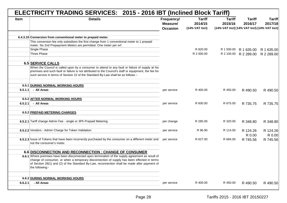|             | ELECTRICITY TRADING SERVICES: 2015 - 2016 IBT (Inclined Block Tariff)                                                                                                                                                                                                                                              |                                           |                                              |                                                                          |                          |                          |  |  |
|-------------|--------------------------------------------------------------------------------------------------------------------------------------------------------------------------------------------------------------------------------------------------------------------------------------------------------------------|-------------------------------------------|----------------------------------------------|--------------------------------------------------------------------------|--------------------------|--------------------------|--|--|
| <b>Item</b> | <b>Details</b>                                                                                                                                                                                                                                                                                                     | Frequency/<br>Measure/<br><b>Occasion</b> | <b>Tariff</b><br>2014/15<br>$(14%$ VAT Incl) | <b>Tariff</b><br>2015/16<br>(14% VAT Incl) [14% VAT Incl) (14% VAT Incl) | <b>Tariff</b><br>2016/17 | <b>Tariff</b><br>2017/18 |  |  |
|             | 6.4.3.10 Conversion from conventional meter to prepaid meter.                                                                                                                                                                                                                                                      |                                           |                                              |                                                                          |                          |                          |  |  |
|             | This conversion fee only subsidizes the first change from 1 conventional meter to 1 prepaid<br>meter. No 2nd Prepayment Meters are permitted. One meter per erf.                                                                                                                                                   |                                           |                                              |                                                                          |                          |                          |  |  |
|             | Single Phase                                                                                                                                                                                                                                                                                                       |                                           | R 820.00                                     | R 1 500.00                                                               | R 1 635.00               | R 1 635.00               |  |  |
|             | Three Phase                                                                                                                                                                                                                                                                                                        |                                           | R 2 000.00                                   | R 2 100.00                                                               | R 2 289.00               | R 2 289.00               |  |  |
|             | 6.5 SERVICE CALLS                                                                                                                                                                                                                                                                                                  |                                           |                                              |                                                                          |                          |                          |  |  |
|             | When the Council is called upon by a consumer to attend to any fault or failure of supply at his<br>premises and such fault or failure is not attributed to the Council's staff or equipment, the fee for<br>such service in terms of Section 22 of the Standard By-Law shall be as follows :-                     |                                           |                                              |                                                                          |                          |                          |  |  |
|             | 6.5.1 DURING NORMAL WORKING HOURS                                                                                                                                                                                                                                                                                  |                                           |                                              |                                                                          |                          |                          |  |  |
|             | $6.5.1.1$ - All Areas                                                                                                                                                                                                                                                                                              | per service                               | R 400.00                                     | R 450.00                                                                 | R 490.50                 | R 490.50                 |  |  |
|             |                                                                                                                                                                                                                                                                                                                    |                                           |                                              |                                                                          |                          |                          |  |  |
| 6.5.2.1     | 6.5.2 AFTER NORMAL WORKING HOURS<br>- All Areas                                                                                                                                                                                                                                                                    | per service                               | R 600.00                                     | R 675.00                                                                 | R 735.75                 | R 735.75                 |  |  |
|             |                                                                                                                                                                                                                                                                                                                    |                                           |                                              |                                                                          |                          |                          |  |  |
|             | 6.5.2 PREPAID METERING CHARGES                                                                                                                                                                                                                                                                                     |                                           |                                              |                                                                          |                          |                          |  |  |
|             | 6.5.2.1 Tariff change Admin Fee - single or 3Ph Prepaid Metering                                                                                                                                                                                                                                                   | per change                                | R 285.00                                     | R 320.00                                                                 | R 348.80                 | R 348.80                 |  |  |
|             | 6.5.2.2 Vendors - Admin Charge for Token Validation                                                                                                                                                                                                                                                                | per service                               | R 96.90                                      | R 114.00                                                                 | R 124.26<br>R 0.00       | R 124.26<br>R 0.00       |  |  |
|             | 6.5.2.3 Issue of Tokens that have been incorrectly purchased by the consumer on a different meter and<br>not the consumer's meter.                                                                                                                                                                                 | per service                               | R 627.00                                     | R 684.00                                                                 | R 745.56                 | R 745.56                 |  |  |
|             | 6.6 DISCONNECTION AND RECONNECTION : CHANGE OF CONSUMER                                                                                                                                                                                                                                                            |                                           |                                              |                                                                          |                          |                          |  |  |
|             | 6.6.1 Where premises have been disconnected upon termination of the supply agreement as result of<br>change of consumer, or when a temporary disconnection of supply has been effected in terms<br>of Section 28(1) and (2) of the Standard By-Law, reconnection shall be made after payment of<br>the following:- |                                           |                                              |                                                                          |                          |                          |  |  |
|             |                                                                                                                                                                                                                                                                                                                    |                                           |                                              |                                                                          |                          |                          |  |  |
|             | <b>6.6.2 DURING NORMAL WORKING HOURS</b>                                                                                                                                                                                                                                                                           |                                           | R 400.00                                     |                                                                          |                          |                          |  |  |
| 6.6.2.1     | - All Areas                                                                                                                                                                                                                                                                                                        | per service                               |                                              | R 450.00                                                                 | R 490.50                 | R 490.50                 |  |  |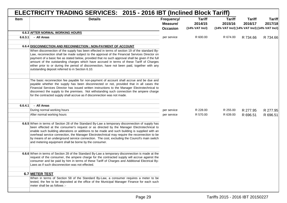| <b>Item</b> | <b>Details</b>                                                                                                                                                                                                                                                                                                                                                                                                                                                                                                                                            | Frequency/<br>Measure/<br><b>Occasion</b> | <b>Tariff</b><br>2014/15<br>$(14%$ VAT Incl) | <b>Tariff</b><br>2015/16<br>(14% VAT Incl) (14% VAT Incl) (14% VAT Incl) | <b>Tariff</b><br>2016/17 | <b>Tariff</b><br>2017/18 |
|-------------|-----------------------------------------------------------------------------------------------------------------------------------------------------------------------------------------------------------------------------------------------------------------------------------------------------------------------------------------------------------------------------------------------------------------------------------------------------------------------------------------------------------------------------------------------------------|-------------------------------------------|----------------------------------------------|--------------------------------------------------------------------------|--------------------------|--------------------------|
|             | 6.6.3 AFTER NORMAL WORKING HOURS                                                                                                                                                                                                                                                                                                                                                                                                                                                                                                                          |                                           |                                              |                                                                          |                          |                          |
| 6.6.3.1     | - All Areas                                                                                                                                                                                                                                                                                                                                                                                                                                                                                                                                               | per service                               | R 600.00                                     | R 674.00                                                                 | R 734.66                 | R 734.66                 |
|             | 6.6.4 DISCONNECTION AND RECONNECTION : NON-PAYMENT OF ACCOUNT                                                                                                                                                                                                                                                                                                                                                                                                                                                                                             |                                           |                                              |                                                                          |                          |                          |
|             | When disconnection of the supply has been effected in terms of section 19 of the standard By-<br>Law, reconnection shall be made subject to the approval of the Financial Services Director on<br>payment of a basic fee as stated below, provided that no such approval shall be given if the full<br>amount of the outstanding charges which have accrued in terms of these Tariff of Charges<br>either prior to or during the period of disconnection, have not been paid, together with any<br>outstanding deposit referred to in Section 6.10.       |                                           |                                              |                                                                          |                          |                          |
|             | The basic reconnection fee payable for non-payment of account shall accrue and be due and<br>payable whether the supply has been disconnected or not, provided that in all cases the<br>Financial Services Director has issued written instructions to the Manager Electrotechnical to<br>disconnect the supply to the premises. Not withstanding such connection the ampere charge<br>for the contracted supply shall accrue as if disconnection was not made.                                                                                           |                                           |                                              |                                                                          |                          |                          |
| 6.6.4.1     | - All Areas                                                                                                                                                                                                                                                                                                                                                                                                                                                                                                                                               |                                           |                                              |                                                                          |                          |                          |
|             | During normal working hours                                                                                                                                                                                                                                                                                                                                                                                                                                                                                                                               | per service                               | R 228.00                                     | R 255.00                                                                 | R 277.95                 | R 277.95                 |
|             | After normal working hours                                                                                                                                                                                                                                                                                                                                                                                                                                                                                                                                | per service                               | R 570.00                                     | R 639.00                                                                 | R 696.51                 | R 696.51                 |
|             | 6.6.5 When in terms of Section 28 of the Standard By-Law a temporary disconnection of supply has<br>been effected at the consumer's request or as directed by the Manager Electrotechnical to<br>enable such building alterations or additions to be made and such building is supplied with an<br>overhead service connection, the Manager Electrotechnical may require the reconnection to be<br>by means of an underground service connection. The cost, excluding the Council's main switch<br>and metering equipment shall be borne by the consumer. |                                           |                                              |                                                                          |                          |                          |
|             | 6.6.6 When in terms of Section 28 of the Standard By-Law a temporary disconnection is made at the<br>request of the consumer, the ampere charge for the contracted supply will accrue against the<br>consumer and be paid by him in terms of these Tariff of Charges and Additional Electrical By-<br>Laws as if such disconnection was not effected.                                                                                                                                                                                                     |                                           |                                              |                                                                          |                          |                          |
|             | 6.7 METER TEST                                                                                                                                                                                                                                                                                                                                                                                                                                                                                                                                            |                                           |                                              |                                                                          |                          |                          |
|             | When in terms of Section 58 of the Standard By-Law, a consumer requires a meter to be<br>tested, the fee to be deposited at the office of the Municipal Manager Finance for each such<br>meter shall be as follows :-                                                                                                                                                                                                                                                                                                                                     |                                           |                                              |                                                                          |                          |                          |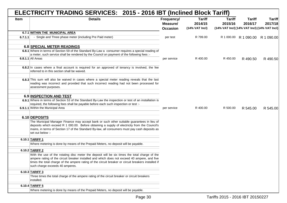|         | ELECTRICITY TRADING SERVICES: 2015 - 2016 IBT (Inclined Block Tariff)                                                                                                                                                                                                                                                                   |                                           |                                            |                                                                          |                          |                                  |
|---------|-----------------------------------------------------------------------------------------------------------------------------------------------------------------------------------------------------------------------------------------------------------------------------------------------------------------------------------------|-------------------------------------------|--------------------------------------------|--------------------------------------------------------------------------|--------------------------|----------------------------------|
| Item    | <b>Details</b>                                                                                                                                                                                                                                                                                                                          | Frequency/<br>Measure/<br><b>Occasion</b> | <b>Tariff</b><br>2014/15<br>(14% VAT Incl) | <b>Tariff</b><br>2015/16<br>(14% VAT Incl) (14% VAT Incl) (14% VAT Incl) | <b>Tariff</b><br>2016/17 | <b>Tariff</b><br>2017/18         |
|         | 6.7.1 WITHIN THE MUNICIPAL AREA                                                                                                                                                                                                                                                                                                         |                                           |                                            |                                                                          |                          |                                  |
| 6.7.1.1 | - Single and Three phase meter (including Pre Paid meter)                                                                                                                                                                                                                                                                               | per test                                  | R 799.00                                   |                                                                          |                          | R 1 000.00 R 1 090.00 R 1 090.00 |
|         | <b>6.8 SPECIAL METER READINGS</b>                                                                                                                                                                                                                                                                                                       |                                           |                                            |                                                                          |                          |                                  |
|         | 6.8.1 Where in terms of Section 59 of the Standard By-Law a consumer requires a special reading of<br>a meter, such service shall be rendered by the Council on payment of the following fees :-                                                                                                                                        |                                           |                                            |                                                                          |                          |                                  |
|         | 6.8.1.1 All Areas                                                                                                                                                                                                                                                                                                                       | per service                               | R 400.00                                   | R 450.00                                                                 | R 490.50                 | R 490.50                         |
|         | 6.8.2 In cases where a final account is required for an approved of tenancy is involved, the fee<br>referred to in this section shall be waived.                                                                                                                                                                                        |                                           |                                            |                                                                          |                          |                                  |
|         | 6.8.3 This sum will also be waived in cases where a special meter reading reveals that the last<br>reading was incorrect and provided that such incorrect reading had not been processed for<br>assessment purposes.                                                                                                                    |                                           |                                            |                                                                          |                          |                                  |
|         | <b>6.9 INSPECTION AND TEST</b>                                                                                                                                                                                                                                                                                                          |                                           |                                            |                                                                          |                          |                                  |
|         | 6.9.1 Where in terms of Section 53 of the Standard By-Law the inspection or test of an installation is                                                                                                                                                                                                                                  |                                           |                                            |                                                                          |                          |                                  |
|         | required, the following fees shall be payable before each such inspection or test :-<br>6.9.1.1 Within the Municipal Area                                                                                                                                                                                                               | per service                               | R 400.00                                   | R 500.00                                                                 | R 545.00                 | R 545.00                         |
|         |                                                                                                                                                                                                                                                                                                                                         |                                           |                                            |                                                                          |                          |                                  |
|         | 6.10 DEPOSITS                                                                                                                                                                                                                                                                                                                           |                                           |                                            |                                                                          |                          |                                  |
|         | The Municipal Manager Finance may accept bank or such other suitable guarantees in lieu of<br>deposits which exceed R 1 000.00. Before obtaining a supply of electricity from the Council's<br>mains, in terms of Section 17 of the Standard By-law, all consumers must pay cash deposits as<br>set out below :-                        |                                           |                                            |                                                                          |                          |                                  |
|         | 6.10.1 TARIFF 1                                                                                                                                                                                                                                                                                                                         |                                           |                                            |                                                                          |                          |                                  |
|         | Where metering is done by means of the Prepaid Meters, no deposit will be payable.                                                                                                                                                                                                                                                      |                                           |                                            |                                                                          |                          |                                  |
|         | 6.10.2 TARIFF 2                                                                                                                                                                                                                                                                                                                         |                                           |                                            |                                                                          |                          |                                  |
|         | With the use of the rotating disc meter the deposit will be six times the total charge of the<br>ampere rating of the circuit breaker installed and which does not exceed 40 ampere, and five<br>times the total charge of the ampere rating of the circuit breaker or circuit breakers installed if<br>such charge exceeds 40 amperes. |                                           |                                            |                                                                          |                          |                                  |
|         | 6.10.3 TARIFF 3                                                                                                                                                                                                                                                                                                                         |                                           |                                            |                                                                          |                          |                                  |
|         | Three times the total charge of the ampere rating of the circuit breaker or circuit breakers<br>installed.                                                                                                                                                                                                                              |                                           |                                            |                                                                          |                          |                                  |
|         | 6.10.4 TARIFF 5                                                                                                                                                                                                                                                                                                                         |                                           |                                            |                                                                          |                          |                                  |
|         | Where metering is done by means of the Prepaid Meters, no deposit will be payable.                                                                                                                                                                                                                                                      |                                           |                                            |                                                                          |                          |                                  |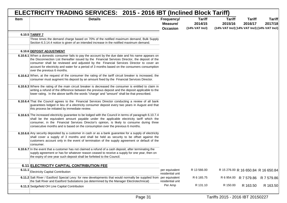|             | ELECTRICITY TRADING SERVICES: 2015 - 2016 IBT (Inclined Block Tariff)                                                                                                                                                                                                                                                                                                                                                           |                                           |                                              |                                                                          |                          |                          |  |  |
|-------------|---------------------------------------------------------------------------------------------------------------------------------------------------------------------------------------------------------------------------------------------------------------------------------------------------------------------------------------------------------------------------------------------------------------------------------|-------------------------------------------|----------------------------------------------|--------------------------------------------------------------------------|--------------------------|--------------------------|--|--|
| <b>Item</b> | <b>Details</b>                                                                                                                                                                                                                                                                                                                                                                                                                  | Frequency/<br>Measure/<br><b>Occasion</b> | <b>Tariff</b><br>2014/15<br>$(14%$ VAT Incl) | <b>Tariff</b><br>2015/16<br>(14% VAT Incl) (14% VAT Incl) (14% VAT Incl) | <b>Tariff</b><br>2016/17 | <b>Tariff</b><br>2017/18 |  |  |
|             | 6.10.5 TARIFF 7                                                                                                                                                                                                                                                                                                                                                                                                                 |                                           |                                              |                                                                          |                          |                          |  |  |
|             | Three times the demand charge based on 70% of the notified maximum demand, Bulk Supply<br>Section 6.3.14.4 notice is given of an intended increase in the notified maximum demand.                                                                                                                                                                                                                                              |                                           |                                              |                                                                          |                          |                          |  |  |
|             |                                                                                                                                                                                                                                                                                                                                                                                                                                 |                                           |                                              |                                                                          |                          |                          |  |  |
|             | 6.10.6 DEPOSIT ADJUSTMENT                                                                                                                                                                                                                                                                                                                                                                                                       |                                           |                                              |                                                                          |                          |                          |  |  |
|             | 6.10.6.1 When a domestic consumer fails to pay the account by the due date and his name appears on<br>the Disconnection List thereafter issued by the Financial Services Director, the deposit of the<br>consumer shall be reviewed and adjusted by the Financial Services Director to cover an<br>account for electricity and water for a period of 3 months based on the consumers consumption<br>over the previous 6 months. |                                           |                                              |                                                                          |                          |                          |  |  |
|             | 6.10.6.2 When, at the request of the consumer the rating of the tariff circuit breaker is increased, the<br>consumer must augment his deposit by an amount fixed by the Financial Services Director.                                                                                                                                                                                                                            |                                           |                                              |                                                                          |                          |                          |  |  |
|             | 6.10.6.3 Where the rating of the main circuit breaker is decreased the consumer is entitled to claim in<br>writing a refund of the difference between the previous deposit and the deposit applicable to the<br>lower rating. In the above tariffs the words "charge' and "amount" shall be that prescribed.                                                                                                                    |                                           |                                              |                                                                          |                          |                          |  |  |
|             | 6.10.6.4 That the Council agrees to the Financial Services Director conducting a review of all bank<br>guarantees lodged in lieu of a electricity consumer deposit every two years in August and that<br>this process be initiated by immediate review.                                                                                                                                                                         |                                           |                                              |                                                                          |                          |                          |  |  |
|             | 6.10.6.5 The increased electricity guarantee to be lodged with the Council in terms of paragraph 6.10.7.4<br>shall be the equivalent amount payable under the applicable electricity tariff which the<br>consumer, in the Financial Services Director's opinion, is likely to consume during three<br>consecutive months and is based on the consumption over the previous 6 months.                                            |                                           |                                              |                                                                          |                          |                          |  |  |
|             | 6.10.6.6 Any security deposited by a customer in cash or as a bank guarantee for a supply of electricity<br>shall cover a supply of 3 months and shall be held as security to be offset against the<br>customers account only in the event of termination of the supply agreement or default of the<br>consumer.                                                                                                                |                                           |                                              |                                                                          |                          |                          |  |  |
|             | 6.10.6.7 In the event that a customer has not claimed a refund of a cash deposit, after terminating the<br>supply agreement or has for whatever reason ceased to receive a supply for one year, then on<br>the expiry of one year such deposit shall be forfeited to the Council.                                                                                                                                               |                                           |                                              |                                                                          |                          |                          |  |  |
|             | 6.11 ELECTRICITY CAPITAL CONTRIBUTION FEE                                                                                                                                                                                                                                                                                                                                                                                       |                                           |                                              |                                                                          |                          |                          |  |  |
| 6.11.1      |                                                                                                                                                                                                                                                                                                                                                                                                                                 | per equivalent                            | R 13 566.00                                  | R 15 276.00 R 16 650.84 R 16 650.84                                      |                          |                          |  |  |
|             | Electricity Capital Contribution                                                                                                                                                                                                                                                                                                                                                                                                | residential unit                          |                                              |                                                                          |                          |                          |  |  |
|             | 6.11.2 Salt River / Eastford Special Levy: for new developments that would normally be supplied from<br>the Salt River and Eastford Substations (as determined by the Manager Electrotechnical)                                                                                                                                                                                                                                 | per equivalent<br>residential unit        | R 6 165.75                                   | R 6 954.00                                                               | R 7 579.86               | R 7 579.86               |  |  |
|             | 6.11.3 Sedgefield OH Line Capital Contribution                                                                                                                                                                                                                                                                                                                                                                                  | Per Amp                                   | R 131.10                                     | R 150.00                                                                 | R 163.50                 | R 163.50                 |  |  |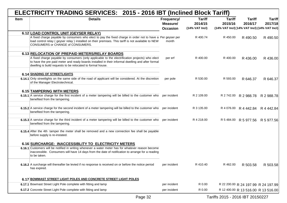|             | ELECTRICITY TRADING SERVICES: 2015 - 2016 IBT (Inclined Block Tariff)                                                                                                                                                                                               |                                           |                                            |                                                                          |                          |                                     |  |  |  |  |
|-------------|---------------------------------------------------------------------------------------------------------------------------------------------------------------------------------------------------------------------------------------------------------------------|-------------------------------------------|--------------------------------------------|--------------------------------------------------------------------------|--------------------------|-------------------------------------|--|--|--|--|
| <b>Item</b> | <b>Details</b>                                                                                                                                                                                                                                                      | Frequency/<br>Measure/<br><b>Occasion</b> | <b>Tariff</b><br>2014/15<br>(14% VAT Incl) | <b>Tariff</b><br>2015/16<br>(14% VAT Incl) (14% VAT Incl) (14% VAT Incl) | <b>Tariff</b><br>2016/17 | <b>Tariff</b><br>2017/18            |  |  |  |  |
|             | 6.12 LOAD CONTROL UNIT (GEYSER RELAY)                                                                                                                                                                                                                               |                                           |                                            |                                                                          |                          |                                     |  |  |  |  |
|             | A fixed charge payable by consumers who elect to pay the fixed charge in order not to have a Per geyser per<br>load control relay (geyser relay) installed on their premises. This tariff is not available to NEW<br>CONSUMERS or CHANGE of CONSUMERS.              | month                                     | R 400.74                                   | R 450.00                                                                 | R 490.50                 | R 490.50                            |  |  |  |  |
|             | 6.13 RELOCATION OF PREPAID METERS/RELAY BOARDS                                                                                                                                                                                                                      |                                           |                                            |                                                                          |                          |                                     |  |  |  |  |
|             | A fixed charge payable by consumers (only applicable to the electrification projects) who elect<br>to have the pre paid meter and ready boards installed in their informal dwelling and after formal<br>dwelling is build requests to be relocated to formal house. | per erf                                   | R 400.00                                   | R 400.00                                                                 | R 436.00                 | R 436.00                            |  |  |  |  |
|             | 6.14 SHADING OF STREETLIGHTS                                                                                                                                                                                                                                        |                                           |                                            |                                                                          |                          |                                     |  |  |  |  |
|             | 6.14.1 Only streetlights on the same side of the road of applicant will be considered. At the discretion<br>of the Manager Electrotechnical.                                                                                                                        | per pole                                  | R 530.00                                   | R 593.00                                                                 | R 646.37                 | R 646.37                            |  |  |  |  |
|             | <b>6.15 TAMPERING WITH METERS</b>                                                                                                                                                                                                                                   |                                           |                                            |                                                                          |                          |                                     |  |  |  |  |
|             | 6.15.1 A service charge for the first incident of a meter tampering will be billed to the customer who<br>benefited from the tampering.                                                                                                                             | per incident                              | R 2 109.00                                 |                                                                          | R 2 742.00 R 2 988.78    | R 2 988.78                          |  |  |  |  |
|             | 6.15.2 A service charge for the second incident of a meter tampering will be billed to the customer who<br>benefited from the tampering.                                                                                                                            | per incident                              | R 3 135.00                                 | R 4 076.00                                                               | R 4 442.84               | R 4 442.84                          |  |  |  |  |
|             | 6.15.3 A service charge for the third incident of a meter tampering will be billed to the customer who<br>benefited from the tampering.                                                                                                                             | per incident                              | R 4 218.00                                 |                                                                          | R 5 484.00 R 5 977.56    | R 5 977.56                          |  |  |  |  |
|             | 6.15.4 After the 4th tamper the meter shall be removed and a new connection fee shall be payable<br>before supply is re-instated.                                                                                                                                   |                                           |                                            |                                                                          |                          |                                     |  |  |  |  |
|             | 6.16 SURCHARGE: INACCESSIBLITY TO ELECTRICITY METERS                                                                                                                                                                                                                |                                           |                                            |                                                                          |                          |                                     |  |  |  |  |
|             | 6.16.1 Customers will be notified in writing whenever a water meter has for whatever reason become<br>inaccessible. Consumers will have 14 days from the date of notification to arrange for a reading<br>to be taken.                                              |                                           |                                            |                                                                          |                          |                                     |  |  |  |  |
|             | 6.16.2 A surcharge will thereafter be levied if no response is received on or before the notice period<br>has expired.                                                                                                                                              | per incident                              | R 410.40                                   | R 462.00                                                                 | R 503.58                 | R 503.58                            |  |  |  |  |
|             | 6.17 BOWMAST STREET LIGHT POLES AND CONCRETE STREET LIGHT POLES                                                                                                                                                                                                     |                                           |                                            |                                                                          |                          |                                     |  |  |  |  |
|             | 6.17.1 Bowmast Street Light Pole complete with fitting and lamp                                                                                                                                                                                                     | per incident                              | R 0.00                                     |                                                                          |                          | R 22 200.00 R 24 197.99 R 24 197.99 |  |  |  |  |
|             | 6.17.2 Concrete Street Light Pole complete with fitting and lamp                                                                                                                                                                                                    | per incident                              | R 0.00                                     |                                                                          |                          | R 12 400.00 R 13 516.00 R 13 516.00 |  |  |  |  |

# Page 32 Tariffs 2015 - 2016 IBT 20150227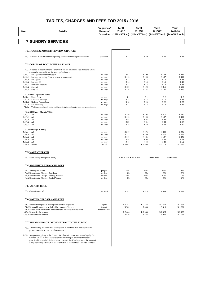| Item               | <b>Details</b>                                                                                                                                                                                                                                                                                                                                     | Frequency/<br>Measure/ | <b>Tariff</b><br>2014/15 | <b>Tariff</b><br>2015/16                                          | Tariff<br>2016/17 | Tariff<br>2017/18 |
|--------------------|----------------------------------------------------------------------------------------------------------------------------------------------------------------------------------------------------------------------------------------------------------------------------------------------------------------------------------------------------|------------------------|--------------------------|-------------------------------------------------------------------|-------------------|-------------------|
|                    |                                                                                                                                                                                                                                                                                                                                                    | Occasion               |                          | (14% VAT Incl)   (14% VAT Incl)   (14% VAT Incl)   (14% VAT Incl) |                   |                   |
|                    |                                                                                                                                                                                                                                                                                                                                                    |                        |                          |                                                                   |                   |                   |
| 7                  | <b>SUNDRY SERVICES</b>                                                                                                                                                                                                                                                                                                                             |                        |                          |                                                                   |                   |                   |
|                    |                                                                                                                                                                                                                                                                                                                                                    |                        |                          |                                                                   |                   |                   |
|                    | <b>7.1 HOUSING ADMINISTRATION CHARGES</b>                                                                                                                                                                                                                                                                                                          |                        |                          |                                                                   |                   |                   |
|                    | 7.1.1 In respect of tenants in housing letting schemes & housing loan borrowers                                                                                                                                                                                                                                                                    | per month              | R 27                     | R 29                                                              | R 32              | R 34              |
|                    | <b>7.2 COPIES OF DOCUMENTS &amp; PLANS</b>                                                                                                                                                                                                                                                                                                         |                        |                          |                                                                   |                   |                   |
|                    | 7.2.1 In respect of documents and plans which are not obtainable elsewhere and which<br>may not be removed from the Municipal offices :-                                                                                                                                                                                                           |                        |                          |                                                                   |                   |                   |
|                    | 7.2.1.1 Per copy smaller than O.5sq m                                                                                                                                                                                                                                                                                                              | per copy               | R 92                     | R 100                                                             | R 109             | R 119             |
| 7.2.1.2            | Per copy exceeding O.5sq m in size or part thereof                                                                                                                                                                                                                                                                                                 | per copy<br>per copy   | R 116<br>R 12            | R 125<br>R 13                                                     | R 137<br>R 14     | R 149<br>R 15     |
| 7.2.1.3<br>7.2.1.4 | Per copy A4<br>Per copy A3                                                                                                                                                                                                                                                                                                                         | per copy               | R 14                     | R 15                                                              | R 16              | R 18              |
| 7.2.1.5            | <b>Duplicate Accounts</b>                                                                                                                                                                                                                                                                                                                          | per copy               | R 12                     | R 13                                                              | R 14              | R 15              |
| 7.2.1.6            | Size A0                                                                                                                                                                                                                                                                                                                                            | per copy               | R 180                    | R 194                                                             | R 211             | R 230             |
| 7.2.1.7            | Size A1                                                                                                                                                                                                                                                                                                                                            | per copy               | R 116                    | R 125                                                             | R 137             | R 149             |
|                    | 7.2.2 Photo Copies and Faxes                                                                                                                                                                                                                                                                                                                       |                        |                          |                                                                   |                   |                   |
| 7.2.2.1            | Photo Copy                                                                                                                                                                                                                                                                                                                                         | per copy               | R <sub>1</sub>           | R <sub>1</sub>                                                    | R <sub>2</sub>    | R <sub>2</sub>    |
| 7.2.2.2            | Local Fax per Page                                                                                                                                                                                                                                                                                                                                 | per page               | R 14                     | R 15                                                              | R 16              | R 18<br>R 23      |
| 7.2.2.3<br>7.2.2.4 | National Fax per Page<br>Fax Receiving                                                                                                                                                                                                                                                                                                             | per page<br>per page   | R 18<br>R 12             | R 20<br>R 13                                                      | R 22<br>R 14      | R 15              |
| 7.2.2a             | Tariffs are applicable to the public, and staff members (private correspondence).                                                                                                                                                                                                                                                                  |                        |                          |                                                                   |                   |                   |
|                    | 7.2.3 GIS Maps (Black & White)                                                                                                                                                                                                                                                                                                                     |                        |                          |                                                                   |                   |                   |
| 7.2.3.1            | A <sub>0</sub>                                                                                                                                                                                                                                                                                                                                     | per copy               | R 180                    | R 194                                                             | R 211             | R 230             |
| 7.2.3.2            | A1                                                                                                                                                                                                                                                                                                                                                 | per copy               | R 116                    | R 125                                                             | R 137             | R 149             |
| 7.2.3.3            | A <sub>2</sub>                                                                                                                                                                                                                                                                                                                                     | per copy               | R 58                     | R 63                                                              | R 68              | R 74              |
| 7.2.3.4<br>7.2.3.5 | A <sub>3</sub><br>A4                                                                                                                                                                                                                                                                                                                               | per copy<br>per copy   | R 29<br>R 24             | R 31<br>R 26                                                      | R 34<br>R 28      | R 37<br>R 30      |
|                    |                                                                                                                                                                                                                                                                                                                                                    |                        |                          |                                                                   |                   |                   |
| 7.2.4.1            | 7.2.4 GIS Maps (Colour)<br>A <sub>0</sub>                                                                                                                                                                                                                                                                                                          | per copy               | R 347                    | R 375                                                             | R 409             | R 446             |
| 7.2.4.2            | A1                                                                                                                                                                                                                                                                                                                                                 | per copy               | R 231                    | R 250                                                             | R 272             | R 297             |
| 7.2.4.3            | A2                                                                                                                                                                                                                                                                                                                                                 | per copy               | R 116                    | R 125                                                             | R 137             | R 149             |
| 7.2.4.4            | A3                                                                                                                                                                                                                                                                                                                                                 | per copy               | R 58                     | R 63                                                              | R 68              | R 74              |
| 7.2.4.5<br>7.2.4.6 | A4<br>Aerials                                                                                                                                                                                                                                                                                                                                      | per copy<br>per cd     | R 41<br>R 2 647          | R 44<br>R 2 858                                                   | R 48<br>R 3 116   | R 52<br>R 3 3 9 6 |
|                    |                                                                                                                                                                                                                                                                                                                                                    |                        |                          |                                                                   |                   |                   |
|                    | <b>7.3 VACANT ERVEN</b>                                                                                                                                                                                                                                                                                                                            |                        |                          |                                                                   |                   |                   |
|                    | 7.3.1 Plot Clearing (Overgrown erven)                                                                                                                                                                                                                                                                                                              |                        | $Cost + 25\%$ Cost + 25% |                                                                   | $Cost + 25\%$     | $Cost + 25%$      |
|                    | <b>7.4 ADMINISTRATION CHARGES</b>                                                                                                                                                                                                                                                                                                                  |                        |                          |                                                                   |                   |                   |
|                    | 7.4.1 Jobbing and Works                                                                                                                                                                                                                                                                                                                            | per job                | 17%                      | 19%                                                               | 19%               | 19%               |
|                    | 7.4.2 Departmental Charges - Rate Fund                                                                                                                                                                                                                                                                                                             | per dept               | 9%                       | 9%                                                                | 9%                | 9%                |
|                    | 7.4.3 Departmental Charges - Trading Services<br>7.4.4 Departmental Charges - Capital Works                                                                                                                                                                                                                                                        | per dept<br>per dept   | 12%<br>6%                | 12%<br>6%                                                         | 12%<br>6%         | 12%<br>6%         |
|                    |                                                                                                                                                                                                                                                                                                                                                    |                        |                          |                                                                   |                   |                   |
|                    | <b>7.5 VOTERS ROLL</b>                                                                                                                                                                                                                                                                                                                             |                        |                          |                                                                   |                   |                   |
|                    | 7.5.1 Copy of voters roll                                                                                                                                                                                                                                                                                                                          | per ward               | R 347                    | R 375                                                             | R 409             | R 446             |
|                    | <b>7.6 POSTER DEPOSITS AND FEES</b>                                                                                                                                                                                                                                                                                                                |                        |                          |                                                                   |                   |                   |
|                    |                                                                                                                                                                                                                                                                                                                                                    | Deposit                | R 2 2 5 3                | R 2 433                                                           | R 2 652           | R 2 891           |
|                    | 7.6.1 Refundable deposit to be lodged for erection of posters<br>7.6.2 Refundable deposit to be lodged for erection of banners                                                                                                                                                                                                                     | Deposit                | R 780                    | R 843                                                             | R 919             | R 1 001           |
|                    | 7.6.3 Posters and Banners to be removed within 24 hours after the event                                                                                                                                                                                                                                                                            | <b>Fine Per Event</b>  |                          |                                                                   |                   |                   |
|                    | .6.3.1 Release fee for posters                                                                                                                                                                                                                                                                                                                     |                        | R 2 4 8 4                | R 2 683                                                           | R 2 9 2 5         | R 3 188           |
|                    | 7.6.3.2 Release fee for banners                                                                                                                                                                                                                                                                                                                    |                        | R 820                    | R 886                                                             | R 966             | R 1 052           |
|                    | 7.7 FURNISHING OF INFORMATION TO THE PUBLIC :-                                                                                                                                                                                                                                                                                                     |                        |                          |                                                                   |                   |                   |
|                    | 7.7.1 The furnishing of information to the public or residents shall be subject to the<br>provisions of the Access To Information Act.                                                                                                                                                                                                             |                        |                          |                                                                   |                   |                   |
|                    |                                                                                                                                                                                                                                                                                                                                                    |                        |                          |                                                                   |                   |                   |
|                    | 7.7.1.1 Any person applying to the Council for information from any records kept by the<br>Council, will be furnished with such information upon payment of the fees<br>prescribed in the schedule here below, provided that if such person is the owner of<br>a property in respect of which the information is applied for, he shall be exempted |                        |                          |                                                                   |                   |                   |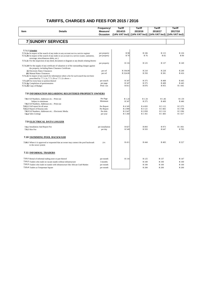| (14% VAT Incl) (14% VAT Incl)<br>(14% VAT Incl)<br>Occasion<br>(14% VAT Incl)<br><b>7 SUNDRY SERVICES</b><br>7.7.1.2 Schedule<br>R 98<br>R 106<br>R 115<br>R 126<br>7.7.1.2a In respect of the search of any index to any account not in a service register<br>per property<br>R 82<br>R 90<br>R 70<br>R 76<br>7.7.1.2b In respect of the search of any index to an account in a service (water, sanitation,<br>per property<br>sewerage, miscellaneous debts, etc.)<br>7.7.1.2c For the inspection of any deed, document or diagram or any details relating thereto<br>R 125<br>R 137<br>R 116<br>R 149<br>per property<br><b>7.7.1.2d</b> For the supply of any certificate of valuation or of the outstanding charges against<br>the property, including Rates Clearance Certificate.<br>(i) Electronic Rates Clearances<br>per erf<br>R 194.00<br>R 228<br>R 249<br>R 210<br>R 324.00<br>R 350<br>R 381<br>R 416<br>(ii) Manual Rates Clearances<br>per erf<br>7.7.1.2e In respect of any search for information where a fee for such search has not been<br>prescribed by 7.7.1.2a, 7.7.1.2b or 7.7.1.2c above :-<br>7.7.1.2f For every hour or portion thereof<br>per search<br>R 347<br>R 375<br>R 408<br>R 445<br>R 347<br>R 375<br>R 408<br>R 445<br>7.7.1.2g Completion of questionnaires<br>per page<br>Print-out<br>R 876<br>R 955<br>R 1 041<br>7.7.1.2h Copy of Budget<br>R 811<br><b>7.8 INFORMATION REGARDING REGISTERED PROPERTY OWNERS</b><br>Per Page<br>R 1.46<br>R 1.59<br>7.8.1 Erf Numbers, Addresses etc. - Print-out<br>R 1.24<br>R 1.34<br>Minimum<br>R 347<br>R 375<br>R 409<br>R 446<br>Subject to minimum<br>7.8.2 Erf Numbers, Addresses etc. - Print-out<br>Per Report<br>R 4 3 4 5<br>R 4 693<br>R 5 115<br>R 5 5 7 5<br>7.8.2.1 Full report for all areas<br>Per Report<br>R 2890<br>R 3 121<br>R 3 402<br>R 3 708<br>7.8.2.2 Report of Knysna only<br>Per disk<br>R 2 647<br>R 2 858<br>R 3 3 9 6<br>R 3 116<br>7.8.3 Erf Numbers, Addresses etc. - Electronic Media<br>R 1 260<br>R 1 361<br>R 1 483<br>R 1 617<br>7.8.4 Sales Listings<br>per year<br>7.9 ELECTRICAL DATA LOGGER<br>per installation<br>R 893<br>R 973<br>R 1 061<br>R 827<br>7.9.1 Installation And Report Fee<br>per day<br>R 593<br>R 647<br>R 705<br><b>7.9.2 Hire Fee</b><br>R 549<br>7.10 SWIMMING POOL BACKWASH<br>R 411<br>R 444<br>R 483<br>R 527<br>7.10.1 Where it is approved or requested that an owner may connect the pool backwash<br>p.a.<br>to the sewer system<br>7.11 INFORMAL TRADERS<br>7.11.1 Rental of informal trading store or part thereof<br>R 137<br>R 147<br>per month<br>R 116<br>R 125<br>7.11.2 Traders who trade on vacant stands without infrastructure<br>R 100<br>3 months<br>R 100<br>R 100<br>7.11.3 Traders who trade on stands with infrastructure like African Craft Market<br>R 100<br>R 100<br>per month<br>R 100<br>7.11.4 Traders at Tempeman Square<br>R 200<br>R 200<br>per month<br>R 200 | Item | <b>Details</b> | Frequency/<br>Measure/ | Tariff<br>2014/15 | Tariff<br>2015/16 | Tariff<br>2016/17 | Tariff<br>2017/18 |
|------------------------------------------------------------------------------------------------------------------------------------------------------------------------------------------------------------------------------------------------------------------------------------------------------------------------------------------------------------------------------------------------------------------------------------------------------------------------------------------------------------------------------------------------------------------------------------------------------------------------------------------------------------------------------------------------------------------------------------------------------------------------------------------------------------------------------------------------------------------------------------------------------------------------------------------------------------------------------------------------------------------------------------------------------------------------------------------------------------------------------------------------------------------------------------------------------------------------------------------------------------------------------------------------------------------------------------------------------------------------------------------------------------------------------------------------------------------------------------------------------------------------------------------------------------------------------------------------------------------------------------------------------------------------------------------------------------------------------------------------------------------------------------------------------------------------------------------------------------------------------------------------------------------------------------------------------------------------------------------------------------------------------------------------------------------------------------------------------------------------------------------------------------------------------------------------------------------------------------------------------------------------------------------------------------------------------------------------------------------------------------------------------------------------------------------------------------------------------------------------------------------------------------------------------------------------------------------------------------------------------------------------------------------------------------------------------------------------------------------------------------------------------------------------------------------------------------------------------------------------------------------------------------------------------------------------|------|----------------|------------------------|-------------------|-------------------|-------------------|-------------------|
|                                                                                                                                                                                                                                                                                                                                                                                                                                                                                                                                                                                                                                                                                                                                                                                                                                                                                                                                                                                                                                                                                                                                                                                                                                                                                                                                                                                                                                                                                                                                                                                                                                                                                                                                                                                                                                                                                                                                                                                                                                                                                                                                                                                                                                                                                                                                                                                                                                                                                                                                                                                                                                                                                                                                                                                                                                                                                                                                                |      |                |                        |                   |                   |                   |                   |
|                                                                                                                                                                                                                                                                                                                                                                                                                                                                                                                                                                                                                                                                                                                                                                                                                                                                                                                                                                                                                                                                                                                                                                                                                                                                                                                                                                                                                                                                                                                                                                                                                                                                                                                                                                                                                                                                                                                                                                                                                                                                                                                                                                                                                                                                                                                                                                                                                                                                                                                                                                                                                                                                                                                                                                                                                                                                                                                                                |      |                |                        |                   |                   |                   |                   |
|                                                                                                                                                                                                                                                                                                                                                                                                                                                                                                                                                                                                                                                                                                                                                                                                                                                                                                                                                                                                                                                                                                                                                                                                                                                                                                                                                                                                                                                                                                                                                                                                                                                                                                                                                                                                                                                                                                                                                                                                                                                                                                                                                                                                                                                                                                                                                                                                                                                                                                                                                                                                                                                                                                                                                                                                                                                                                                                                                |      |                |                        |                   |                   |                   |                   |
|                                                                                                                                                                                                                                                                                                                                                                                                                                                                                                                                                                                                                                                                                                                                                                                                                                                                                                                                                                                                                                                                                                                                                                                                                                                                                                                                                                                                                                                                                                                                                                                                                                                                                                                                                                                                                                                                                                                                                                                                                                                                                                                                                                                                                                                                                                                                                                                                                                                                                                                                                                                                                                                                                                                                                                                                                                                                                                                                                |      |                |                        |                   |                   |                   |                   |
|                                                                                                                                                                                                                                                                                                                                                                                                                                                                                                                                                                                                                                                                                                                                                                                                                                                                                                                                                                                                                                                                                                                                                                                                                                                                                                                                                                                                                                                                                                                                                                                                                                                                                                                                                                                                                                                                                                                                                                                                                                                                                                                                                                                                                                                                                                                                                                                                                                                                                                                                                                                                                                                                                                                                                                                                                                                                                                                                                |      |                |                        |                   |                   |                   |                   |
|                                                                                                                                                                                                                                                                                                                                                                                                                                                                                                                                                                                                                                                                                                                                                                                                                                                                                                                                                                                                                                                                                                                                                                                                                                                                                                                                                                                                                                                                                                                                                                                                                                                                                                                                                                                                                                                                                                                                                                                                                                                                                                                                                                                                                                                                                                                                                                                                                                                                                                                                                                                                                                                                                                                                                                                                                                                                                                                                                |      |                |                        |                   |                   |                   |                   |
|                                                                                                                                                                                                                                                                                                                                                                                                                                                                                                                                                                                                                                                                                                                                                                                                                                                                                                                                                                                                                                                                                                                                                                                                                                                                                                                                                                                                                                                                                                                                                                                                                                                                                                                                                                                                                                                                                                                                                                                                                                                                                                                                                                                                                                                                                                                                                                                                                                                                                                                                                                                                                                                                                                                                                                                                                                                                                                                                                |      |                |                        |                   |                   |                   |                   |
|                                                                                                                                                                                                                                                                                                                                                                                                                                                                                                                                                                                                                                                                                                                                                                                                                                                                                                                                                                                                                                                                                                                                                                                                                                                                                                                                                                                                                                                                                                                                                                                                                                                                                                                                                                                                                                                                                                                                                                                                                                                                                                                                                                                                                                                                                                                                                                                                                                                                                                                                                                                                                                                                                                                                                                                                                                                                                                                                                |      |                |                        |                   |                   |                   |                   |
|                                                                                                                                                                                                                                                                                                                                                                                                                                                                                                                                                                                                                                                                                                                                                                                                                                                                                                                                                                                                                                                                                                                                                                                                                                                                                                                                                                                                                                                                                                                                                                                                                                                                                                                                                                                                                                                                                                                                                                                                                                                                                                                                                                                                                                                                                                                                                                                                                                                                                                                                                                                                                                                                                                                                                                                                                                                                                                                                                |      |                |                        |                   |                   |                   |                   |
|                                                                                                                                                                                                                                                                                                                                                                                                                                                                                                                                                                                                                                                                                                                                                                                                                                                                                                                                                                                                                                                                                                                                                                                                                                                                                                                                                                                                                                                                                                                                                                                                                                                                                                                                                                                                                                                                                                                                                                                                                                                                                                                                                                                                                                                                                                                                                                                                                                                                                                                                                                                                                                                                                                                                                                                                                                                                                                                                                |      |                |                        |                   |                   |                   |                   |
|                                                                                                                                                                                                                                                                                                                                                                                                                                                                                                                                                                                                                                                                                                                                                                                                                                                                                                                                                                                                                                                                                                                                                                                                                                                                                                                                                                                                                                                                                                                                                                                                                                                                                                                                                                                                                                                                                                                                                                                                                                                                                                                                                                                                                                                                                                                                                                                                                                                                                                                                                                                                                                                                                                                                                                                                                                                                                                                                                |      |                |                        |                   |                   |                   |                   |
|                                                                                                                                                                                                                                                                                                                                                                                                                                                                                                                                                                                                                                                                                                                                                                                                                                                                                                                                                                                                                                                                                                                                                                                                                                                                                                                                                                                                                                                                                                                                                                                                                                                                                                                                                                                                                                                                                                                                                                                                                                                                                                                                                                                                                                                                                                                                                                                                                                                                                                                                                                                                                                                                                                                                                                                                                                                                                                                                                |      |                |                        |                   |                   |                   |                   |
|                                                                                                                                                                                                                                                                                                                                                                                                                                                                                                                                                                                                                                                                                                                                                                                                                                                                                                                                                                                                                                                                                                                                                                                                                                                                                                                                                                                                                                                                                                                                                                                                                                                                                                                                                                                                                                                                                                                                                                                                                                                                                                                                                                                                                                                                                                                                                                                                                                                                                                                                                                                                                                                                                                                                                                                                                                                                                                                                                |      |                |                        |                   |                   |                   |                   |
|                                                                                                                                                                                                                                                                                                                                                                                                                                                                                                                                                                                                                                                                                                                                                                                                                                                                                                                                                                                                                                                                                                                                                                                                                                                                                                                                                                                                                                                                                                                                                                                                                                                                                                                                                                                                                                                                                                                                                                                                                                                                                                                                                                                                                                                                                                                                                                                                                                                                                                                                                                                                                                                                                                                                                                                                                                                                                                                                                |      |                |                        |                   |                   |                   |                   |
|                                                                                                                                                                                                                                                                                                                                                                                                                                                                                                                                                                                                                                                                                                                                                                                                                                                                                                                                                                                                                                                                                                                                                                                                                                                                                                                                                                                                                                                                                                                                                                                                                                                                                                                                                                                                                                                                                                                                                                                                                                                                                                                                                                                                                                                                                                                                                                                                                                                                                                                                                                                                                                                                                                                                                                                                                                                                                                                                                |      |                |                        |                   |                   |                   |                   |
|                                                                                                                                                                                                                                                                                                                                                                                                                                                                                                                                                                                                                                                                                                                                                                                                                                                                                                                                                                                                                                                                                                                                                                                                                                                                                                                                                                                                                                                                                                                                                                                                                                                                                                                                                                                                                                                                                                                                                                                                                                                                                                                                                                                                                                                                                                                                                                                                                                                                                                                                                                                                                                                                                                                                                                                                                                                                                                                                                |      |                |                        |                   |                   |                   |                   |
|                                                                                                                                                                                                                                                                                                                                                                                                                                                                                                                                                                                                                                                                                                                                                                                                                                                                                                                                                                                                                                                                                                                                                                                                                                                                                                                                                                                                                                                                                                                                                                                                                                                                                                                                                                                                                                                                                                                                                                                                                                                                                                                                                                                                                                                                                                                                                                                                                                                                                                                                                                                                                                                                                                                                                                                                                                                                                                                                                |      |                |                        |                   |                   |                   |                   |
|                                                                                                                                                                                                                                                                                                                                                                                                                                                                                                                                                                                                                                                                                                                                                                                                                                                                                                                                                                                                                                                                                                                                                                                                                                                                                                                                                                                                                                                                                                                                                                                                                                                                                                                                                                                                                                                                                                                                                                                                                                                                                                                                                                                                                                                                                                                                                                                                                                                                                                                                                                                                                                                                                                                                                                                                                                                                                                                                                |      |                |                        |                   |                   |                   |                   |
|                                                                                                                                                                                                                                                                                                                                                                                                                                                                                                                                                                                                                                                                                                                                                                                                                                                                                                                                                                                                                                                                                                                                                                                                                                                                                                                                                                                                                                                                                                                                                                                                                                                                                                                                                                                                                                                                                                                                                                                                                                                                                                                                                                                                                                                                                                                                                                                                                                                                                                                                                                                                                                                                                                                                                                                                                                                                                                                                                |      |                |                        |                   |                   |                   |                   |
|                                                                                                                                                                                                                                                                                                                                                                                                                                                                                                                                                                                                                                                                                                                                                                                                                                                                                                                                                                                                                                                                                                                                                                                                                                                                                                                                                                                                                                                                                                                                                                                                                                                                                                                                                                                                                                                                                                                                                                                                                                                                                                                                                                                                                                                                                                                                                                                                                                                                                                                                                                                                                                                                                                                                                                                                                                                                                                                                                |      |                |                        |                   |                   |                   |                   |
|                                                                                                                                                                                                                                                                                                                                                                                                                                                                                                                                                                                                                                                                                                                                                                                                                                                                                                                                                                                                                                                                                                                                                                                                                                                                                                                                                                                                                                                                                                                                                                                                                                                                                                                                                                                                                                                                                                                                                                                                                                                                                                                                                                                                                                                                                                                                                                                                                                                                                                                                                                                                                                                                                                                                                                                                                                                                                                                                                |      |                |                        |                   |                   |                   |                   |
|                                                                                                                                                                                                                                                                                                                                                                                                                                                                                                                                                                                                                                                                                                                                                                                                                                                                                                                                                                                                                                                                                                                                                                                                                                                                                                                                                                                                                                                                                                                                                                                                                                                                                                                                                                                                                                                                                                                                                                                                                                                                                                                                                                                                                                                                                                                                                                                                                                                                                                                                                                                                                                                                                                                                                                                                                                                                                                                                                |      |                |                        |                   |                   |                   |                   |
|                                                                                                                                                                                                                                                                                                                                                                                                                                                                                                                                                                                                                                                                                                                                                                                                                                                                                                                                                                                                                                                                                                                                                                                                                                                                                                                                                                                                                                                                                                                                                                                                                                                                                                                                                                                                                                                                                                                                                                                                                                                                                                                                                                                                                                                                                                                                                                                                                                                                                                                                                                                                                                                                                                                                                                                                                                                                                                                                                |      |                |                        |                   |                   |                   |                   |
|                                                                                                                                                                                                                                                                                                                                                                                                                                                                                                                                                                                                                                                                                                                                                                                                                                                                                                                                                                                                                                                                                                                                                                                                                                                                                                                                                                                                                                                                                                                                                                                                                                                                                                                                                                                                                                                                                                                                                                                                                                                                                                                                                                                                                                                                                                                                                                                                                                                                                                                                                                                                                                                                                                                                                                                                                                                                                                                                                |      |                |                        |                   |                   |                   |                   |
|                                                                                                                                                                                                                                                                                                                                                                                                                                                                                                                                                                                                                                                                                                                                                                                                                                                                                                                                                                                                                                                                                                                                                                                                                                                                                                                                                                                                                                                                                                                                                                                                                                                                                                                                                                                                                                                                                                                                                                                                                                                                                                                                                                                                                                                                                                                                                                                                                                                                                                                                                                                                                                                                                                                                                                                                                                                                                                                                                |      |                |                        |                   |                   |                   |                   |
|                                                                                                                                                                                                                                                                                                                                                                                                                                                                                                                                                                                                                                                                                                                                                                                                                                                                                                                                                                                                                                                                                                                                                                                                                                                                                                                                                                                                                                                                                                                                                                                                                                                                                                                                                                                                                                                                                                                                                                                                                                                                                                                                                                                                                                                                                                                                                                                                                                                                                                                                                                                                                                                                                                                                                                                                                                                                                                                                                |      |                |                        |                   |                   |                   |                   |
|                                                                                                                                                                                                                                                                                                                                                                                                                                                                                                                                                                                                                                                                                                                                                                                                                                                                                                                                                                                                                                                                                                                                                                                                                                                                                                                                                                                                                                                                                                                                                                                                                                                                                                                                                                                                                                                                                                                                                                                                                                                                                                                                                                                                                                                                                                                                                                                                                                                                                                                                                                                                                                                                                                                                                                                                                                                                                                                                                |      |                |                        |                   |                   |                   |                   |
|                                                                                                                                                                                                                                                                                                                                                                                                                                                                                                                                                                                                                                                                                                                                                                                                                                                                                                                                                                                                                                                                                                                                                                                                                                                                                                                                                                                                                                                                                                                                                                                                                                                                                                                                                                                                                                                                                                                                                                                                                                                                                                                                                                                                                                                                                                                                                                                                                                                                                                                                                                                                                                                                                                                                                                                                                                                                                                                                                |      |                |                        |                   |                   |                   |                   |
|                                                                                                                                                                                                                                                                                                                                                                                                                                                                                                                                                                                                                                                                                                                                                                                                                                                                                                                                                                                                                                                                                                                                                                                                                                                                                                                                                                                                                                                                                                                                                                                                                                                                                                                                                                                                                                                                                                                                                                                                                                                                                                                                                                                                                                                                                                                                                                                                                                                                                                                                                                                                                                                                                                                                                                                                                                                                                                                                                |      |                |                        |                   |                   |                   |                   |
|                                                                                                                                                                                                                                                                                                                                                                                                                                                                                                                                                                                                                                                                                                                                                                                                                                                                                                                                                                                                                                                                                                                                                                                                                                                                                                                                                                                                                                                                                                                                                                                                                                                                                                                                                                                                                                                                                                                                                                                                                                                                                                                                                                                                                                                                                                                                                                                                                                                                                                                                                                                                                                                                                                                                                                                                                                                                                                                                                |      |                |                        |                   |                   |                   |                   |
|                                                                                                                                                                                                                                                                                                                                                                                                                                                                                                                                                                                                                                                                                                                                                                                                                                                                                                                                                                                                                                                                                                                                                                                                                                                                                                                                                                                                                                                                                                                                                                                                                                                                                                                                                                                                                                                                                                                                                                                                                                                                                                                                                                                                                                                                                                                                                                                                                                                                                                                                                                                                                                                                                                                                                                                                                                                                                                                                                |      |                |                        |                   |                   |                   |                   |
|                                                                                                                                                                                                                                                                                                                                                                                                                                                                                                                                                                                                                                                                                                                                                                                                                                                                                                                                                                                                                                                                                                                                                                                                                                                                                                                                                                                                                                                                                                                                                                                                                                                                                                                                                                                                                                                                                                                                                                                                                                                                                                                                                                                                                                                                                                                                                                                                                                                                                                                                                                                                                                                                                                                                                                                                                                                                                                                                                |      |                |                        |                   |                   |                   |                   |
|                                                                                                                                                                                                                                                                                                                                                                                                                                                                                                                                                                                                                                                                                                                                                                                                                                                                                                                                                                                                                                                                                                                                                                                                                                                                                                                                                                                                                                                                                                                                                                                                                                                                                                                                                                                                                                                                                                                                                                                                                                                                                                                                                                                                                                                                                                                                                                                                                                                                                                                                                                                                                                                                                                                                                                                                                                                                                                                                                |      |                |                        |                   |                   |                   |                   |
|                                                                                                                                                                                                                                                                                                                                                                                                                                                                                                                                                                                                                                                                                                                                                                                                                                                                                                                                                                                                                                                                                                                                                                                                                                                                                                                                                                                                                                                                                                                                                                                                                                                                                                                                                                                                                                                                                                                                                                                                                                                                                                                                                                                                                                                                                                                                                                                                                                                                                                                                                                                                                                                                                                                                                                                                                                                                                                                                                |      |                |                        |                   |                   |                   |                   |
|                                                                                                                                                                                                                                                                                                                                                                                                                                                                                                                                                                                                                                                                                                                                                                                                                                                                                                                                                                                                                                                                                                                                                                                                                                                                                                                                                                                                                                                                                                                                                                                                                                                                                                                                                                                                                                                                                                                                                                                                                                                                                                                                                                                                                                                                                                                                                                                                                                                                                                                                                                                                                                                                                                                                                                                                                                                                                                                                                |      |                |                        |                   |                   |                   |                   |
|                                                                                                                                                                                                                                                                                                                                                                                                                                                                                                                                                                                                                                                                                                                                                                                                                                                                                                                                                                                                                                                                                                                                                                                                                                                                                                                                                                                                                                                                                                                                                                                                                                                                                                                                                                                                                                                                                                                                                                                                                                                                                                                                                                                                                                                                                                                                                                                                                                                                                                                                                                                                                                                                                                                                                                                                                                                                                                                                                |      |                |                        |                   |                   |                   |                   |
|                                                                                                                                                                                                                                                                                                                                                                                                                                                                                                                                                                                                                                                                                                                                                                                                                                                                                                                                                                                                                                                                                                                                                                                                                                                                                                                                                                                                                                                                                                                                                                                                                                                                                                                                                                                                                                                                                                                                                                                                                                                                                                                                                                                                                                                                                                                                                                                                                                                                                                                                                                                                                                                                                                                                                                                                                                                                                                                                                |      |                |                        |                   |                   |                   |                   |
|                                                                                                                                                                                                                                                                                                                                                                                                                                                                                                                                                                                                                                                                                                                                                                                                                                                                                                                                                                                                                                                                                                                                                                                                                                                                                                                                                                                                                                                                                                                                                                                                                                                                                                                                                                                                                                                                                                                                                                                                                                                                                                                                                                                                                                                                                                                                                                                                                                                                                                                                                                                                                                                                                                                                                                                                                                                                                                                                                |      |                |                        |                   |                   |                   |                   |
|                                                                                                                                                                                                                                                                                                                                                                                                                                                                                                                                                                                                                                                                                                                                                                                                                                                                                                                                                                                                                                                                                                                                                                                                                                                                                                                                                                                                                                                                                                                                                                                                                                                                                                                                                                                                                                                                                                                                                                                                                                                                                                                                                                                                                                                                                                                                                                                                                                                                                                                                                                                                                                                                                                                                                                                                                                                                                                                                                |      |                |                        |                   |                   |                   |                   |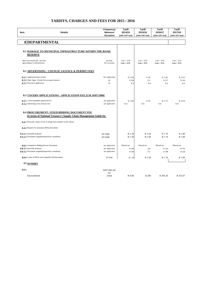|                                 |                                                                        | Frequency/                | <b>Tariff</b>                 | <b>Tariff</b>                 | <b>Tariff</b>                | <b>Tariff</b>                 |
|---------------------------------|------------------------------------------------------------------------|---------------------------|-------------------------------|-------------------------------|------------------------------|-------------------------------|
| Item                            | <b>Details</b>                                                         | Measure/<br>Occasion      | 2014/15<br>(14% VAT Incl)     | 2015/16<br>(14% VAT Incl)     | 2016/17<br>(14% VAT Incl)    | 2017/18<br>(14% VAT Incl)     |
|                                 |                                                                        |                           |                               |                               |                              |                               |
|                                 | <b>8DEPARTMENTAL</b>                                                   |                           |                               |                               |                              |                               |
|                                 |                                                                        |                           |                               |                               |                              |                               |
|                                 | 8.1 DAMAGE TO MUNICIPAL INFRASTRUCTURE WITHIN THE ROAD                 |                           |                               |                               |                              |                               |
| <b>RESERVE</b>                  |                                                                        |                           |                               |                               |                              |                               |
|                                 |                                                                        |                           |                               |                               |                              |                               |
| 8.1.2 Repair to infrastructure  | 8.1.1 New Kerb laid - per kerb                                         | per kerb<br>Per occasions | $Cost + 15\%$<br>$Cost + 15%$ | $Cost + 15\%$<br>$Cost + 15%$ | $Cost + 15%$<br>$Cost + 15%$ | $Cost + 15\%$<br>$Cost + 15%$ |
|                                 |                                                                        |                           |                               |                               |                              |                               |
|                                 | 8.2 ADVERTISING : COUNCIL LICENCE & PERMIT FEES                        |                           |                               |                               |                              |                               |
| 8.2.1 Application lease of land |                                                                        | Per Application           | R 2 870                       | 3 1 2 9                       | R 3 3 6 3                    | R 3 615                       |
|                                 | 8.2.2 Other Signs - Permit Fee on annual renewal                       | pa                        | R 194                         | 211                           | R 227                        | R 244                         |
| 8.2.3 Way-leave application     |                                                                        | pa                        | R <sub>0</sub>                | R <sub>0</sub>                | R <sub>0</sub>               | R <sub>0</sub>                |
|                                 |                                                                        |                           |                               |                               |                              |                               |
|                                 |                                                                        |                           |                               |                               |                              |                               |
|                                 | <b>8.3 TAVERN APPLICATIONS: APPLICATION FEE [CM 29/07/1999]</b>        |                           |                               |                               |                              |                               |
|                                 | 8.3.1 A non-refundable application fee                                 | per application           | R 2 3 6 5                     | 2578                          | R 2 771                      | R 2 979                       |
|                                 | 8.3.2 Advertising costs (Actual cost)                                  | per application           | Cost                          | Cost                          | Cost                         | Cost                          |
|                                 |                                                                        |                           |                               |                               |                              |                               |
|                                 | 8.4 PROCUREMENT: FIXED BIDDING DOCUMENT FEE                            |                           |                               |                               |                              |                               |
|                                 | In terms of National Treasury's Supply Chain Management Guide for      |                           |                               |                               |                              |                               |
|                                 | 8.4.1 Electronic copies of free of charge and available on the website |                           |                               |                               |                              |                               |
|                                 | 8.4.2 Request For Quotation (RFQ) documents                            |                           |                               |                               |                              |                               |
|                                 |                                                                        |                           |                               |                               |                              |                               |
| 8.4.2.1 Internally prepared     |                                                                        | per page                  | R 1.50                        | R 1.64                        | R 1.76                       | R 1.89                        |
|                                 | 8.4.2.2 Documents supplied/prepared by consultants                     | per page                  | R 1.50                        | R 1.64                        | R 1.76                       | R 1.89                        |
|                                 | 8.8.3 Competitive Bidding Process Documents                            | per application           | Phased out                    | Phased out                    | Phased out                   | Phased out                    |
| 8.8.3.1 Internally prepared     |                                                                        | per application           | R 200                         | 218                           | R 234                        | R 252                         |
|                                 | 8.8.3.2 Documents supplied/prepared by consultants                     | per application           | R 340                         | 371                           | R 398                        | R 428                         |
|                                 | 8.8.4 Copies of RFQ's and competitive bid documents                    | per page                  | R 1.50                        | R 1.64                        | R 1.76                       | R 1.89                        |
|                                 |                                                                        |                           |                               |                               |                              |                               |
| 8.9 SUNDRY                      |                                                                        |                           |                               |                               |                              |                               |
| 8.9.1                           |                                                                        | land value per            |                               |                               |                              |                               |
|                                 |                                                                        | m2                        |                               |                               |                              |                               |
| Encroachment                    |                                                                        | rental                    | R 0.00                        | R 280                         | R 305.20                     | R 332.67                      |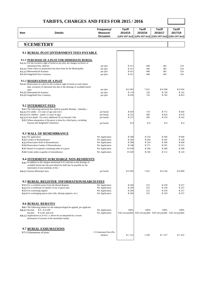| <b>Item</b>     | <b>Details</b>                                                                                                                                                                                                                                                                         | Frequency/<br>Measure/<br>Occasion | <b>Tariff</b><br>2014/15  | <b>Tariff</b><br>2015/16<br>(14% VAT Incl) (14% VAT Incl) (14% VAT Incl) (14% VAT Incl) | Tariff<br>2016/17 | <b>Tariff</b><br>2017/18                                      |
|-----------------|----------------------------------------------------------------------------------------------------------------------------------------------------------------------------------------------------------------------------------------------------------------------------------------|------------------------------------|---------------------------|-----------------------------------------------------------------------------------------|-------------------|---------------------------------------------------------------|
|                 | 9 CEMETERY                                                                                                                                                                                                                                                                             |                                    |                           |                                                                                         |                   |                                                               |
|                 |                                                                                                                                                                                                                                                                                        |                                    |                           |                                                                                         |                   |                                                               |
|                 | 9.1 BURIAL PLOT [INTERNMENT FEES PAYABLE                                                                                                                                                                                                                                               |                                    |                           |                                                                                         |                   |                                                               |
|                 | 9.1.1 PURCHASE OF A PLOT FOR IMMEDIATE BURIAL<br>9.1.1.1 For the exclusive right of burial in any plot, the charges exclusive of<br>internment fees, shall be :                                                                                                                        | per plot                           | R 411                     | 448                                                                                     | 481               | 524                                                           |
|                 | 9.1.1.2 Areas where no preparation has been done by the Municipality                                                                                                                                                                                                                   | per plot                           | R 411                     | 448                                                                                     | 481               | 524                                                           |
|                 | 9.1.1.3 Rheenendal & Karatara<br>9.1.1.4 Sedgefield New Cemetery                                                                                                                                                                                                                       | per plot<br>per plot               | R 411<br>R 411            | 448<br>448                                                                              | 481<br>481        | 524<br>524                                                    |
|                 | 9.1.2 RESERVATION OF A PLOT                                                                                                                                                                                                                                                            |                                    |                           |                                                                                         |                   |                                                               |
|                 | 9.1.2.1 Reservation of a plot for the exclusive right of burial at some future<br>date, exclusive of interment fees due to the shortage of available burial                                                                                                                            |                                    |                           |                                                                                         |                   |                                                               |
|                 | sites:<br>9.1.2.2 Rheenendal & Karatara                                                                                                                                                                                                                                                | per plot<br>per plot               | R 6 9 93<br>R 110         | 7622<br>120                                                                             | R 8 308<br>R 130  | R 9 0 5 6<br>R 142                                            |
|                 | 9.1.2.3 Sedgefield New Cemetery                                                                                                                                                                                                                                                        | per plot                           | R 659                     | 718                                                                                     | R 783             | R 853                                                         |
|                 | <b>9.2 INTERMENT FEES</b>                                                                                                                                                                                                                                                              |                                    |                           |                                                                                         |                   |                                                               |
|                 | 9.2.1 The following interment fees shall be payable Monday - Saturday :-                                                                                                                                                                                                               |                                    |                           |                                                                                         |                   |                                                               |
|                 | 9.2.1.1 For adults (12 years of age and over)                                                                                                                                                                                                                                          | per burial                         | R 659                     | 718                                                                                     | R 772             | R 830                                                         |
|                 | 9.2.1.2 For children (under 12 years of age)<br>9.2.1.3 Extra depth: For every additional 30 cm beyond 1.8m                                                                                                                                                                            | per burial<br>per burial           | R 532<br>R 272            | 580<br>296                                                                              | R 624<br>R 319    | R 670<br>R 343                                                |
|                 | 9.2.2 Where preparation of the grave is done by a third party, excluding<br>Knysna and Sedgefield Cemeteries                                                                                                                                                                           | per burial                         | R <sub>0</sub>            | R <sub>0</sub>                                                                          | R <sub>0</sub>    | R <sub>0</sub>                                                |
|                 | <b>9.3 WALL OF REMEMBRANCE</b>                                                                                                                                                                                                                                                         |                                    |                           |                                                                                         |                   |                                                               |
|                 | 9.3.1 Per application                                                                                                                                                                                                                                                                  | Per Application                    | R 508                     | R 554                                                                                   | R 596             | R 640                                                         |
|                 | 9.3.2 Garden of Remembrance                                                                                                                                                                                                                                                            | Per Application                    | R 260                     | R 284                                                                                   | R 305             | R 328                                                         |
|                 | 9.3.3 Reservation Wall of Remembrance<br>9.3.4 Reservation Garden of Remembrance                                                                                                                                                                                                       | Per Application<br>Per Application | R 508<br>R 248            | R 554<br>R 271                                                                          | R 596<br>R 291    | R 640<br>R 313                                                |
|                 | 9.3.5 Burial of receptacle containing ashes in a grave                                                                                                                                                                                                                                 | Per Application                    | R 0.00                    | R 260                                                                                   | R 280             | R 300                                                         |
|                 | 9.3.6 Scatter ashes in garden of remembrance                                                                                                                                                                                                                                           | Per Application                    | R 0.00                    | R 104                                                                                   | R 112             | R 120                                                         |
|                 | <b>9.4 INTERMENT SURCHARGE NON-RESIDENTS</b><br>9.4.1 In addition to the charges mentioned in 9.2 and due to the shortage of<br>available burial sites the prescribed fee shall also be payable for the<br>internment of non-residents of the :-                                       |                                    |                           |                                                                                         |                   |                                                               |
|                 | 9.4.1.1 Knysna Municipal Area                                                                                                                                                                                                                                                          | per burial                         | R 6 9 93                  | 7622                                                                                    | R 8 194           | R 8 809                                                       |
|                 | 9.5 BURIAL REGISTER INFORMATION/SEARCH FEES                                                                                                                                                                                                                                            |                                    |                           |                                                                                         |                   |                                                               |
|                 | 9.5.1 For a certified extract from the Burial Register                                                                                                                                                                                                                                 | Per Application                    | R 204                     | 223                                                                                     | R 239             | R 257                                                         |
|                 | 9.5.2 For a certificate of transfer of use of grave plot<br>9.5.3 For examining register                                                                                                                                                                                               | Per Application<br>Per Application | R 204<br>R 204            | 223<br>223                                                                              | R 239<br>R 239    | R 257<br>R 257                                                |
|                 | 9.5.4 For exchanging spaces (new title, altering registers, etc.)                                                                                                                                                                                                                      | Per Application                    | R 204                     | 223                                                                                     | R 239             | R 257                                                         |
| 9.6.1.1 Income: | <b>9.6 BURIAL REBATES</b><br>9.6.1 The following rebates for the underprivileged be applied, per applicant<br>$R$ 0 - $R$ 4,200<br>R 4.201 and over<br>Income:<br>9.6.1.2 Applications as in 9.6.1.1 above be accompanied by a sworn<br>declaration of income of the immediate family. | Per Application<br>Per Application | 100%<br>Full cost payable | 100%                                                                                    | 100%              | 100%<br>Full cost payable Full cost payable Full cost payable |
|                 | 9.7 BURIAL EXHUMATIONS<br>9.7.1 Exhumations all plots                                                                                                                                                                                                                                  | 2 X Interment Fees (No<br>rebates) | R 1 3 1 2                 | 1430                                                                                    | R 1 537           | R 1 652                                                       |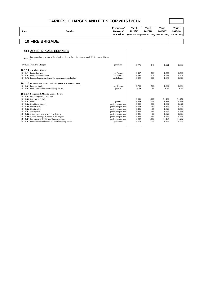| <b>Item</b>     | <b>Details</b>                                                                                              | Frequency/<br>Measure/<br>Occasion | <b>Tariff</b><br>2014/15<br>(14% VAT Incl) (14% VAT Incl) (14% VAT Incl) (14% VAT Incl) | <b>Tariff</b><br>2015/16 | <b>Tariff</b><br>2016/17 | <b>Tariff</b><br>2017/18 |
|-----------------|-------------------------------------------------------------------------------------------------------------|------------------------------------|-----------------------------------------------------------------------------------------|--------------------------|--------------------------|--------------------------|
|                 |                                                                                                             |                                    |                                                                                         |                          |                          |                          |
|                 | <b>10 FIRE BRIGADE</b>                                                                                      |                                    |                                                                                         |                          |                          |                          |
|                 |                                                                                                             |                                    |                                                                                         |                          |                          |                          |
|                 | <b>10.1 ACCIDENTS AND CLEANUPS</b>                                                                          |                                    |                                                                                         |                          |                          |                          |
| 10.1.1          | In respect of the provision of fire brigade services to these situations the applicable fees are as follows |                                    |                                                                                         |                          |                          |                          |
|                 | 10.1.1.1 Turn-Out Charges                                                                                   | per callout                        | R 775                                                                                   | 845                      | R 921                    | R 990                    |
|                 | 10.1.1.2 Attendance Charge                                                                                  |                                    |                                                                                         |                          |                          |                          |
|                 | 10.1.1.2.1 For the first hour                                                                               | per Fireman                        | R 467                                                                                   | 509                      | R 555                    | R 597                    |
|                 | 10.1.1.2.2 For each additional hour                                                                         | per Fireman                        | R 394                                                                                   | 429                      | R 468                    | R 503                    |
|                 | 10.1.1.2.3 For each hour or part thereof for labourers employed at fire                                     | per Labourer                       | R 290                                                                                   | 316                      | R 345                    | R 370                    |
|                 | <b>10.1.1.3</b> Fire Engine & Water Truck Charges (Km & Pumping Fees)                                       |                                    |                                                                                         |                          |                          |                          |
|                 | <b>10.1.1.3.1 Per water truck</b>                                                                           | per delivery                       | R 700                                                                                   | 763                      | R 832                    | R 894                    |
|                 | 10.1.1.3.2 For each vehicle used in combating the fire                                                      | per Km                             | R 50                                                                                    | 55                       | R 59                     | R 64                     |
|                 | 10.1.1.4 Equipment & Material Used at the fire                                                              |                                    |                                                                                         |                          |                          |                          |
|                 | 10.1.1.4.1 Fire Extinguishing Equipment :-                                                                  |                                    |                                                                                         |                          |                          |                          |
|                 | 10.1.1.4.2 Dry Powder & Co2                                                                                 |                                    | R 980                                                                                   | 1 0 6 8                  | R 1 164                  | R 1 252                  |
| 10.1.1.4.3 Foam |                                                                                                             | per litre                          | R 280                                                                                   | 305                      | R 333                    | R 358                    |
|                 | 10.1.1.4.4 Breathing Apparatus                                                                              | per hour or part hour              | R 330                                                                                   | 360                      | R 392                    | R 421                    |
|                 | <b>10.1.1.4.5</b> Portable pump                                                                             | per hour or part hour              | R 330                                                                                   | 360                      | R 392                    | R 421                    |
|                 | 10.1.1.4.6 Lighting plant                                                                                   | per hour or part hour              | R 445                                                                                   | 485                      | R 529                    | R 568                    |
|                 | 10.1.1.4.7 Cutting torch                                                                                    | per hour or part hour              | R 445                                                                                   | 485                      | R 529                    | R 568                    |
|                 | 10.1.1.4.8 A stand-by charge in respect of firemen                                                          | per hour or part hour              | R 445                                                                                   | 485                      | R 529                    | R 568                    |
|                 | 10.1.1.4.9 A stand-by charge in respect of fire engines                                                     | per hour or part hour              | R 445                                                                                   | 485                      | R 529                    | R 568                    |
|                 | 10.1.1.4.1 Emergency 10 Ton Rescue Equipment usage                                                          | per hour or part hour              | R 980                                                                                   | 1 0 6 8                  | R 1 164                  | R 1 252                  |
|                 | 10.1.1.4.1 For each service motorcar and other subsidiary vehicle                                           | per vehicle                        | R 215                                                                                   | 234                      | R 255                    | R 275                    |
|                 |                                                                                                             |                                    |                                                                                         |                          |                          |                          |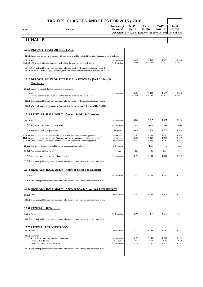|          |         | Frequency/ | <b>Tariff</b> | Tariff  | Tariff  | <b>Tariff</b>                                                     |
|----------|---------|------------|---------------|---------|---------|-------------------------------------------------------------------|
| Item     | Details | Measure/   | 2014/15       | 2015/16 | 2016/17 | 2017/18                                                           |
|          |         |            |               |         |         | Occasion (14% VAT Incl)(14% VAT Incl)(14% VAT Incl)(14% VAT Incl) |
|          |         |            |               |         |         |                                                                   |
| 11 HALLS |         |            |               |         |         |                                                                   |

|                      | <b>11.1 DEPOSIT: MAIN OR SIDE HALL</b>                                                                                                                                                                                                                                                           |                                        |                         |                         |                         |                         |
|----------------------|--------------------------------------------------------------------------------------------------------------------------------------------------------------------------------------------------------------------------------------------------------------------------------------------------|----------------------------------------|-------------------------|-------------------------|-------------------------|-------------------------|
|                      | 11.1.1 Deposit, set out below, is payable with booking and will be forfeited if premises damaged or not left clean :-                                                                                                                                                                            |                                        |                         |                         |                         |                         |
| 11.1.1.1 Rental      | 11.1.1.2 Where alcohol is to be served or / and sold on the premises the deposit will be                                                                                                                                                                                                         | Per Occasion<br>Per Occasion           | R 420<br>R 1 580        | R 458<br>R 1722         | R 499<br>R 1 877        | R 536<br>R 2018         |
|                      | 11.1.2 The Municipal Manager may determine a lower deposit for deserving applications on merit.<br>11.1.3 All users of halls, except government, municipality and registered charities must pay the deposit.                                                                                     |                                        |                         |                         |                         |                         |
|                      | 11.2 DEPOSIT: MAIN OR SIDE HALL + KITCHEN [Incl Cutlery &<br>Crockery]                                                                                                                                                                                                                           |                                        |                         |                         |                         |                         |
|                      | <b>11.2.1</b> Deposit as stipulated in the conditions on application                                                                                                                                                                                                                             |                                        |                         |                         |                         |                         |
| 11.2.1.1 Rental      | Where alcohol is to be served or $/$ and sold on the premises the deposit will be                                                                                                                                                                                                                | Per Occasion                           | R 420<br>R 1 580        | R 458<br>R 1722         | R 499<br>R 1 877        | R 536<br>R 2 018        |
|                      | 11.2.2 The Municipal Manager may determine a lower deposit for deserving applications on meri                                                                                                                                                                                                    |                                        |                         |                         |                         |                         |
|                      | 11.2.3 Where alcohol is to be served or / and sold on the premises the Deposit will be R1,000.00                                                                                                                                                                                                 |                                        |                         |                         |                         |                         |
|                      | 11.3 RENTALS: HALL ONLY - General Public & Churches                                                                                                                                                                                                                                              |                                        |                         |                         |                         |                         |
|                      | <b>11.3.1 Rental</b>                                                                                                                                                                                                                                                                             | Per Occasion                           | R 200                   | R 217                   | R 237                   | R 255                   |
|                      | 11.3.2 Registered charities doing charity work                                                                                                                                                                                                                                                   | Per Occasion                           | Free                    | Free                    | Free                    | Free                    |
|                      | 11.3.3 Non profit sporting organizations.                                                                                                                                                                                                                                                        | Per Year                               | R 614                   | R 670                   | R 730                   | R 785                   |
|                      | <b>11.3.4a</b> Sport Trainers with a income of less than R1000 per month from using the hal<br><b>11.3.4b</b> Sport Trainers with a income of between R1001 - R2000 per month from using the hal<br><b>11.3.4c</b> Sport Trainers with a income of more than R2001 per month from using the hall | Per Month<br>Per Month<br>Per Occasion | R 242<br>R 452<br>R 242 | R 263<br>R 492<br>R 263 | R 287<br>R 536<br>R 287 | R 308<br>R 577<br>R 308 |
|                      | 11.3.5 Charges for Schools (Normal tariffs for fundraising organisations                                                                                                                                                                                                                         | Per Occasion                           | Free                    | Free                    | Free                    | Free                    |
|                      | 11.3.6 Funerals and political parties                                                                                                                                                                                                                                                            | Per Hour                               | R 28                    | R 31                    | R 34                    | R 36                    |
|                      | 11.3.7 Rental of cutlery & crockery - Rheenendal Hal                                                                                                                                                                                                                                             | Per Occasion                           | R 170                   | R 185                   | R 202                   | R 217                   |
|                      | <b>11.3.8</b> The Municipal Manager may determine a lower rental for deserving applications on merit.                                                                                                                                                                                            |                                        |                         |                         |                         |                         |
|                      | 11.4 RENTALS: HALL ONLY - Amateur Sport For Children                                                                                                                                                                                                                                             |                                        |                         |                         |                         |                         |
| <b>11.4.1 Rental</b> |                                                                                                                                                                                                                                                                                                  | Per Occasion                           | R 95                    | R 103                   | R 112                   | R 121                   |
|                      | <b>11.4.2</b> The Municipal Manager may determine a lower rental for deserving applications on meri                                                                                                                                                                                              |                                        |                         |                         |                         |                         |
|                      | 11.5 RENTALS: HALL ONLY - Amateur Sport, & Welfare Organisation's                                                                                                                                                                                                                                |                                        |                         |                         |                         |                         |
| <b>11.5.1 Rental</b> |                                                                                                                                                                                                                                                                                                  | Per Occasion                           | R 147                   | R 160                   | R 175                   | R 188                   |
|                      | 11.5.2 The Municipal Manager may determine a lower rental for deserving applications on merit.                                                                                                                                                                                                   |                                        |                         |                         |                         |                         |
|                      | <b>11.6 RENTALS: KITCHEN</b>                                                                                                                                                                                                                                                                     |                                        |                         |                         |                         |                         |
| 11.6.1. Rental       |                                                                                                                                                                                                                                                                                                  | Per Occasion                           | R 200                   | R 217                   | R 237                   | R 255                   |
|                      | 11.6.2 The Municipal Manager may determine a lower rental for deserving applications on merit.                                                                                                                                                                                                   |                                        |                         |                         |                         |                         |
|                      | <b>11.7 RENTAL: ACTIVITY ROOM</b>                                                                                                                                                                                                                                                                |                                        |                         |                         |                         |                         |
|                      | 11.7.1 Rental                                                                                                                                                                                                                                                                                    | Per Occasion                           | R 137                   | R 149                   | R 162                   | R 174                   |
|                      | 11.7.2 Libraries                                                                                                                                                                                                                                                                                 | Per Occasion                           | R 137                   | R 149                   | R 162                   | R 174                   |
|                      | Max 4 hours - morning, afternoon or evening)<br>For more than 4 hours                                                                                                                                                                                                                            | Per Hour                               | R 47                    | R 52                    | R 56                    | R 60                    |
|                      | Additional charge for use of Kitcher<br>11.7.3 The Municipal Manager may determine a lower rental for deserving applications on merit.                                                                                                                                                           | Per Occasion                           | R 126                   | R 137                   | R 150                   | R 161                   |
|                      |                                                                                                                                                                                                                                                                                                  |                                        |                         |                         |                         |                         |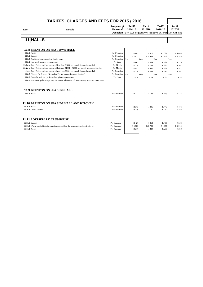|      |                | Freauency/ | Tariff  | Tariff  | <b>Tariff</b> | Tariff                                                            |
|------|----------------|------------|---------|---------|---------------|-------------------------------------------------------------------|
| Item | <b>Details</b> | Measure/   | 2014/15 | 2015/16 | 2016/17       | 2017/18                                                           |
|      |                |            |         |         |               | Occasion (14% VAT Incl)(14% VAT Incl)(14% VAT Incl)(14% VAT Incl) |
|      |                |            |         |         |               |                                                                   |

## **11 HALLS**

|                | <b>11.8 BRENTON ON SEA TOWN HALL</b>                                                           |              |         |      |         |         |           |
|----------------|------------------------------------------------------------------------------------------------|--------------|---------|------|---------|---------|-----------|
|                | <b>11.8.1 Rental</b>                                                                           | Per Occasion | R 845   |      | R 921   | R 1 004 | R 1 080   |
|                | 11.8.2 Deposit                                                                                 | Per Occasion | R 1817  |      | R 1980  | R 2 158 | R 2 3 2 0 |
|                | 11.8.3 Registered charities doing charity work                                                 | Per Occasion | Free    | Free | Free    | Free    |           |
|                | 11.8.4 Non profit sporting organizations                                                       | Per Year     | R 609   |      | R 664   | R 724   | R 778     |
|                | 11.8.4 a Sport Trainers with a income of less than R1000 per month from using the hall         | Per Month    | R 236   |      | R 258   | R 281   | R 302     |
|                | 11.8.4 b Sport Trainers with a income of between R1001 - R2000 per month from using the hall   | Per Month    | R 452   |      | R 492   | R 536   | R 577     |
|                | 11.8.4 c Sport Trainers with a income of more tan R2001 per month from using the hall          | Per Occasion | R 236   |      | R 258   | R 281   | R 302     |
|                | 11.8.5 Charges for Schools (Normal tariffs for fundraising organizations)                      | Per Occasion | Free    | Free | Free    | Free    |           |
|                | 11.8.6 Funerals, political parties and religious organizations                                 | Per Hour     | R 26    |      | R 29    | R 31    | R 34      |
|                | 11.8.7 The Municipal Manager may determine a lower rental for deserving applications on merit. |              |         |      |         |         |           |
|                | <b>11.9 BRENTON ON SEA SIDE HALL</b><br><b>11.9.1 Rental</b>                                   | Per Occasion | R 122   |      | R 133   | R 145   | R 156     |
| 11.10.1 Rental | 11.10 BRENTON ON SEA SIDE HALL AND KITCHEN                                                     | Per Occasion |         |      |         |         |           |
|                |                                                                                                |              | R 373   |      | R 406   | R 443   | R 476     |
|                | 11.10.2 Use of kitchen                                                                         | Per Occasion | R 179   |      | R 195   | R 212   | R 228     |
|                | <b>11.11 LOERIEPARK CLUBHOUSE</b>                                                              |              |         |      |         |         |           |
|                | 11.11.1 Deposit                                                                                | Per Occasion | R 420   |      | R 458   | R 499   | R 536     |
|                | 11.11.2 Where alcohol is to be served and/or sold on the premises the deposit will be          | Per Occasion | R 1 580 |      | R 1 722 | R 1877  | R 2 018   |
| 11.11.3 Rental |                                                                                                | Per Occasion | R 210   |      | R 229   | R 250   | R 268     |
|                |                                                                                                |              |         |      |         |         |           |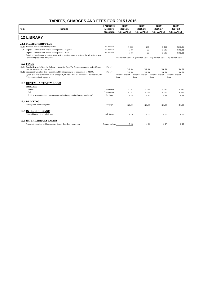|      |                                                                                                                                               | Frequency/       | <b>Tariff</b>     | <b>Tariff</b>     | <b>Tariff</b>                                                           | <b>Tariff</b>     |
|------|-----------------------------------------------------------------------------------------------------------------------------------------------|------------------|-------------------|-------------------|-------------------------------------------------------------------------|-------------------|
| Item | <b>Details</b>                                                                                                                                | Measure/         | 2014/15           | 2015/16           | 2016/17                                                                 | 2017/18           |
|      |                                                                                                                                               | Occasion         | (14% VAT Incl)    | (14% VAT Incl)    | (14% VAT Incl)                                                          | (14% VAT Incl)    |
|      |                                                                                                                                               |                  |                   |                   |                                                                         |                   |
|      | 12 LIBRARY                                                                                                                                    |                  |                   |                   |                                                                         |                   |
|      | <b>12.1 MEMBERSHIP FEES</b>                                                                                                                   |                  |                   |                   |                                                                         |                   |
|      | 12.1.1 Members from outside Municipal area                                                                                                    | per member       | R 226             | 244               | R 263                                                                   | R 263.31          |
|      | 12.1.2 Deposit : Members from outside Municipal area : Magazine                                                                               | per member       | R 90              | 98                | R 105                                                                   | R 105.33          |
|      | Deposit : Members from outside Municipal area : Book                                                                                          | per member       | R 90              | 98                | R 105                                                                   | R 105.33          |
|      | For all books deemed at risk of being lost, or costing more to replace the full replacement                                                   |                  |                   |                   |                                                                         |                   |
|      | value is requested as a deposit.                                                                                                              |                  |                   |                   | Replacement Value Replacement Value Replacement Value Replacement Value |                   |
|      | <b>12.2 FINES</b>                                                                                                                             |                  |                   |                   |                                                                         |                   |
|      |                                                                                                                                               |                  |                   |                   |                                                                         |                   |
|      | 12.2.1 For the first week (from the 2nd day - 1st day fine free). The fines accummulated by R0.10c per<br>item per day after the first R0.80c | Per day          | R 0.80            | R 0.80            | R 0.80                                                                  | R 0.80            |
|      | 12.2.2 For second week (per item - an additional R0.50c per day up to a maximum of R10.00.                                                    | Per day          | R 0.50            | R 0.50            | R 0.50                                                                  | R 0.50            |
|      | System bills up to a maximum of ten rands (R10,00) after which the book will be deemed lost. The                                              |                  | Purchase price of | Purchase price of | Purchase price of                                                       | Purchase price of |
|      | full price of the book is payable.                                                                                                            |                  | item              | item              | item                                                                    | item              |
|      | <b>12.3 RENTAL: ACTIVITY ROOM</b>                                                                                                             |                  |                   |                   |                                                                         |                   |
|      | <b>Activity Hall:</b>                                                                                                                         |                  |                   |                   |                                                                         |                   |
|      | Kitchen                                                                                                                                       | Per occasion     | R 124             | R 134             | R 145                                                                   | R 145             |
|      | Hall                                                                                                                                          | Per occasion     | R 147             | R 158             | R 171                                                                   | R 171             |
|      | Political parties meetings - week days excluding Friday evening (no deposit charged)                                                          | Per Hour         | R 28              | R 31              | R 33                                                                    | R 33              |
|      |                                                                                                                                               |                  |                   |                   |                                                                         |                   |
|      | <b>12.4 PRINTING</b>                                                                                                                          |                  |                   |                   |                                                                         |                   |
|      | Printing from public computers                                                                                                                | Per page         | R 1.00            | R 1.00            | R 1.00                                                                  | R 1.00            |
|      | <b>12.5 INTERNET USAGE</b>                                                                                                                    |                  |                   |                   |                                                                         |                   |
|      | Usage of internet after 1st half hour                                                                                                         | each 30 min      | R 10              | R 11              | R 11                                                                    | <b>R</b> 11       |
|      |                                                                                                                                               |                  |                   |                   |                                                                         |                   |
|      | <b>12.6 INTER-LIBRARY LOANS</b>                                                                                                               |                  |                   |                   |                                                                         |                   |
|      | Postage of items borrwed from another library - based on average cost                                                                         | Postage per item | R 25              | R 26              | R 27                                                                    | R 28              |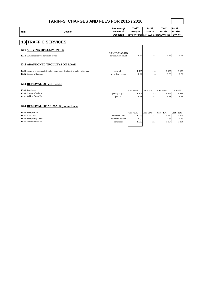| Item | <b>Details</b>                                                                                                                                              | Frequency/<br>Measure/<br>Occasion           | <b>Tariff</b><br>2014/15<br>(14% VAT Incl)(14% VAT Incl)(14% VAT Incl) (14% VAT | <b>Tariff</b><br>2015/16   | <b>Tariff</b><br>2016/17      | Tariff<br>2017/18              |
|------|-------------------------------------------------------------------------------------------------------------------------------------------------------------|----------------------------------------------|---------------------------------------------------------------------------------|----------------------------|-------------------------------|--------------------------------|
|      | <b>13 TRAFFIC SERVICES</b>                                                                                                                                  |                                              |                                                                                 |                            |                               |                                |
|      | <b>13.1 SERVING OF SUMMONSES</b><br>13.1.1 Summonses served personally or not                                                                               | <b>NO VAT CHARGED</b><br>per document served | R 75                                                                            | 82                         | <b>R</b> 88                   | R 94                           |
|      | <b>13.2 ABANDONED TROLLEYS ON ROAD</b><br>13.2.1 Removal of supermarket trolleys from where it is found to a place of storage<br>13.2.2 Storage of Trolleys | per trolley<br>per trolley, per day          | R 105<br>R 22                                                                   | 114<br>24                  | R 123<br>R 26                 | R 132<br>R 28                  |
|      | <b>13.3 REMOVAL OF VEHICLES</b><br>13.3.1 Tow-in fee<br>13.3.2 Storage of Vehicle<br>13.3.3 Vehicle Escort Fee                                              | per day or part<br>per Km                    | $Cost + 25\%$<br>R 179<br>R 58                                                  | $Cost + 25\%$<br>195<br>63 | $Cost +25\%$<br>R 209<br>R 68 | $Cost + 25\%$<br>R 225<br>R 73 |
|      | <b>13.4 REMOVAL OF ANIMALS (Pound Fees)</b>                                                                                                                 |                                              |                                                                                 |                            |                               |                                |
|      | 13.4.1 Transport Fee                                                                                                                                        |                                              | $Cost + 25\%$                                                                   | $Cost + 25\%$              | $Cost +25\%$                  | Cost +25%                      |
|      | 13.4.2 Pound fees                                                                                                                                           | per animal / day                             | R 205                                                                           | 223                        | R 240                         | R 258                          |
|      | 13.4.3 Transporting Costs<br>13.4.4 Administration fee                                                                                                      | per animal per Km<br>per animal              | R 32<br>R 305                                                                   | 34<br>332                  | R 37<br>R 357                 | R 40<br>R 384                  |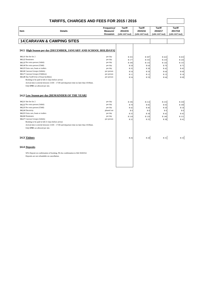|                                                                                                                                                                                                                                                                                                                                                                       | TARIFFS, CHARGES AND FEES FOR 2015 / 2016                                                |                                                                                               |                                                                  |                                                                  |                                                                  |                                                                   |
|-----------------------------------------------------------------------------------------------------------------------------------------------------------------------------------------------------------------------------------------------------------------------------------------------------------------------------------------------------------------------|------------------------------------------------------------------------------------------|-----------------------------------------------------------------------------------------------|------------------------------------------------------------------|------------------------------------------------------------------|------------------------------------------------------------------|-------------------------------------------------------------------|
| Item                                                                                                                                                                                                                                                                                                                                                                  | <b>Details</b>                                                                           | Frequency/<br>Measure/<br>Occasion                                                            | <b>Tariff</b><br>2014/15<br>(14% VAT Incl)                       | Tariff<br>2015/16<br>(14% VAT Incl)                              | Tariff<br>2016/17<br>(14% VAT Incl)                              | <b>Tariff</b><br>2017/18<br>(14% VAT Incl)                        |
| <b>14 CARAVAN &amp; CAMPING SITES</b>                                                                                                                                                                                                                                                                                                                                 |                                                                                          |                                                                                               |                                                                  |                                                                  |                                                                  |                                                                   |
|                                                                                                                                                                                                                                                                                                                                                                       | 14.1 High Season per day [DECEMBER, JANUARY AND SCHOOL HOLIDAYS]                         |                                                                                               |                                                                  |                                                                  |                                                                  |                                                                   |
| 14.1.1 Site fee for 2<br>14.1.2 Pensioners<br>14.1.3 Per extra person (Adult)<br>14.1.4 Per extra person (Child)<br>14.1.5 Extra cars, boats or trailers<br>14.1.6 Caravan Groups (Adults)<br>14.1.7 Caravan Groups (Children)<br>14.1.8 Day Tariff (Use of braai facilities)<br>Booking to be paid in full 21 days before arrival.<br>Only ONE car allowed per site. | Arrival time is strictly between 13:00 - 17:00 and departure time no later than 10:00am. | per day<br>per day<br>per day<br>per day<br>per day<br>per person<br>per person<br>per person | R 355<br>R 177<br>R 106<br>R 59<br>R 35<br>R 54<br>R 11<br>R 54  | R 387<br>R 193<br>R 116<br>R 64<br>R 38<br>R 59<br>R 12<br>R 59  | R 422<br>R 210<br>R 126<br>R 70<br>R 42<br>R 64<br>R 13<br>R 64  | R 453<br>R 226<br>R 135<br>R 75<br>R 45<br>R 69<br>R 14<br>R 69   |
|                                                                                                                                                                                                                                                                                                                                                                       | <b>14.2 Low Season per day [REMAINDER OF THE YEAR]</b>                                   |                                                                                               |                                                                  |                                                                  |                                                                  |                                                                   |
| 14.2.1 Site fee for 2<br>14.2.2 Per extra person (Adult)<br>14.2.3 Per extra person (Child)<br>14.2.4 Electricity<br>14.2.5 Extra cars, boats or trailers<br>14.2.6 Pensioners<br>14.2.7 Caravan Groups (Adults)<br>Booking to be paid in full 21 days before arrival.<br>Only ONE car allowed per site.                                                              | Arrival time is strictly between 13:00 - 17:00 and departure time no later than 10:00am. | per day<br>per day<br>per day<br>phased out<br>per day<br>per day<br>per person               | R 196<br>R 78<br>R 42<br>R <sub>0</sub><br>R 35<br>R 118<br>R 32 | R 214<br>R 85<br>R 46<br>R <sub>0</sub><br>R 38<br>R 129<br>R 35 | R 233<br>R 93<br>R 50<br>R <sub>0</sub><br>R 42<br>R 140<br>R 38 | R 250<br>R 100<br>R 54<br>R <sub>0</sub><br>R 45<br>R 151<br>R 41 |
| 14.3 Visitors                                                                                                                                                                                                                                                                                                                                                         |                                                                                          |                                                                                               | R 26                                                             | R 28                                                             | R 31                                                             | R 33                                                              |
| <b>14.4 Deposits</b>                                                                                                                                                                                                                                                                                                                                                  |                                                                                          |                                                                                               |                                                                  |                                                                  |                                                                  |                                                                   |
| Deposits are not refundable on cancellation.                                                                                                                                                                                                                                                                                                                          | 50% Deposit on confirmation of booking. Pls fax confirmation to 044 3026554              |                                                                                               |                                                                  |                                                                  |                                                                  |                                                                   |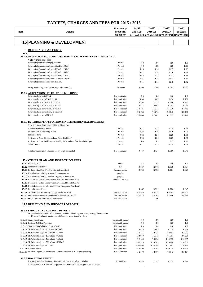|                                        | <b>TARIFFS, CHARGES AND FEES FOR 2015 / 2016</b>                                                                                                                            |                                    |                          |                                                                                         |                          |                          |
|----------------------------------------|-----------------------------------------------------------------------------------------------------------------------------------------------------------------------------|------------------------------------|--------------------------|-----------------------------------------------------------------------------------------|--------------------------|--------------------------|
| Item                                   | <b>Details</b>                                                                                                                                                              | Frequency/<br>Measure/<br>Occasion | <b>Tariff</b><br>2014/15 | <b>Tariff</b><br>2015/16<br>(14% VAT Incl) (14% VAT Incl) (14% VAT Incl) (14% VAT Incl) | <b>Tariff</b><br>2016/17 | <b>Tariff</b><br>2017/18 |
|                                        | <b>15 PLANNING &amp; DEVELOPMENT</b>                                                                                                                                        |                                    |                          |                                                                                         |                          |                          |
|                                        | <b>15 BUILDING PLAN FEES:-</b>                                                                                                                                              |                                    |                          |                                                                                         |                          |                          |
| 15.1                                   |                                                                                                                                                                             |                                    |                          |                                                                                         |                          |                          |
|                                        | 15.1.1 NEW BUILDING, ADDITIONS AND MAJOR ALTERATIONS TO EXISTING<br>* gfa = gross floor area                                                                                |                                    |                          |                                                                                         |                          |                          |
|                                        | Where gfa (after additions) up to 50m2                                                                                                                                      | Per m2                             | R <sub>0</sub>           | R <sub>0</sub>                                                                          | R <sub>0</sub>           | R <sub>0</sub>           |
|                                        | Where gfa (after addition) from 51m2 to 100m2                                                                                                                               | Per m2                             | R8                       | R9                                                                                      | R 9                      | R 10                     |
|                                        | Where gfa (after addition) from 101m2 to 200m2                                                                                                                              | Per m2                             | R 15                     | R 16                                                                                    | R 17                     | R 19                     |
|                                        | Where gfa (after addition) from 201m2 to 400m2                                                                                                                              | Per m2<br>Per m2                   | R 22                     | R 24                                                                                    | R 26                     | R 28                     |
|                                        | Where gfa (after addition) from 401m2 to 700m2<br>Where gfa (after addition) from 701m2 to 1000m2                                                                           | Per m2                             | R 28<br>R 35             | R 31<br>R 38                                                                            | R 33<br>R 41             | R 36<br>R 44             |
|                                        | Where gfa (after addition) from 1001m2                                                                                                                                      | Per m2                             | R 41                     | R 44                                                                                    | R 48                     | R 52                     |
|                                        |                                                                                                                                                                             |                                    |                          |                                                                                         |                          |                          |
|                                        | In any event: single residential only - minimum fee                                                                                                                         | Any event                          | R 500                    | R 540                                                                                   | R 589                    | R 633                    |
|                                        | <b>15.1.2 ALTERATIONS TO EXISTING BUILDINGS</b><br>Where total gfa up to 50m2                                                                                               | Per application                    | R <sub>0</sub>           | R <sub>0</sub>                                                                          | R <sub>0</sub>           |                          |
|                                        | Where total gfa from 51m2 to 100m2                                                                                                                                          | Per application                    | R 80                     | R 87                                                                                    | R 94                     | R 101                    |
|                                        | Where total gfa from 101m2 to 200m2                                                                                                                                         | Per application                    | R 294                    | R 317                                                                                   | R 346                    | R 372                    |
|                                        | Where total gfa from 201m2 to 400m2                                                                                                                                         | Per application                    | R 641                    | R 692                                                                                   | R 754                    | R 811                    |
|                                        | Where total gfa from 401m2 to 700m2                                                                                                                                         | Per application                    | R 1 1 2 1                | R 1 211                                                                                 | R 1 3 2 0                | R 1 419                  |
|                                        | Where total gfa from 701m2 to 1000m2                                                                                                                                        | Per application                    | R 1 7 3 5                | R 1 874                                                                                 | R 2 043                  | R 2 196                  |
|                                        | Where total gfa from 1001m2                                                                                                                                                 | Per application                    | R 2 483                  | R 2 681                                                                                 | R 2 9 2 3                | R 3 142                  |
|                                        | <b>15.1.3 BUILDING PLANS FOR NON SINGLE RESIDENTIAL BUILDINGS</b>                                                                                                           |                                    |                          |                                                                                         |                          |                          |
|                                        | New Buildings, Additions and Major Alterations                                                                                                                              |                                    |                          |                                                                                         |                          |                          |
|                                        | All other Residential Zones                                                                                                                                                 | Per m2                             | R 21                     | R 22                                                                                    | R 24                     | R 26                     |
|                                        | Business Zones (including resort)                                                                                                                                           | Per m2                             | R 24                     | R 26                                                                                    | R 29                     | R 31                     |
| <b>Industrial Zone</b>                 |                                                                                                                                                                             | Per m2                             | R 24                     | R 26                                                                                    | R 29                     | R 31                     |
|                                        | Agricultural Zone (Residential and Other Buildings)                                                                                                                         | Per m2                             | R 24                     | R 26                                                                                    | R 29                     | R 31                     |
|                                        | Agricultural Zone (Buildings certified by DOA as bona fide farm buildings)                                                                                                  | Per m <sub>2</sub>                 | R8                       | R 9                                                                                     | R 9                      | R 10                     |
| Other Zones                            |                                                                                                                                                                             | Per m2                             | R 21                     | R 22                                                                                    | R 24                     | R 26                     |
|                                        | All other buildings in all zones except single residential                                                                                                                  | Per application                    | R 667                    | R 721                                                                                   | R 786                    | R 845                    |
|                                        |                                                                                                                                                                             |                                    |                          |                                                                                         |                          |                          |
|                                        | <b>15.2 OTHER PLAN AND INSPECTION FEES</b>                                                                                                                                  |                                    |                          |                                                                                         |                          |                          |
| 15.2.1 Fences & Walls                  |                                                                                                                                                                             | Per m                              | R 7                      | <b>R</b> 8                                                                              | R 9                      |                          |
| 15.2.2 Temporary Structures            |                                                                                                                                                                             | p.a.                               | R 627                    | R 678<br>R 793                                                                          | R 739                    | R 794<br>R 929           |
|                                        | 15.2.3 Re-Inspection Fees (Payable prior to inspection)<br>15.2.4 Unauthorized building, structural assessment fee                                                          | Per Application                    | R 734                    |                                                                                         | R 864                    |                          |
|                                        | 15.2.5 Unauthorized building, worked stopped on instruction                                                                                                                 | per plan<br>per plan               |                          |                                                                                         |                          |                          |
|                                        | 15.2.6 If within the Urban Conservation Area in Addition to 8.3.3.4                                                                                                         | additional per plan                |                          |                                                                                         |                          |                          |
|                                        | 15.2.7 If within the Urban Conservation Area in Addition to 8.3.3.5                                                                                                         |                                    |                          |                                                                                         |                          |                          |
|                                        | 15.2.8 If building occupied prior to receiving Occupation Certificate                                                                                                       |                                    |                          |                                                                                         |                          |                          |
| 15.2.9 Demolition certificate          |                                                                                                                                                                             |                                    | R 667                    | R 721                                                                                   | R 786                    | R 845                    |
|                                        | 15.2.10 Conditional or Temporary Occupational Certificate                                                                                                                   | Per Application                    | R 3 640                  | R 3 931                                                                                 | R 4 285                  | R 4 607                  |
|                                        | 15.2.11 Provisional Authorisation in terms of Section 7(6) of the                                                                                                           | Per Application                    | R 6 674                  | R 7 208                                                                                 | R 7 856                  | R 8 4 4 6                |
|                                        | 15.2.12 Minor Building work fee per application                                                                                                                             | Per Application                    |                          | 150                                                                                     |                          |                          |
|                                        | <b>15.3 BUILDING AND SERVICES DEPOSIT</b>                                                                                                                                   |                                    |                          |                                                                                         |                          |                          |
|                                        | 15.3.1 SERVICE AND BUILDING DEPOSIT                                                                                                                                         |                                    |                          |                                                                                         |                          |                          |
|                                        | To be refunded on the satisfactory completion of all building operations, issuing of completion<br>certificate and reinstatement of any of Council's property and services. |                                    |                          |                                                                                         |                          |                          |
| 15.3.1.1 Single Residential            |                                                                                                                                                                             | per street frontage                | R <sub>0</sub>           | R <sub>0</sub>                                                                          | R <sub>0</sub>           |                          |
| 15.3.1.2 Business & Other Properties   |                                                                                                                                                                             | per street frontage                | R <sub>0</sub>           | R <sub>0</sub>                                                                          | R <sub>0</sub>           |                          |
|                                        | 15.3.1.3 Sigle res (SR) Where total gfa <51m2                                                                                                                               | Per application                    | R <sub>0</sub>           | R <sub>0</sub>                                                                          | R <sub>0</sub>           |                          |
|                                        | 15.3.1.4 SR Where total gfa $>50$ m2 and <100m2                                                                                                                             | Per application                    | R 615                    | R 664                                                                                   | R 724                    | R 778                    |
|                                        | 15.3.1.5 SR Where total gfa >100m2 and $<$ 200m2                                                                                                                            | Per application                    | R 2 255                  | R 2 4 3 5                                                                               | R 2 654                  | R 2 853                  |
|                                        | 15.3.1.6 SR Where total gfa > 200m2 and <400m2                                                                                                                              | Per application                    | R4919                    | R 5 3 1 3                                                                               | R 5 791                  | R 6 226                  |
|                                        | 15.3.1.7 SR Where total gfa >400m2 and $<700m2$                                                                                                                             | Per application                    | R 8 609                  | R 9 298                                                                                 | R 10 135                 | R 10 895                 |
|                                        | 15.3.1.8 SR Where total gfa >700m2 and <1000m2                                                                                                                              | Per application                    | R 13 323                 | R 14 389                                                                                | R 15 684                 | R 16 860                 |
| 15.3.1.9 SR Where total gfa $>1000$ m2 |                                                                                                                                                                             | Per application                    | R 19 063                 | R 20 588                                                                                | R 22 441                 | R 24 124                 |
| 15.3.1.10 All other Zones              | 15.3.1.11 Builders Deposit for Alterations additions less than 25m2 in grouphousing                                                                                         | Per application<br>Per application | R 8 609<br>R 2 500       | R 9 298<br>R 2 700                                                                      | R 10 135<br>R 2 943      | R 10 895<br>R 3 164      |
|                                        |                                                                                                                                                                             |                                    |                          |                                                                                         |                          |                          |
| <b>15.3.2 HOARDING RENTAL</b>          | Hoarding Rental of Parking, Roadways or Pavements, subject to below:                                                                                                        | per 10m2 per                       | R 234                    | R 252                                                                                   | R 275                    | R 296                    |
|                                        | Any area less than 10m2 and / or portion of a month shall be charged fully as a whole.                                                                                      |                                    |                          |                                                                                         |                          |                          |
|                                        |                                                                                                                                                                             |                                    |                          |                                                                                         |                          |                          |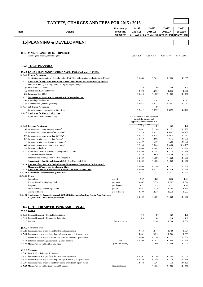| Item | <b>Details</b>                                                                                                                                                     | Frequency/<br>Measure/<br>Occasion | Tariff<br>2014/15 | Tariff<br>2015/16               | Tariff<br>2016/17<br>(14% VAT Incl) (14% VAT Incl) (14% VAT Incl) (14% VAT Incl) | Tariff<br>2017/18  |
|------|--------------------------------------------------------------------------------------------------------------------------------------------------------------------|------------------------------------|-------------------|---------------------------------|----------------------------------------------------------------------------------|--------------------|
|      | <b>15 PLANNING &amp; DEVELOPMENT</b>                                                                                                                               |                                    |                   |                                 |                                                                                  |                    |
|      | <b>15.3.3 MAINTENANCE OF BUILDING SITE</b><br>Cleaning and clearing of Building Site                                                                               |                                    | $Cost + 25%$      | $Cost + 25%$                    | $Cost + 25%$                                                                     | $Cost + 25%$       |
|      | <b>15.4 TOWN PLANNING</b>                                                                                                                                          |                                    |                   |                                 |                                                                                  |                    |
|      | 15.4.1 LAND USE PLANNING ORDINANCE, 1985 (Ordinance 15/1985)                                                                                                       |                                    |                   |                                 |                                                                                  |                    |
|      | 15.4.1.1 Consent Application<br>Application for consent use (Second dwelling Unit, Place of Entertainment, Professional Use, etc)                                  |                                    | R 1 869           | R 2 019                         | R 2 200                                                                          | R 2 3 6 5          |
|      | 15.4.1.2 Application for departure from zoning scheme regulations of Fences and Fencing By-Law<br>In terms of S15 (1)a (Zoning Condition Departure) pertaining to: |                                    |                   |                                 |                                                                                  |                    |
|      | $(i)$ Erf smaller than $250m^2$                                                                                                                                    |                                    | R <sub>0</sub>    | R <sub>0</sub>                  | R <sub>0</sub>                                                                   | R <sub>0</sub>     |
|      | (ii) Erf between $250m^2$ and $500m^2$                                                                                                                             |                                    | R 708             | R 764                           | R 833                                                                            | R 896              |
|      | (iii) Erf greater than 500m <sup>2</sup>                                                                                                                           |                                    | R 1 4 1 4         | R 1 527                         | R 1 665                                                                          | R 1790             |
|      | 15.4.1.3 Temporaty use Departure (in terms of S15(1)(b) pertaining to:                                                                                             |                                    |                   |                                 |                                                                                  |                    |
|      | (i) Houseshops, Mobiles, etc                                                                                                                                       |                                    | R 187             | R 202                           | R 221                                                                            | R 237              |
|      | (ii) All other users (including taverns)                                                                                                                           |                                    | R 2 937           | R 3 172                         | R 3 457                                                                          | R 3 717            |
|      | 15.4.1.4 Subdivision Application                                                                                                                                   |                                    |                   | R <sub>0</sub>                  |                                                                                  |                    |
|      | To a maximum of [equivalent to 12 portions                                                                                                                         |                                    | R 5 3 1 2         | R 5 737                         | R 6 253                                                                          | R 6 722            |
|      | 15.4.1.5 Application for Contravention Levy                                                                                                                        |                                    |                   | The amount that would have been |                                                                                  |                    |
|      | Application for contravention levy                                                                                                                                 |                                    |                   | payable for the relevant        |                                                                                  |                    |
|      |                                                                                                                                                                    |                                    |                   | application in the absence of a |                                                                                  |                    |
|      | 15.4.1.6 Rezoning Application                                                                                                                                      |                                    | R <sub>0</sub>    | R <sub>0</sub>                  | R <sub>0</sub>                                                                   | R <sub>0</sub>     |
|      | $(i)$ To a residential zone: less than 2 000 $m2$                                                                                                                  |                                    | R 1 801           | R 1 946                         | R 2 1 2 1                                                                        | R 2 280            |
|      | (ii) To a residential zone: $2000m^2$ to $10000m^2$                                                                                                                |                                    | R 3 270           | R 3 5 3 2                       | R 3 849                                                                          | R 4 138            |
|      | (iii) To a residential zone: more than 10 000m <sup>2</sup>                                                                                                        |                                    | R 5 873           | R 6 3 4 3                       | R 6 914                                                                          | R 7 432            |
|      | $(iv)$ To a commercial zone: less than 2 000 $m2$                                                                                                                  |                                    | R 2 669           | R 2 8 8 3                       | R 3 143                                                                          | R 3 378            |
|      | (v) To a commercial zone: $2000m^2$ to $10000m^2$                                                                                                                  |                                    | R 5 339           | R 5 766                         | R 6 285                                                                          | R 6 756            |
|      | (vi) To a commercial zone: more than $10000m^2$                                                                                                                    |                                    | R 8 008           | R 8 649                         | R 9 428                                                                          | R 10 135           |
|      | (vii) To any other land use                                                                                                                                        |                                    | R 2 669           | R 2 8 8 3                       | R 3 143                                                                          | R 3 378            |
|      | 15.4.1.7 Application for construction on an unregistered land unit                                                                                                 |                                    | R 1 469           | R 1 5 8 7                       | R 1 729                                                                          | R <sub>1</sub> 859 |
|      | Application for road closure                                                                                                                                       |                                    | R 1 869           | R 2 019                         | R 2 200                                                                          | R 2 3 6 5          |
|      | Extension of a validity period of a LUPO approval                                                                                                                  |                                    | R 1 469           | R 1 5 8 7                       | R 1 729                                                                          | R <sub>1</sub> 859 |
|      | Amendment of Condition of Approval (S43 (2) of Ord. 15 of 1985)                                                                                                    |                                    | R 1 469           | R 1 586                         | R 1 729                                                                          | R1858              |
|      | 15.4.1.8 Approval of Architectural Design Manual, Homeowners Constitution, Environmental<br>Management Plan, or Site Development Plan.                             |                                    | R 1 469           | R 1 586                         | R <sub>1729</sub>                                                                | R <sub>1</sub> 858 |
|      | 15.4.1.9 Application in terms of the Removal of restrictions Act (No. 84 of 1967)                                                                                  |                                    | R 2 069           | R 2 2 3 5                       | R 2 4 3 6                                                                        | R 2 618            |
|      | 15.4.1.10 Cancellation / Amendment of general plan                                                                                                                 |                                    | R 1 3 3 5         | R 1 442                         | R 1 572                                                                          | R 1 690            |
|      | 15.4.1.11 Copies                                                                                                                                                   |                                    |                   |                                 |                                                                                  |                    |
|      | Search Fees                                                                                                                                                        | per erf                            | R 27              | R 29                            | R 32                                                                             | R 34               |
|      | Knysna Town Planning Map Book                                                                                                                                      | per book                           | R 667             | R 720                           | R 785                                                                            | R 844              |
|      | Diagrams                                                                                                                                                           | per diagram                        | R 27              | R 29                            | R 32                                                                             | R 34               |
|      | Town Planning / Scheme regulations                                                                                                                                 | per set                            | R 667             | R 720                           | R 785                                                                            | R 844              |
|      | Zoning certificate                                                                                                                                                 | per certificate                    | R 200             | R 216                           | R 235                                                                            | R 253              |
|      | 15.4.1.12 Applications for Permits in terms of (OSCAER) Outeniqua Sensitive Coastal Area Extension<br>Regulations R1528 of 27 November 1998                        |                                    | R 1 469           | R 1 586                         | R 1 729                                                                          | R 1 858            |
|      | <b>15.5 OUTDOOR ADVERTISING AND SIGNAGE</b>                                                                                                                        |                                    |                   |                                 |                                                                                  |                    |
|      | 15.5.1 Deposit                                                                                                                                                     |                                    |                   |                                 |                                                                                  |                    |
|      | 15.5.1.1 Refundable deposit - Charitable Institutions                                                                                                              |                                    | R <sub>0</sub>    | R <sub>0</sub>                  | R <sub>0</sub>                                                                   | R <sub>0</sub>     |
|      | 15.5.1.2 Refundable deposit - Commercial Enterprises                                                                                                               |                                    | R <sub>0</sub>    | R <sub>0</sub>                  | R <sub>0</sub>                                                                   | R <sub>0</sub>     |
|      | 15.5.1.3 Banners                                                                                                                                                   | Per Application                    |                   | R 300                           | R 300                                                                            | R 300              |
|      | 15.5.2 Application Fees                                                                                                                                            |                                    |                   |                                 |                                                                                  |                    |
|      | 15.5.2.1 Per square metre or part thereof for the first square metre                                                                                               |                                    | R 414             | R 447                           | R 488                                                                            | R 524              |
|      | 15.5.2.2 Per square metre or part thereof up to 8 square metres (1-8 square metre)                                                                                 |                                    | R 481             | R 519                           | R 566                                                                            | R 609              |
|      | 15.5.2.3 Per square metre or part thereof there above (more than 8 square metre)                                                                                   |                                    | R 1 469           | R 1 586                         | R 1 729                                                                          | R 1 858            |
|      | 15.5.2.4 Extension of rezoning/subdivision/departure approval                                                                                                      | new                                | R 1 366           | R 1 475                         | R 1 608                                                                          | R 1 728            |
|      | 15.5.2.5 Master Plan for building less 500 Square                                                                                                                  | (Per Application)                  |                   | R 1 000                         | R 1 000                                                                          | R 1 000            |
|      | 15.5.3 Variances                                                                                                                                                   |                                    |                   |                                 |                                                                                  |                    |
|      | 15.5.3.1 Prescribed variation application fee                                                                                                                      |                                    |                   |                                 |                                                                                  |                    |
|      | 15.5.3.2 Per square metre or part thereof for the first square metre                                                                                               |                                    | R 1 107           | R 1 1 9 6                       | R 1 304                                                                          | R 1 401            |
|      | 15.5.3.3 Per square metre or part thereof up to 8 square metres (1-8 square metre)                                                                                 |                                    | R 1 469           | R 1 586                         | R 1 729                                                                          | R 1 858            |
|      | 15.5.3.4 Per square metre or part thereof there above (more than 8 square metre)                                                                                   |                                    | R 4 872           | R 5 261                         | R 5 7 3 5                                                                        | R 6 165            |
|      | 15.5.3.5 Master Plan for building more than 500 Square                                                                                                             | (Per Application)                  |                   | R 1 500                         | R 1 500                                                                          | R 1 500            |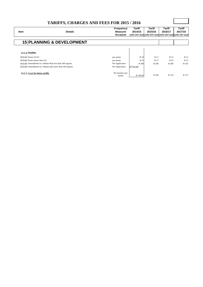|                                       | <b>TARIFFS, CHARGES AND FEES FOR 2015 / 2016</b>           |                           |                   |                   |                                                             |                   |
|---------------------------------------|------------------------------------------------------------|---------------------------|-------------------|-------------------|-------------------------------------------------------------|-------------------|
| Item                                  | <b>Details</b>                                             | Frequency/<br>Measure/    | Tariff<br>2014/15 | Tariff<br>2015/16 | Tariff<br>2016/17                                           | Tariff<br>2017/18 |
|                                       |                                                            | Occasion                  |                   |                   | (14% VAT Incl) (14% VAT Incl) (14% VAT Incl) (14% VAT Incl) |                   |
|                                       | <b>15 PLANNING &amp; DEVELOPMENT</b>                       |                           |                   |                   |                                                             |                   |
|                                       |                                                            |                           |                   |                   |                                                             |                   |
| 15.5.4 Penalties                      |                                                            |                           |                   |                   |                                                             |                   |
| 15.5.4.1 Poster $(0-25)$              |                                                            | per poster                | R 10              | R 11              | R 12                                                        | R 13              |
| <b>15.5.4.2</b> Poster (more than 25) |                                                            | per poster                | R 25              | R 27              | R 29                                                        | R 32              |
|                                       | 15.5.4.3 Amendments to a Master Plan less than 500 squares | Per Application           | R 500             | R 540             | R 589                                                       | R 633             |
|                                       | 15.5.4.4 Amendments to a Master plan more than 500 squares | Per Application           | R750-00           |                   |                                                             |                   |
| 15.5.5 Levy(for future tariffs)       |                                                            | Per business per<br>month | R 100.00          | R 108             | R 118                                                       | R 127             |

Г

┑